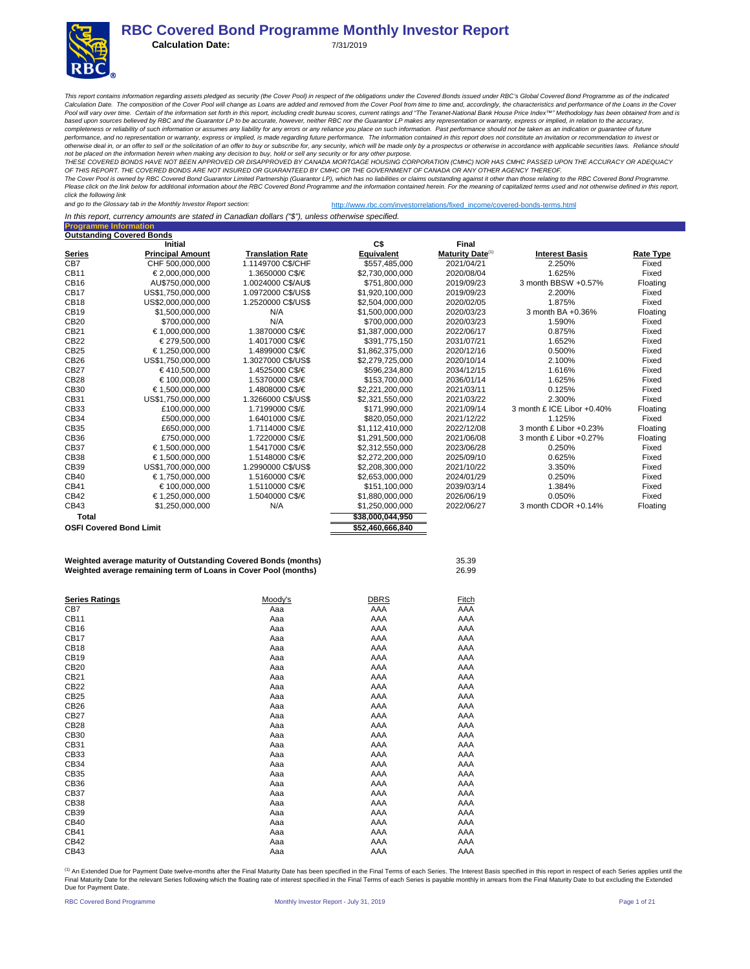**Calculation Date:** 7/31/2019

This report contains information regarding assets pledged as security (the Cover Pool) in respect of the obligations under the Covered Bonds issued under RBC's Global Covered Bond Programme as of the indicated<br>Calculation Pool will vary over time. Certain of the information set forth in this report, including credit bureau scores, current ratings and "The Teranet-National Bank House Price Index™ Methodology has been obtained from and is<br>ba *completeness or reliability of such information or assumes any liability for any errors or any reliance you place on such information. Past performance should not be taken as an indication or guarantee of future*  performance, and no representation or warranty, express or implied, is made regarding future performance. The information contained in this report does not constitute an invitation or recommendation to invest or<br>otherwise

not be placed on the information herein when making any decision to buy, hold or sell any security or for any other purpose.<br>THESE COVERED BONDS HAVE NOT BEEN APPROVED OR DISAPPROVED BY CANADA MORTGAGE HOUSING CORPORATION *OF THIS REPORT. THE COVERED BONDS ARE NOT INSURED OR GUARANTEED BY CMHC OR THE GOVERNMENT OF CANADA OR ANY OTHER AGENCY THEREOF.*

*The Cover Pool is owned by RBC Covered Bond Guarantor Limited Partnership (Guarantor LP), which has no liabilities or claims outstanding against it other than those relating to the RBC Covered Bond Programme. Please click on the link below for additional information about the RBC Covered Bond Programme and the information contained herein. For the meaning of capitalized terms used and not otherwise defined in this report, click the following link* 

*and go to the Glossary tab in the Monthly Investor Report section:* http://www.rbc.com/investorrelations/fixed\_income/covered-bonds-terms.html

*In this report, currency amounts are stated in Canadian dollars ("\$"), unless otherwise specified.*

**Programme Information**

|                                | <b>Outstanding Covered Bonds</b>                                |                         |                  |                              |                            |                  |
|--------------------------------|-----------------------------------------------------------------|-------------------------|------------------|------------------------------|----------------------------|------------------|
|                                | <b>Initial</b>                                                  |                         | C\$              | Final                        |                            |                  |
| <b>Series</b>                  | <b>Principal Amount</b>                                         | <b>Translation Rate</b> | Equivalent       | Maturity Date <sup>(1)</sup> | <b>Interest Basis</b>      | <b>Rate Type</b> |
| CB7                            | CHF 500,000,000                                                 | 1.1149700 C\$/CHF       | \$557,485,000    | 2021/04/21                   | 2.250%                     | Fixed            |
| CB11                           | €2.000.000.000                                                  | 1.3650000 C\$/€         | \$2,730,000,000  | 2020/08/04                   | 1.625%                     | Fixed            |
| <b>CB16</b>                    | AU\$750,000,000                                                 | 1.0024000 C\$/AU\$      | \$751,800,000    | 2019/09/23                   | 3 month BBSW +0.57%        | Floating         |
| <b>CB17</b>                    | US\$1,750,000,000                                               | 1.0972000 C\$/US\$      | \$1.920.100.000  | 2019/09/23                   | 2.200%                     | Fixed            |
| <b>CB18</b>                    | US\$2,000,000,000                                               | 1.2520000 C\$/US\$      | \$2,504,000,000  | 2020/02/05                   | 1.875%                     | Fixed            |
| <b>CB19</b>                    | \$1,500,000,000                                                 | N/A                     | \$1,500,000,000  | 2020/03/23                   | 3 month BA +0.36%          | Floating         |
| CB20                           | \$700,000,000                                                   | N/A                     | \$700,000,000    | 2020/03/23                   | 1.590%                     | Fixed            |
| CB21                           | €1,000,000,000                                                  | 1.3870000 C\$/€         | \$1,387,000,000  | 2022/06/17                   | 0.875%                     | Fixed            |
| CB22                           | €279,500,000                                                    | 1.4017000 C\$/€         | \$391,775,150    | 2031/07/21                   | 1.652%                     | Fixed            |
| CB25                           | €1.250.000.000                                                  | 1.4899000 C\$/€         | \$1,862,375,000  | 2020/12/16                   | 0.500%                     | Fixed            |
| CB26                           | US\$1.750.000.000                                               | 1.3027000 C\$/US\$      | \$2,279,725,000  | 2020/10/14                   | 2.100%                     | Fixed            |
| <b>CB27</b>                    | €410.500.000                                                    | 1.4525000 C\$/€         | \$596,234,800    | 2034/12/15                   | 1.616%                     | Fixed            |
| CB <sub>28</sub>               | €100,000,000                                                    | 1.5370000 C\$/€         | \$153,700,000    | 2036/01/14                   | 1.625%                     | Fixed            |
| CB30                           | €1.500.000.000                                                  | 1.4808000 C\$/€         | \$2,221,200,000  | 2021/03/11                   | 0.125%                     | Fixed            |
| CB31                           | US\$1,750,000,000                                               | 1.3266000 C\$/US\$      | \$2,321,550,000  | 2021/03/22                   | 2.300%                     | Fixed            |
| CB33                           | £100,000,000                                                    | 1.7199000 C\$/£         | \$171,990,000    | 2021/09/14                   | 3 month £ ICE Libor +0.40% | Floating         |
| CB34                           | £500,000,000                                                    | 1.6401000 C\$/£         | \$820,050,000    | 2021/12/22                   | 1.125%                     | Fixed            |
| CB35                           | £650,000,000                                                    | 1.7114000 C\$/£         | \$1.112.410.000  | 2022/12/08                   | 3 month £ Libor +0.23%     | Floating         |
| CB36                           | £750,000,000                                                    | 1.7220000 C\$/£         | \$1,291,500,000  | 2021/06/08                   | 3 month £ Libor +0.27%     | Floating         |
| <b>CB37</b>                    | €1,500,000,000                                                  | 1.5417000 C\$/€         | \$2,312,550,000  | 2023/06/28                   | 0.250%                     | Fixed            |
| <b>CB38</b>                    | €1,500,000,000                                                  | 1.5148000 C\$/€         | \$2,272,200,000  | 2025/09/10                   | 0.625%                     | Fixed            |
| CB39                           | US\$1,700,000,000                                               | 1.2990000 C\$/US\$      | \$2,208,300,000  | 2021/10/22                   | 3.350%                     | Fixed            |
| CB40                           | €1,750,000,000                                                  | 1.5160000 C\$/€         | \$2,653,000,000  | 2024/01/29                   | 0.250%                     | Fixed            |
| CB41                           | €100,000,000                                                    | 1.5110000 C\$/€         | \$151,100,000    | 2039/03/14                   | 1.384%                     | Fixed            |
| CB42                           | €1,250,000,000                                                  | 1.5040000 C\$/€         | \$1,880,000,000  | 2026/06/19                   | 0.050%                     | Fixed            |
| CB43                           | \$1,250,000,000                                                 | N/A                     | \$1,250,000,000  | 2022/06/27                   | 3 month CDOR +0.14%        | Floating         |
| <b>Total</b>                   |                                                                 |                         | \$38,000,044,950 |                              |                            |                  |
| <b>OSFI Covered Bond Limit</b> |                                                                 |                         | \$52,460,666,840 |                              |                            |                  |
|                                |                                                                 |                         |                  |                              |                            |                  |
|                                | Weighted average maturity of Outstanding Covered Rends (months) |                         |                  | <b>25.20</b>                 |                            |                  |

**Weighted average maturity of Outstanding Covered Bonds (months)** 35.39 **Weighted average remaining term of Loans in Cover Pool (months)** 26.99

| <b>Series Ratings</b> | Moody's | <b>DBRS</b> | Fitch |
|-----------------------|---------|-------------|-------|
| CB7                   | Aaa     | AAA         | AAA   |
| CB11                  | Aaa     | AAA         | AAA   |
| CB <sub>16</sub>      | Aaa     | AAA         | AAA   |
| CB17                  | Aaa     | AAA         | AAA   |
| CB <sub>18</sub>      | Aaa     | AAA         | AAA   |
| CB <sub>19</sub>      | Aaa     | AAA         | AAA   |
| CB20                  | Aaa     | AAA         | AAA   |
| CB21                  | Aaa     | AAA         | AAA   |
| CB22                  | Aaa     | AAA         | AAA   |
| CB25                  | Aaa     | AAA         | AAA   |
| CB <sub>26</sub>      | Aaa     | AAA         | AAA   |
| <b>CB27</b>           | Aaa     | AAA         | AAA   |
| <b>CB28</b>           | Aaa     | AAA         | AAA   |
| CB30                  | Aaa     | AAA         | AAA   |
| CB31                  | Aaa     | AAA         | AAA   |
| CB33                  | Aaa     | AAA         | AAA   |
| CB34                  | Aaa     | AAA         | AAA   |
| CB35                  | Aaa     | AAA         | AAA   |
| CB36                  | Aaa     | AAA         | AAA   |
| <b>CB37</b>           | Aaa     | AAA         | AAA   |
| <b>CB38</b>           | Aaa     | AAA         | AAA   |
| CB39                  | Aaa     | AAA         | AAA   |
| CB40                  | Aaa     | AAA         | AAA   |
| CB41                  | Aaa     | AAA         | AAA   |
| CB42                  | Aaa     | AAA         | AAA   |
| CB43                  | Aaa     | AAA         | AAA   |

<sup>(1)</sup> An Extended Due for Payment Date twelve-months after the Final Maturity Date has been specified in the Final Terms of each Series. The Interest Basis specified in this report in respect of each Series applies until t Due for Payment Date.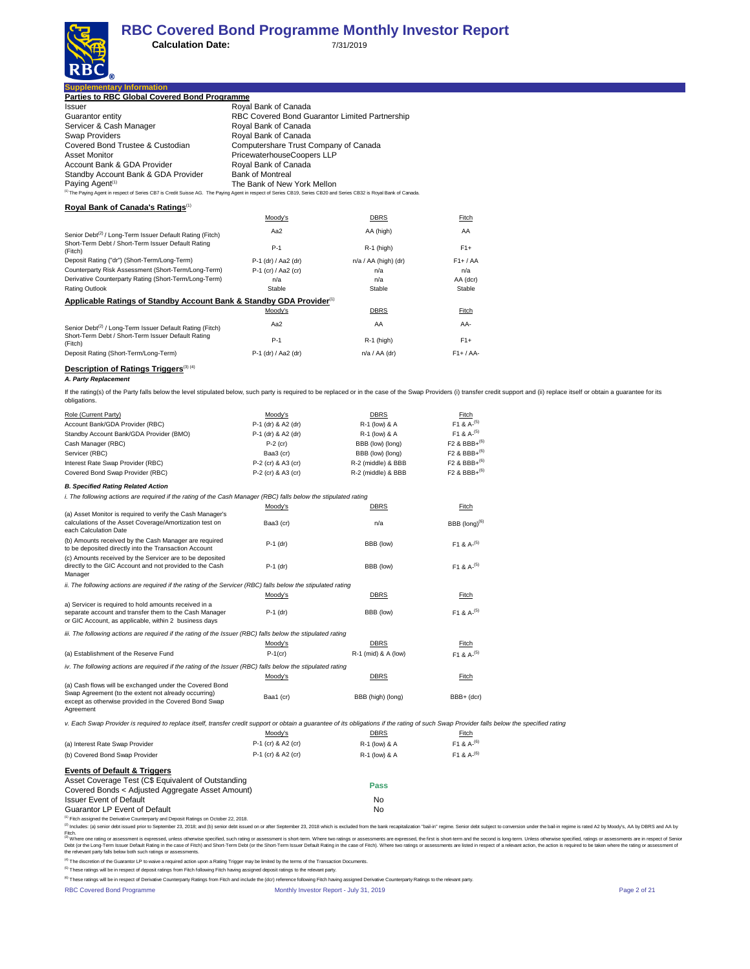

| <b>Supplementary Information</b>                    |                            |  |  |  |  |
|-----------------------------------------------------|----------------------------|--|--|--|--|
| <b>Parties to RBC Global Covered Bond Programme</b> |                            |  |  |  |  |
| Issuer                                              | Royal Bank of Canada       |  |  |  |  |
| Guarantor entity                                    | <b>RBC Covered Bond Gu</b> |  |  |  |  |
| Servicer & Cash Manager                             | Roval Bank of Canada       |  |  |  |  |

| Guarantor entity<br>Servicer & Cash Manager<br>Swap Providers<br>Covered Bond Trustee & Custodian                                                                                                                                                                                                   | RBC Covered Bond Guarantor Limited Partnership<br>Royal Bank of Canada<br>Royal Bank of Canada |                                   |                                      |                                                                                                                                                                                                                                |  |  |  |
|-----------------------------------------------------------------------------------------------------------------------------------------------------------------------------------------------------------------------------------------------------------------------------------------------------|------------------------------------------------------------------------------------------------|-----------------------------------|--------------------------------------|--------------------------------------------------------------------------------------------------------------------------------------------------------------------------------------------------------------------------------|--|--|--|
| <b>Asset Monitor</b>                                                                                                                                                                                                                                                                                | Computershare Trust Company of Canada<br>PricewaterhouseCoopers LLP                            |                                   |                                      |                                                                                                                                                                                                                                |  |  |  |
| Account Bank & GDA Provider                                                                                                                                                                                                                                                                         | Royal Bank of Canada                                                                           |                                   |                                      |                                                                                                                                                                                                                                |  |  |  |
| Standby Account Bank & GDA Provider<br>Paying Agent <sup>(1)</sup>                                                                                                                                                                                                                                  | <b>Bank of Montreal</b><br>The Bank of New York Mellon                                         |                                   |                                      |                                                                                                                                                                                                                                |  |  |  |
| <sup>(1)</sup> The Paying Agent in respect of Series CB7 is Credit Suisse AG. The Paying Agent in respect of Series CB19, Series CB20 and Series CB32 is Royal Bank of Canada.                                                                                                                      |                                                                                                |                                   |                                      |                                                                                                                                                                                                                                |  |  |  |
| Royal Bank of Canada's Ratings(1)                                                                                                                                                                                                                                                                   |                                                                                                |                                   |                                      |                                                                                                                                                                                                                                |  |  |  |
|                                                                                                                                                                                                                                                                                                     | Moody's                                                                                        | <b>DBRS</b>                       | Fitch                                |                                                                                                                                                                                                                                |  |  |  |
|                                                                                                                                                                                                                                                                                                     | Aa2                                                                                            | AA (high)                         | AA                                   |                                                                                                                                                                                                                                |  |  |  |
| Senior Debt <sup>(2)</sup> / Long-Term Issuer Default Rating (Fitch)<br>Short-Term Debt / Short-Term Issuer Default Rating<br>(Fitch)                                                                                                                                                               | $P-1$                                                                                          | R-1 (high)                        | $F1+$                                |                                                                                                                                                                                                                                |  |  |  |
| Deposit Rating ("dr") (Short-Term/Long-Term)                                                                                                                                                                                                                                                        | P-1 (dr) / Aa2 (dr)                                                                            | n/a / AA (high) (dr)              | $F1+ / AA$                           |                                                                                                                                                                                                                                |  |  |  |
| Counterparty Risk Assessment (Short-Term/Long-Term)                                                                                                                                                                                                                                                 | P-1 (cr) / Aa2 (cr)                                                                            | n/a                               | n/a                                  |                                                                                                                                                                                                                                |  |  |  |
| Derivative Counterparty Rating (Short-Term/Long-Term)                                                                                                                                                                                                                                               | n/a                                                                                            | n/a                               | AA (dcr)                             |                                                                                                                                                                                                                                |  |  |  |
| <b>Rating Outlook</b>                                                                                                                                                                                                                                                                               | Stable                                                                                         | Stable                            | Stable                               |                                                                                                                                                                                                                                |  |  |  |
| Applicable Ratings of Standby Account Bank & Standby GDA Provider <sup>(1)</sup>                                                                                                                                                                                                                    | Moody's                                                                                        | <b>DBRS</b>                       | Fitch                                |                                                                                                                                                                                                                                |  |  |  |
|                                                                                                                                                                                                                                                                                                     | Aa2                                                                                            | AA                                | AA-                                  |                                                                                                                                                                                                                                |  |  |  |
| Senior Debt <sup>(2)</sup> / Long-Term Issuer Default Rating (Fitch)<br>Short-Term Debt / Short-Term Issuer Default Rating                                                                                                                                                                          | $P-1$                                                                                          | $R-1$ (high)                      | $F1+$                                |                                                                                                                                                                                                                                |  |  |  |
| (Fitch)<br>Deposit Rating (Short-Term/Long-Term)                                                                                                                                                                                                                                                    | P-1 (dr) / Aa2 (dr)                                                                            | $n/a / AA$ (dr)                   | $F1+ / AA-$                          |                                                                                                                                                                                                                                |  |  |  |
|                                                                                                                                                                                                                                                                                                     |                                                                                                |                                   |                                      |                                                                                                                                                                                                                                |  |  |  |
| <b>Description of Ratings Triggers</b> <sup>(3)(4)</sup><br>A. Party Replacement                                                                                                                                                                                                                    |                                                                                                |                                   |                                      |                                                                                                                                                                                                                                |  |  |  |
| If the rating(s) of the Party falls below the level stipulated below, such party is required to be replaced or in the case of the Swap Providers (i) transfer credit support and (ii) replace itself or obtain a guarantee for<br>obligations.                                                      |                                                                                                |                                   |                                      |                                                                                                                                                                                                                                |  |  |  |
| Role (Current Party)                                                                                                                                                                                                                                                                                | Moody's                                                                                        | <b>DBRS</b>                       | Fitch                                |                                                                                                                                                                                                                                |  |  |  |
| Account Bank/GDA Provider (RBC)                                                                                                                                                                                                                                                                     | P-1 (dr) & A2 (dr)                                                                             | R-1 (low) & A                     | F1 & A- $^{(5)}$<br>$F1 & A^{- (5)}$ |                                                                                                                                                                                                                                |  |  |  |
| Standby Account Bank/GDA Provider (BMO)<br>Cash Manager (RBC)                                                                                                                                                                                                                                       | P-1 (dr) & A2 (dr)<br>$P-2$ (cr)                                                               | R-1 (low) & A<br>BBB (low) (long) | $F2$ & BBB+ <sup>(6)</sup>           |                                                                                                                                                                                                                                |  |  |  |
| Servicer (RBC)                                                                                                                                                                                                                                                                                      | Baa3 (cr)                                                                                      | BBB (low) (long)                  | $F2$ & BBB+ <sup>(6)</sup>           |                                                                                                                                                                                                                                |  |  |  |
| Interest Rate Swap Provider (RBC)                                                                                                                                                                                                                                                                   | P-2 (cr) & A3 (cr)                                                                             | R-2 (middle) & BBB                | $F2$ & BBB+ $^{(6)}$                 |                                                                                                                                                                                                                                |  |  |  |
| Covered Bond Swap Provider (RBC)                                                                                                                                                                                                                                                                    | P-2 (cr) & A3 (cr)                                                                             | R-2 (middle) & BBB                | $F2$ & BBB+ <sup>(6)</sup>           |                                                                                                                                                                                                                                |  |  |  |
| <b>B. Specified Rating Related Action</b>                                                                                                                                                                                                                                                           |                                                                                                |                                   |                                      |                                                                                                                                                                                                                                |  |  |  |
| i. The following actions are required if the rating of the Cash Manager (RBC) falls below the stipulated rating                                                                                                                                                                                     |                                                                                                |                                   |                                      |                                                                                                                                                                                                                                |  |  |  |
| (a) Asset Monitor is required to verify the Cash Manager's                                                                                                                                                                                                                                          | Moody's                                                                                        | DBRS                              | <b>Fitch</b>                         |                                                                                                                                                                                                                                |  |  |  |
| calculations of the Asset Coverage/Amortization test on<br>each Calculation Date                                                                                                                                                                                                                    | Baa3 (cr)                                                                                      | n/a                               | BBB $(long)^{(6)}$                   |                                                                                                                                                                                                                                |  |  |  |
| (b) Amounts received by the Cash Manager are required                                                                                                                                                                                                                                               | P-1 (dr)                                                                                       | BBB (low)                         | F <sub>1</sub> & A- $^{(5)}$         |                                                                                                                                                                                                                                |  |  |  |
| to be deposited directly into the Transaction Account<br>(c) Amounts received by the Servicer are to be deposited                                                                                                                                                                                   |                                                                                                |                                   |                                      |                                                                                                                                                                                                                                |  |  |  |
| directly to the GIC Account and not provided to the Cash<br>Manager                                                                                                                                                                                                                                 | $P-1$ (dr)                                                                                     | BBB (low)                         | F1 & $A- (5)$                        |                                                                                                                                                                                                                                |  |  |  |
| ii. The following actions are required if the rating of the Servicer (RBC) falls below the stipulated rating                                                                                                                                                                                        |                                                                                                |                                   |                                      |                                                                                                                                                                                                                                |  |  |  |
|                                                                                                                                                                                                                                                                                                     | Moody's                                                                                        | <b>DBRS</b>                       | Fitch                                |                                                                                                                                                                                                                                |  |  |  |
| a) Servicer is required to hold amounts received in a<br>separate account and transfer them to the Cash Manager<br>or GIC Account, as applicable, within 2 business days                                                                                                                            | $P-1$ (dr)                                                                                     | BBB (low)                         | F1 & $A- (5)$                        |                                                                                                                                                                                                                                |  |  |  |
| iii. The following actions are required if the rating of the Issuer (RBC) falls below the stipulated rating                                                                                                                                                                                         |                                                                                                |                                   |                                      |                                                                                                                                                                                                                                |  |  |  |
|                                                                                                                                                                                                                                                                                                     | Moody's                                                                                        | <b>DBRS</b>                       | Fitch                                |                                                                                                                                                                                                                                |  |  |  |
| (a) Establishment of the Reserve Fund                                                                                                                                                                                                                                                               | $P-1$ (cr)                                                                                     | R-1 (mid) & A (low)               | F <sub>1</sub> & A <sup>-(5)</sup>   |                                                                                                                                                                                                                                |  |  |  |
| iv. The following actions are required if the rating of the Issuer (RBC) falls below the stipulated rating                                                                                                                                                                                          | Moody's                                                                                        | <b>DBRS</b>                       | Fitch                                |                                                                                                                                                                                                                                |  |  |  |
| (a) Cash flows will be exchanged under the Covered Bond                                                                                                                                                                                                                                             |                                                                                                |                                   |                                      |                                                                                                                                                                                                                                |  |  |  |
| Swap Agreement (to the extent not already occurring)<br>except as otherwise provided in the Covered Bond Swap<br>Agreement                                                                                                                                                                          | Baa1 (cr)                                                                                      | BBB (high) (long)                 | BBB+ (dcr)                           |                                                                                                                                                                                                                                |  |  |  |
| v. Each Swap Provider is required to replace itself, transfer credit support or obtain a guarantee of its obligations if the rating of such Swap Provider falls below the specified rating                                                                                                          |                                                                                                |                                   |                                      |                                                                                                                                                                                                                                |  |  |  |
|                                                                                                                                                                                                                                                                                                     | Moody's                                                                                        | <b>DBRS</b>                       | Fitch                                |                                                                                                                                                                                                                                |  |  |  |
| (a) Interest Rate Swap Provider                                                                                                                                                                                                                                                                     | P-1 (cr) & A2 (cr)                                                                             | R-1 (low) & A                     | F1 & A- <sup>(6)</sup>               |                                                                                                                                                                                                                                |  |  |  |
| (b) Covered Bond Swap Provider                                                                                                                                                                                                                                                                      | P-1 (cr) & A2 (cr)                                                                             | R-1 (low) & A                     | F <sub>1</sub> & A- <sup>(6)</sup>   |                                                                                                                                                                                                                                |  |  |  |
| <b>Events of Default &amp; Triggers</b>                                                                                                                                                                                                                                                             |                                                                                                |                                   |                                      |                                                                                                                                                                                                                                |  |  |  |
| Asset Coverage Test (C\$ Equivalent of Outstanding                                                                                                                                                                                                                                                  |                                                                                                |                                   |                                      |                                                                                                                                                                                                                                |  |  |  |
| Covered Bonds < Adjusted Aggregate Asset Amount)                                                                                                                                                                                                                                                    |                                                                                                | <b>Pass</b>                       |                                      |                                                                                                                                                                                                                                |  |  |  |
| <b>Issuer Event of Default</b>                                                                                                                                                                                                                                                                      |                                                                                                | No                                |                                      |                                                                                                                                                                                                                                |  |  |  |
| Guarantor LP Event of Default<br><sup>(1)</sup> Fitch assigned the Derivative Counterparty and Deposit Ratings on October 22, 2018.                                                                                                                                                                 |                                                                                                | No                                |                                      |                                                                                                                                                                                                                                |  |  |  |
| (2) Includes: (a) senior debt issued prior to September 23, 2018; and (b) senior debt issued on or after September 23, 2018 which is excluded from the bank recapitalization "bail-in" regime. Senior debt subject to conversi                                                                      |                                                                                                |                                   |                                      |                                                                                                                                                                                                                                |  |  |  |
| Fitch.                                                                                                                                                                                                                                                                                              |                                                                                                |                                   |                                      | (i) Where one rating or assessment is expressed, unless otherwise specified, such rating or assessment is short-term. Where two ratings or assessments are expressed, the first is short-term and the second is long-term. Unl |  |  |  |
| Debt (or the Long-Term Issuer Default Rating in the case of Fitch) and Short-Term Debt (or the Short-Term Issuer Default Rating in the case of Fitch). Where two ratings or assessments are listed in respect of a relevant ac<br>the relvevant party falls below both such ratings or assessments. |                                                                                                |                                   |                                      |                                                                                                                                                                                                                                |  |  |  |

<sup>(4)</sup> The discretion of the Guarantor LP to waive a required action upon a Rating Trigger may be limited by the terms of the Transaction Documents.<br><sup>(5)</sup> These ratings will be in respect of deposit ratings from Fitch follo

RBC Covered Bond Programme Monthly Investor Report - July 31, 2019 Page 2 of 21 (6) These ratings will be in respect of Derivative Counterparty Ratings from Fitch and include the (dcr) reference following Fitch having assigned Derivative Counterparty Ratings to the relevant party.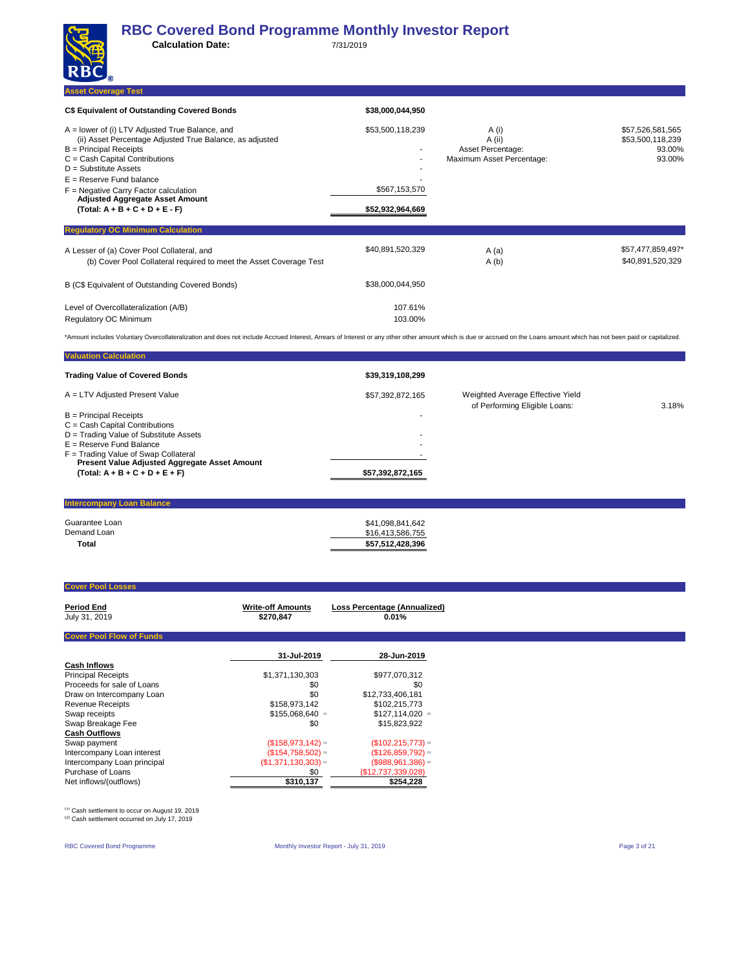| RBC)                                                                                                                                                                                                                                                                                                                                                        |                                                       |                                                                   |                                                          |
|-------------------------------------------------------------------------------------------------------------------------------------------------------------------------------------------------------------------------------------------------------------------------------------------------------------------------------------------------------------|-------------------------------------------------------|-------------------------------------------------------------------|----------------------------------------------------------|
| <b>Asset Coverage Test</b>                                                                                                                                                                                                                                                                                                                                  |                                                       |                                                                   |                                                          |
| C\$ Equivalent of Outstanding Covered Bonds                                                                                                                                                                                                                                                                                                                 | \$38,000,044,950                                      |                                                                   |                                                          |
| A = lower of (i) LTV Adjusted True Balance, and<br>(ii) Asset Percentage Adjusted True Balance, as adjusted<br>$B = Principal$ Receipts<br>C = Cash Capital Contributions<br>$D =$ Substitute Assets<br>$E =$ Reserve Fund balance<br>$F =$ Negative Carry Factor calculation<br><b>Adjusted Aggregate Asset Amount</b><br>$(Total: A + B + C + D + E - F)$ | \$53,500,118,239<br>\$567,153,570<br>\$52,932,964,669 | A (i)<br>A (ii)<br>Asset Percentage:<br>Maximum Asset Percentage: | \$57,526,581,565<br>\$53,500,118,239<br>93.00%<br>93.00% |
| <b>Regulatory OC Minimum Calculation</b>                                                                                                                                                                                                                                                                                                                    |                                                       |                                                                   |                                                          |
| A Lesser of (a) Cover Pool Collateral, and<br>(b) Cover Pool Collateral required to meet the Asset Coverage Test                                                                                                                                                                                                                                            | \$40,891,520,329                                      | A(a)<br>A(b)                                                      | \$57,477,859,497*<br>\$40,891,520,329                    |
| B (C\$ Equivalent of Outstanding Covered Bonds)                                                                                                                                                                                                                                                                                                             | \$38,000,044,950                                      |                                                                   |                                                          |
| Level of Overcollateralization (A/B)<br>Regulatory OC Minimum                                                                                                                                                                                                                                                                                               | 107.61%<br>103.00%                                    |                                                                   |                                                          |

\*Amount includes Voluntary Overcollateralization and does not include Accrued Interest, Arrears of Interest or any other other amount which is due or accrued on the Loans amount which has not been paid or capitalized.

| <b>Valuation Calculation</b>                         |                  |                                                                   |       |
|------------------------------------------------------|------------------|-------------------------------------------------------------------|-------|
| <b>Trading Value of Covered Bonds</b>                | \$39,319,108,299 |                                                                   |       |
| A = LTV Adjusted Present Value                       | \$57,392,872,165 | Weighted Average Effective Yield<br>of Performing Eligible Loans: | 3.18% |
| $B =$ Principal Receipts                             |                  |                                                                   |       |
| $C =$ Cash Capital Contributions                     |                  |                                                                   |       |
| D = Trading Value of Substitute Assets               |                  |                                                                   |       |
| $E =$ Reserve Fund Balance                           |                  |                                                                   |       |
| F = Trading Value of Swap Collateral                 |                  |                                                                   |       |
| <b>Present Value Adjusted Aggregate Asset Amount</b> |                  |                                                                   |       |
| $(Total: A + B + C + D + E + F)$                     | \$57,392,872,165 |                                                                   |       |
|                                                      |                  |                                                                   |       |

| <b>Intercompany Loan Balance</b> |                  |  |
|----------------------------------|------------------|--|
|                                  |                  |  |
| Guarantee Loan                   | \$41,098,841,642 |  |
| Demand Loan                      | \$16,413,586,755 |  |
| <b>Total</b>                     | \$57,512,428,396 |  |
|                                  |                  |  |

#### **Cover Pool Losses**

| <b>Period End</b><br>July 31, 2019 | <b>Write-off Amounts</b><br>\$270,847 | Loss Percentage (Annualized)<br>0.01% |
|------------------------------------|---------------------------------------|---------------------------------------|
| <b>Cover Pool Flow of Funds</b>    |                                       |                                       |
|                                    | 31-Jul-2019                           | 28-Jun-2019                           |
| <b>Cash Inflows</b>                |                                       |                                       |
| <b>Principal Receipts</b>          | \$1,371,130,303                       | \$977,070,312                         |
| Proceeds for sale of Loans         | \$0                                   | \$0                                   |
| Draw on Intercompany Loan          | \$0                                   | \$12,733,406,181                      |
| <b>Revenue Receipts</b>            | \$158,973,142                         | \$102,215,773                         |
| Swap receipts                      | \$155,068,640                         | $$127,114,020$ a                      |
| Swap Breakage Fee                  | \$0                                   | \$15,823,922                          |
| <b>Cash Outflows</b>               |                                       |                                       |
| Swap payment                       | (S158, 973, 142)                      | (S102, 215, 773)                      |
| Intercompany Loan interest         | (\$154,758,502)                       | (\$126,859,792)                       |
| Intercompany Loan principal        | $(S1, 371, 130, 303)$ or              | $(S988,961,386)$ <sup>a</sup>         |
| Purchase of Loans                  | \$0                                   | (\$12,737,339,028)                    |
| Net inflows/(outflows)             | \$310,137                             | \$254,228                             |

<sup>(1)</sup> Cash settlement to occur on August 19, 2019<br><sup>(2)</sup> Cash settlement occurred on July 17, 2019

RBC Covered Bond Programme **Monthly Investor Report - July 31, 2019** Page 3 of 21 Page 3 of 21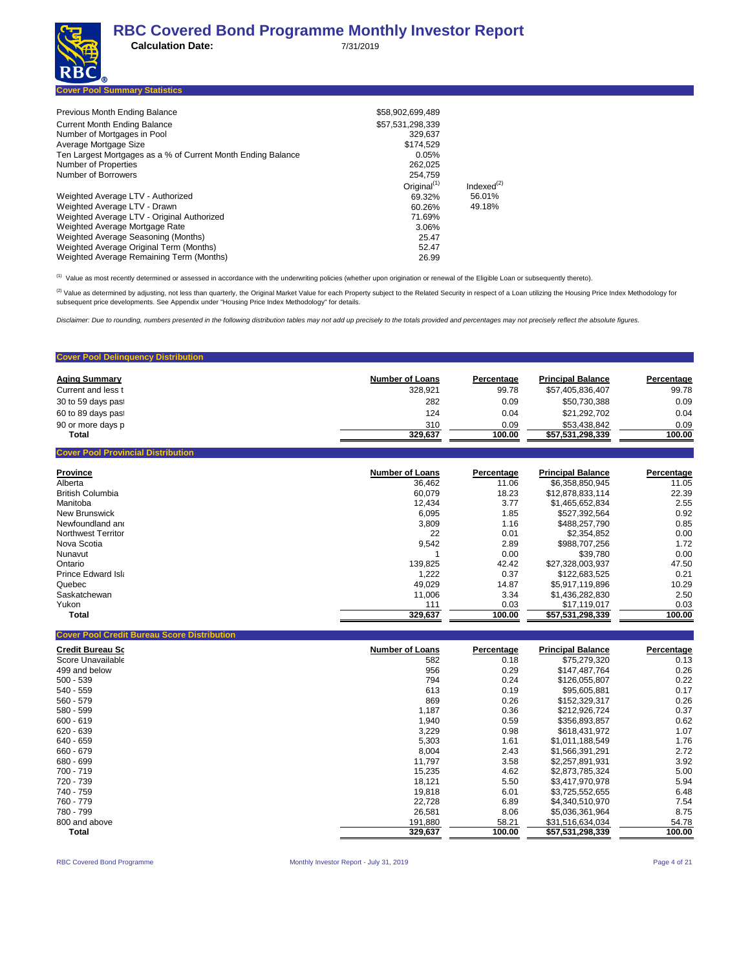| $\bf{NDC}_R$ |                                      |  |  |  |  |   |  |  |
|--------------|--------------------------------------|--|--|--|--|---|--|--|
|              | <b>Cover Pool Summary Statistics</b> |  |  |  |  |   |  |  |
|              |                                      |  |  |  |  | . |  |  |

| Previous Month Ending Balance                                | \$58,902,699,489 |                  |
|--------------------------------------------------------------|------------------|------------------|
| <b>Current Month Ending Balance</b>                          | \$57,531,298,339 |                  |
| Number of Mortgages in Pool                                  | 329.637          |                  |
| Average Mortgage Size                                        | \$174.529        |                  |
| Ten Largest Mortgages as a % of Current Month Ending Balance | 0.05%            |                  |
| Number of Properties                                         | 262.025          |                  |
| Number of Borrowers                                          | 254.759          |                  |
|                                                              | Original $(1)$   | Indexed $^{(2)}$ |
| Weighted Average LTV - Authorized                            | 69.32%           | 56.01%           |
| Weighted Average LTV - Drawn                                 | 60.26%           | 49.18%           |
| Weighted Average LTV - Original Authorized                   | 71.69%           |                  |
| Weighted Average Mortgage Rate                               | 3.06%            |                  |
| Weighted Average Seasoning (Months)                          | 25.47            |                  |
| Weighted Average Original Term (Months)                      | 52.47            |                  |
| Weighted Average Remaining Term (Months)                     | 26.99            |                  |

(1) Value as most recently determined or assessed in accordance with the underwriting policies (whether upon origination or renewal of the Eligible Loan or subsequently thereto).

<sup>(2)</sup> Value as determined by adjusting, not less than quarterly, the Original Market Value for each Property subject to the Related Security in respect of a Loan utilizing the Housing Price Index Methodology for subsequent price developments. See Appendix under "Housing Price Index Methodology" for details.

*Disclaimer: Due to rounding, numbers presented in the following distribution tables may not add up precisely to the totals provided and percentages may not precisely reflect the absolute figures.*

### **Cover Pool Delinquency Distribution Aging Summary <b>Percentage Principal Balance Principal Balance Principal Balance Percentage Principal Balance Percentage** Current and less t 328,921 99.78 \$57,405,836,407 99.78 30 to 59 days past 282 0.09 \$50,730,388 0.09 60 to 89 days past 124 0.04 \$21,292,702 0.04 90 or more days p 310 0.09 \$53,438,842 0.09 **Total 329,637** 100.00 **\$57,531,298,339** 100.00 **100.00 Cover Pool Provincial Distribution**

| <b>Province</b>           | <b>Number of Loans</b> | Percentage | <b>Principal Balance</b> | Percentage |
|---------------------------|------------------------|------------|--------------------------|------------|
| Alberta                   | 36.462                 | 11.06      | \$6,358,850,945          | 11.05      |
| <b>British Columbia</b>   | 60.079                 | 18.23      | \$12.878.833.114         | 22.39      |
| Manitoba                  | 12.434                 | 3.77       | \$1.465.652.834          | 2.55       |
| New Brunswick             | 6.095                  | 1.85       | \$527.392.564            | 0.92       |
| Newfoundland and          | 3,809                  | 1.16       | \$488,257,790            | 0.85       |
| <b>Northwest Territor</b> | 22                     | 0.01       | \$2.354.852              | 0.00       |
| Nova Scotia               | 9.542                  | 2.89       | \$988.707.256            | 1.72       |
| Nunavut                   |                        | 0.00       | \$39.780                 | 0.00       |
| Ontario                   | 139.825                | 42.42      | \$27.328.003.937         | 47.50      |
| Prince Edward Isla        | 1,222                  | 0.37       | \$122.683.525            | 0.21       |
| Quebec                    | 49.029                 | 14.87      | \$5,917,119,896          | 10.29      |
| Saskatchewan              | 11.006                 | 3.34       | \$1.436.282.830          | 2.50       |
| Yukon                     | 111                    | 0.03       | \$17.119.017             | 0.03       |
| <b>Total</b>              | 329,637                | 100.00     | \$57,531,298,339         | 100.00     |

| <b>Credit Bureau Sc</b> | <b>Number of Loans</b> | Percentage | <b>Principal Balance</b> | Percentage |
|-------------------------|------------------------|------------|--------------------------|------------|
| Score Unavailable       | 582                    | 0.18       | \$75,279,320             | 0.13       |
| 499 and below           | 956                    | 0.29       | \$147,487,764            | 0.26       |
| $500 - 539$             | 794                    | 0.24       | \$126,055,807            | 0.22       |
| 540 - 559               | 613                    | 0.19       | \$95,605,881             | 0.17       |
| $560 - 579$             | 869                    | 0.26       | \$152,329,317            | 0.26       |
| 580 - 599               | 1,187                  | 0.36       | \$212.926.724            | 0.37       |
| $600 - 619$             | 1,940                  | 0.59       | \$356,893,857            | 0.62       |
| 620 - 639               | 3,229                  | 0.98       | \$618,431,972            | 1.07       |
| 640 - 659               | 5,303                  | 1.61       | \$1,011,188,549          | 1.76       |
| 660 - 679               | 8,004                  | 2.43       | \$1.566.391.291          | 2.72       |
| 680 - 699               | 11,797                 | 3.58       | \$2,257,891,931          | 3.92       |
| 700 - 719               | 15,235                 | 4.62       | \$2,873,785,324          | 5.00       |
| 720 - 739               | 18,121                 | 5.50       | \$3,417,970,978          | 5.94       |
| 740 - 759               | 19,818                 | 6.01       | \$3,725,552,655          | 6.48       |
| 760 - 779               | 22,728                 | 6.89       | \$4,340,510,970          | 7.54       |
| 780 - 799               | 26,581                 | 8.06       | \$5,036,361,964          | 8.75       |
| 800 and above           | 191,880                | 58.21      | \$31,516,634,034         | 54.78      |
| Total                   | 329,637                | 100.00     | \$57,531,298,339         | 100.00     |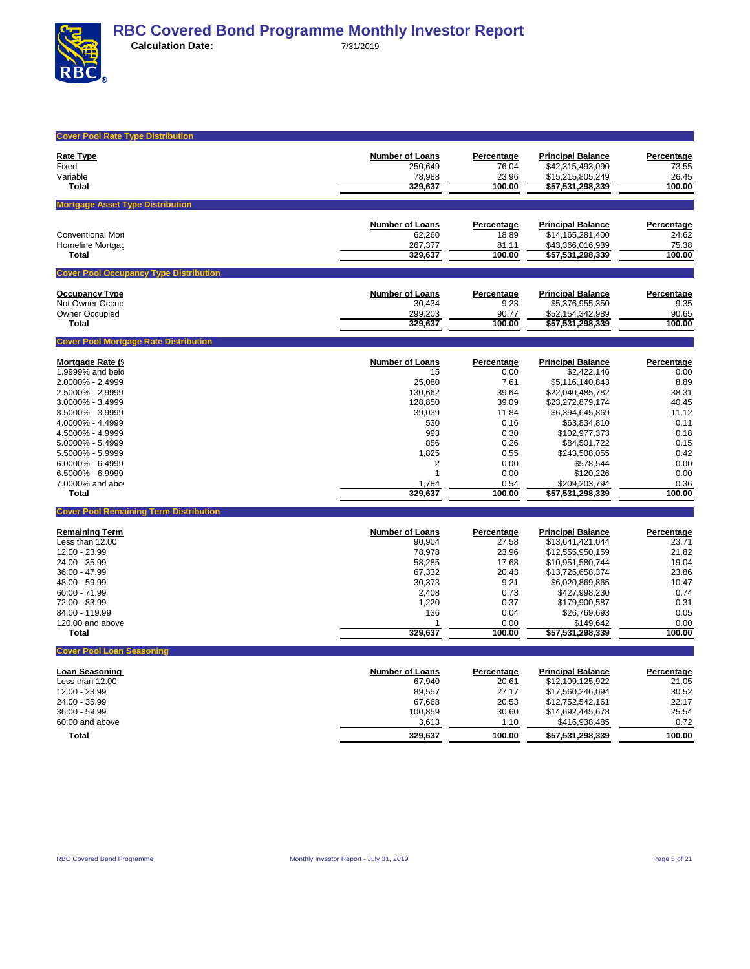

| <b>Cover Pool Rate Type Distribution</b>      |                        |                |                                      |                |
|-----------------------------------------------|------------------------|----------------|--------------------------------------|----------------|
| Rate Type                                     | <b>Number of Loans</b> | Percentage     | <b>Principal Balance</b>             | Percentage     |
| Fixed                                         | 250,649                | 76.04          | \$42,315,493,090                     | 73.55          |
| Variable                                      | 78,988                 | 23.96          | \$15,215,805,249                     | 26.45          |
| <b>Total</b>                                  | 329,637                | 100.00         | \$57,531,298,339                     | 100.00         |
| <b>Mortgage Asset Type Distribution</b>       |                        |                |                                      |                |
|                                               |                        |                |                                      |                |
|                                               | <b>Number of Loans</b> | Percentage     | <b>Principal Balance</b>             | Percentage     |
| <b>Conventional Mort</b>                      | 62.260                 | 18.89          | \$14.165.281.400                     | 24.62          |
| Homeline Mortgac                              | 267,377                | 81.11          | \$43,366,016,939                     | 75.38          |
| Total                                         | 329,637                | 100.00         | \$57,531,298,339                     | 100.00         |
| <b>Cover Pool Occupancy Type Distribution</b> |                        |                |                                      |                |
| <b>Occupancy Type</b>                         | <b>Number of Loans</b> | Percentage     | <b>Principal Balance</b>             | Percentage     |
| Not Owner Occup                               | 30,434                 | 9.23           | \$5,376,955,350                      | 9.35           |
| Owner Occupied                                | 299,203                | 90.77          | \$52,154,342,989                     | 90.65          |
| Total                                         | 329,637                | 100.00         | \$57,531,298,339                     | 100.00         |
| <b>Cover Pool Mortgage Rate Distribution</b>  |                        |                |                                      |                |
|                                               |                        |                |                                      |                |
| Mortgage Rate (9                              | <b>Number of Loans</b> | Percentage     | <b>Principal Balance</b>             | Percentage     |
| 1.9999% and belo<br>2.0000% - 2.4999          | 15<br>25,080           | 0.00<br>7.61   | \$2,422,146<br>\$5,116,140,843       | 0.00<br>8.89   |
| 2.5000% - 2.9999                              | 130,662                | 39.64          | \$22,040,485,782                     | 38.31          |
| 3.0000% - 3.4999                              | 128,850                | 39.09          | \$23,272,879,174                     | 40.45          |
| 3.5000% - 3.9999                              | 39,039                 | 11.84          | \$6,394,645,869                      | 11.12          |
| 4.0000% - 4.4999                              | 530                    | 0.16           | \$63,834,810                         | 0.11           |
| 4.5000% - 4.9999                              | 993                    | 0.30           | \$102,977,373                        | 0.18           |
| 5.0000% - 5.4999                              | 856                    | 0.26           | \$84,501,722                         | 0.15           |
| 5.5000% - 5.9999                              | 1,825                  | 0.55           | \$243,508,055                        | 0.42           |
| $6.0000\% - 6.4999$                           | $\overline{2}$         | 0.00           | \$578,544                            | 0.00           |
| 6.5000% - 6.9999                              | $\overline{1}$         | 0.00           | \$120,226                            | 0.00           |
| 7.0000% and abo<br><b>Total</b>               | 1,784<br>329,637       | 0.54<br>100.00 | \$209,203,794<br>\$57,531,298,339    | 0.36<br>100.00 |
|                                               |                        |                |                                      |                |
| <b>Cover Pool Remaining Term Distribution</b> |                        |                |                                      |                |
| <b>Remaining Term</b>                         | <b>Number of Loans</b> | Percentage     | <b>Principal Balance</b>             | Percentage     |
| Less than 12.00                               | 90,904                 | 27.58          | \$13,641,421,044                     | 23.71          |
| 12.00 - 23.99                                 | 78,978                 | 23.96          | \$12,555,950,159                     | 21.82          |
| 24.00 - 35.99                                 | 58,285                 | 17.68          | \$10,951,580,744                     | 19.04          |
| 36.00 - 47.99                                 | 67,332                 | 20.43          | \$13,726,658,374                     | 23.86          |
| 48.00 - 59.99                                 | 30,373                 | 9.21           | \$6,020,869,865                      | 10.47          |
| $60.00 - 71.99$<br>72.00 - 83.99              | 2,408<br>1,220         | 0.73<br>0.37   | \$427,998,230<br>\$179,900,587       | 0.74<br>0.31   |
| 84.00 - 119.99                                | 136                    | 0.04           | \$26,769,693                         | 0.05           |
| 120.00 and above                              | $\overline{1}$         | 0.00           | \$149,642                            | 0.00           |
| <b>Total</b>                                  | 329,637                | 100.00         | \$57,531,298,339                     | 100.00         |
| <b>Cover Pool Loan Seasoning</b>              |                        |                |                                      |                |
|                                               |                        |                |                                      |                |
| Loan Seasoning                                | <b>Number of Loans</b> | Percentage     | <b>Principal Balance</b>             | Percentage     |
| Less than 12.00<br>12.00 - 23.99              | 67,940                 | 20.61          | \$12,109,125,922                     | 21.05          |
| 24.00 - 35.99                                 | 89,557<br>67,668       | 27.17<br>20.53 | \$17,560,246,094<br>\$12,752,542,161 | 30.52<br>22.17 |
| 36.00 - 59.99                                 | 100,859                | 30.60          | \$14,692,445,678                     | 25.54          |
| 60.00 and above                               | 3,613                  | 1.10           | \$416,938,485                        | 0.72           |
| <b>Total</b>                                  | 329,637                | 100.00         | \$57,531,298,339                     | 100.00         |
|                                               |                        |                |                                      |                |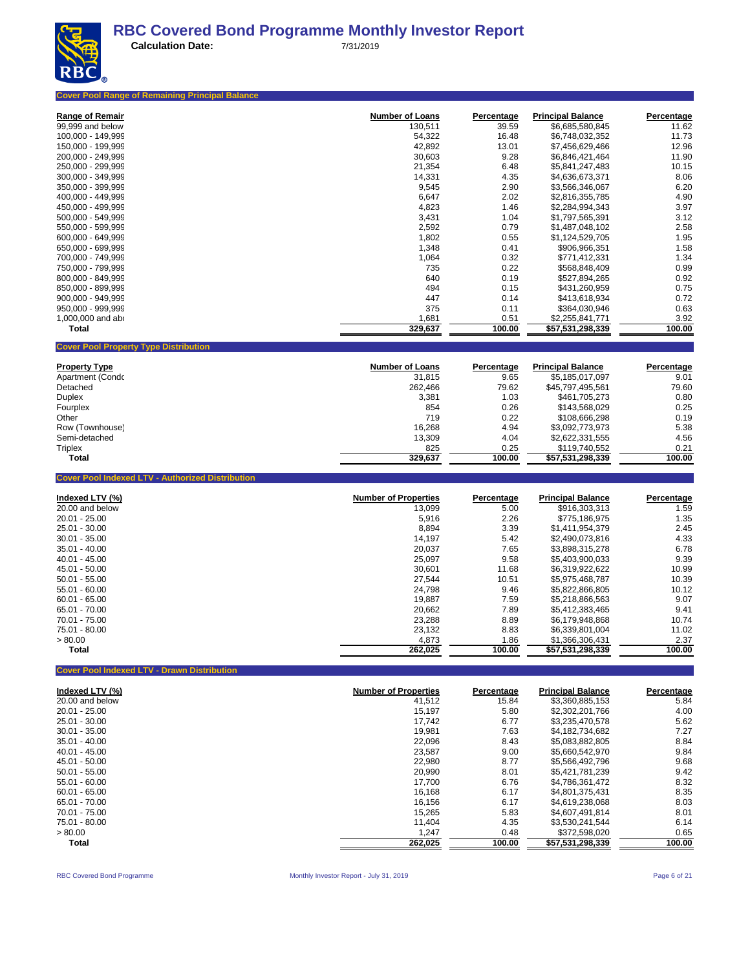

| <b>Cover Pool Range of Remaining Principal Balance</b>  |                        |            |                          |            |
|---------------------------------------------------------|------------------------|------------|--------------------------|------------|
| <b>Range of Remair</b>                                  | <b>Number of Loans</b> | Percentage | <b>Principal Balance</b> | Percentage |
| 99,999 and below                                        | 130,511                | 39.59      | \$6,685,580,845          | 11.62      |
| 100,000 - 149,999                                       | 54,322                 | 16.48      | \$6,748,032,352          | 11.73      |
| 150,000 - 199,999                                       | 42,892                 | 13.01      | \$7,456,629,466          | 12.96      |
| 200,000 - 249,999                                       | 30,603                 | 9.28       | \$6,846,421,464          | 11.90      |
| 250,000 - 299,999                                       | 21,354                 | 6.48       | \$5,841,247,483          | 10.15      |
| 300,000 - 349,999                                       | 14,331                 | 4.35       | \$4,636,673,371          | 8.06       |
| 350.000 - 399.999                                       | 9,545                  | 2.90       | \$3,566,346,067          | 6.20       |
| 400,000 - 449,999                                       | 6,647                  | 2.02       | \$2,816,355,785          | 4.90       |
| 450,000 - 499,999                                       | 4,823                  | 1.46       | \$2,284,994,343          | 3.97       |
| 500,000 - 549,999                                       | 3,431                  | 1.04       | \$1,797,565,391          | 3.12       |
| 550,000 - 599,999                                       | 2,592                  | 0.79       | \$1,487,048,102          | 2.58       |
| 600,000 - 649,999                                       | 1,802                  | 0.55       | \$1,124,529,705          | 1.95       |
| 650,000 - 699,999                                       | 1,348                  | 0.41       | \$906,966,351            | 1.58       |
| 700,000 - 749,999                                       | 1,064                  | 0.32       | \$771,412,331            | 1.34       |
| 750,000 - 799,999                                       | 735                    | 0.22       | \$568,848,409            | 0.99       |
| 800,000 - 849,999                                       | 640                    | 0.19       | \$527,894,265            | 0.92       |
| 850.000 - 899.999                                       | 494                    | 0.15       | \$431,260,959            | 0.75       |
| 900,000 - 949,999                                       | 447                    | 0.14       | \$413,618,934            | 0.72       |
| 950,000 - 999,999                                       | 375                    | 0.11       | \$364,030,946            | 0.63       |
| 1,000,000 and abo                                       | 1,681                  | 0.51       | \$2,255,841,771          | 3.92       |
| <b>Total</b>                                            | 329,637                | 100.00     | \$57,531,298,339         | 100.00     |
| <b>Cover Pool Property Type Distribution</b>            |                        |            |                          |            |
| <b>Property Type</b>                                    | <b>Number of Loans</b> | Percentage | <b>Principal Balance</b> | Percentage |
| Apartment (Condo                                        | 31,815                 | 9.65       | \$5,185,017,097          | 9.01       |
| Detached                                                | 262,466                | 79.62      | \$45,797,495,561         | 79.60      |
| <b>Duplex</b>                                           | 3,381                  | 1.03       | \$461,705,273            | 0.80       |
| Fourplex                                                | 854                    | 0.26       | \$143,568,029            | 0.25       |
| Other                                                   | 719                    | 0.22       | \$108,666,298            | 0.19       |
| Row (Townhouse)                                         | 16,268                 | 4.94       | \$3,092,773,973          | 5.38       |
| Semi-detached                                           | 13,309                 | 4.04       | \$2,622,331,555          | 4.56       |
| <b>Triplex</b>                                          | 825                    | 0.25       | \$119,740,552            | 0.21       |
| <b>Total</b>                                            | 329,637                | 100.00     | \$57,531,298,339         | 100.00     |
| <b>Cover Pool Indexed LTV - Authorized Distribution</b> |                        |            |                          |            |
| Indexed LTV (%)                                         | Number of Properties   | Percentage | <b>Principal Balance</b> | Percentage |
| 20.00 and below                                         | 13.099                 | 5.00       | \$916,303,313            | 1.59       |
| $20.01 - 25.00$                                         | 5.916                  | 2.26       | <b>¢775 186 075</b>      | 1.35       |

| 20.00 and below | 13,099  | 5.00   | \$916,303,313    | 1.59   |
|-----------------|---------|--------|------------------|--------|
| $20.01 - 25.00$ | 5.916   | 2.26   | \$775,186,975    | 1.35   |
| 25.01 - 30.00   | 8.894   | 3.39   | \$1.411.954.379  | 2.45   |
| $30.01 - 35.00$ | 14,197  | 5.42   | \$2.490.073.816  | 4.33   |
| $35.01 - 40.00$ | 20.037  | 7.65   | \$3.898.315.278  | 6.78   |
| $40.01 - 45.00$ | 25,097  | 9.58   | \$5,403,900,033  | 9.39   |
| 45.01 - 50.00   | 30,601  | 11.68  | \$6,319,922,622  | 10.99  |
| $50.01 - 55.00$ | 27,544  | 10.51  | \$5,975,468,787  | 10.39  |
| 55.01 - 60.00   | 24.798  | 9.46   | \$5.822.866.805  | 10.12  |
| $60.01 - 65.00$ | 19,887  | 7.59   | \$5,218,866,563  | 9.07   |
| 65.01 - 70.00   | 20.662  | 7.89   | \$5.412.383.465  | 9.41   |
| 70.01 - 75.00   | 23,288  | 8.89   | \$6.179.948.868  | 10.74  |
| 75.01 - 80.00   | 23.132  | 8.83   | \$6,339,801,004  | 11.02  |
| > 80.00         | 4,873   | 1.86   | \$1,366,306,431  | 2.37   |
| Total           | 262,025 | 100.00 | \$57,531,298,339 | 100.00 |
|                 |         |        |                  |        |

**Cover Pool Indexed LTV - Drawn Distribution**

| Indexed LTV (%) | <b>Number of Properties</b> | Percentage | <b>Principal Balance</b> | Percentage |
|-----------------|-----------------------------|------------|--------------------------|------------|
| 20.00 and below | 41,512                      | 15.84      | \$3,360,885,153          | 5.84       |
| $20.01 - 25.00$ | 15,197                      | 5.80       | \$2,302,201,766          | 4.00       |
| 25.01 - 30.00   | 17.742                      | 6.77       | \$3.235.470.578          | 5.62       |
| $30.01 - 35.00$ | 19.981                      | 7.63       | \$4.182.734.682          | 7.27       |
| $35.01 - 40.00$ | 22,096                      | 8.43       | \$5,083,882,805          | 8.84       |
| $40.01 - 45.00$ | 23.587                      | 9.00       | \$5.660.542.970          | 9.84       |
| 45.01 - 50.00   | 22.980                      | 8.77       | \$5.566.492.796          | 9.68       |
| $50.01 - 55.00$ | 20,990                      | 8.01       | \$5.421.781.239          | 9.42       |
| $55.01 - 60.00$ | 17.700                      | 6.76       | \$4.786.361.472          | 8.32       |
| $60.01 - 65.00$ | 16,168                      | 6.17       | \$4.801.375.431          | 8.35       |
| 65.01 - 70.00   | 16,156                      | 6.17       | \$4.619.238.068          | 8.03       |
| 70.01 - 75.00   | 15,265                      | 5.83       | \$4.607.491.814          | 8.01       |
| 75.01 - 80.00   | 11.404                      | 4.35       | \$3.530.241.544          | 6.14       |
| > 80.00         | 1,247                       | 0.48       | \$372,598,020            | 0.65       |
| <b>Total</b>    | 262,025                     | 100.00     | \$57,531,298,339         | 100.00     |

RBC Covered Bond Programme **Monthly Investor Report - July 31, 2019** Page 6 of 21 Page 6 of 21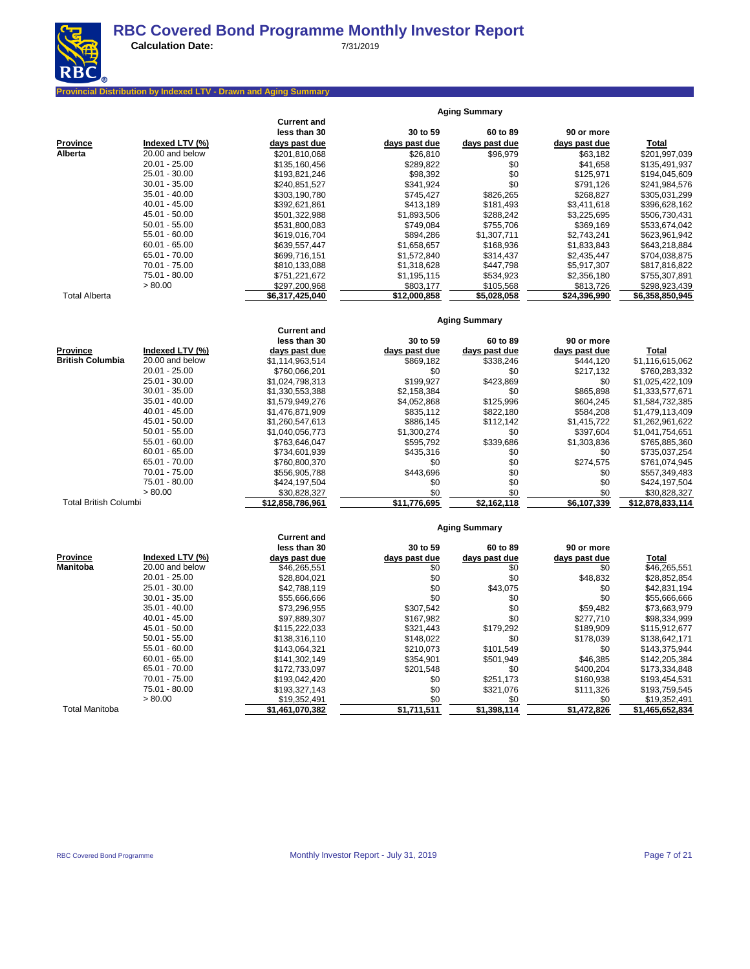

**Calculation Date:** 7/31/2019

### **Pribution by Indexed LTV - Drawn and Aging Summary**

|                 |                 | <b>Current and</b><br>less than 30 | 30 to 59      | 60 to 89      | 90 or more    |                 |
|-----------------|-----------------|------------------------------------|---------------|---------------|---------------|-----------------|
| <b>Province</b> | Indexed LTV (%) | days past due                      | days past due | days past due | days past due | Total           |
| Alberta         | 20.00 and below | \$201,810,068                      | \$26,810      | \$96,979      | \$63,182      | \$201,997,039   |
|                 | $20.01 - 25.00$ | \$135,160,456                      | \$289,822     | \$0           | \$41,658      | \$135,491,937   |
|                 | 25.01 - 30.00   | \$193,821,246                      | \$98,392      | \$0           | \$125,971     | \$194,045,609   |
|                 | $30.01 - 35.00$ | \$240.851.527                      | \$341.924     | \$0           | \$791.126     | \$241,984,576   |
|                 | $35.01 - 40.00$ | \$303.190.780                      | \$745.427     | \$826,265     | \$268.827     | \$305,031,299   |
|                 | $40.01 - 45.00$ | \$392.621.861                      | \$413.189     | \$181.493     | \$3.411.618   | \$396,628,162   |
|                 | 45.01 - 50.00   | \$501,322,988                      | \$1,893,506   | \$288,242     | \$3,225,695   | \$506,730,431   |
|                 | $50.01 - 55.00$ | \$531,800,083                      | \$749.084     | \$755,706     | \$369,169     | \$533,674,042   |
|                 | $55.01 - 60.00$ | \$619,016,704                      | \$894.286     | \$1,307,711   | \$2,743,241   | \$623,961,942   |
|                 | $60.01 - 65.00$ | \$639,557,447                      | \$1,658,657   | \$168.936     | \$1,833,843   | \$643,218,884   |
|                 | 65.01 - 70.00   | \$699.716.151                      | \$1.572.840   | \$314.437     | \$2,435,447   | \$704,038,875   |
|                 | 70.01 - 75.00   | \$810,133,088                      | \$1,318,628   | \$447.798     | \$5,917,307   | \$817,816,822   |
|                 | 75.01 - 80.00   | \$751,221,672                      | \$1,195,115   | \$534,923     | \$2,356,180   | \$755,307,891   |
|                 | > 80.00         | \$297,200,968                      | \$803,177     | \$105,568     | \$813,726     | \$298,923,439   |
| Total Alberta   |                 | \$6,317,425,040                    | \$12,000,858  | \$5,028,058   | \$24,396,990  | \$6,358,850,945 |

**Aging Summary**

**Aging Summary**

#### **Current and** less than 30 **30** to 59 **60** to 89 **90** or more **Province Indexed LTV (%) days past due days past due days past due days past due days past due Total**<br> **British Columbia** 20.00 and below \$1,114,963,514 \$869,182 \$338,246 \$444,120 \$1,116,615,062 **British Columbia** 20.00 and below \$1,114,963,514 \$869,182 \$338,246 \$444,120 \$1,116,615,062 20.01 - 25.00 \$760,066,201 \$760,066,201 \$0 \$0 \$217,132 \$760,283,332 25.01 - 30.00 \$1,024,798,313 \$199,927 \$423,869 \$0 \$1,025,422,109 30.01 - 35.00 \$1,330,553,388 \$2,158,384 \$2,158,384 \$865,898<br>35.01 - 40.00 \$1,579,949.276 \$4,052,868 \$125,996 \$604.245 35.01 - 40.00 \$1,579,949,276 \$4,052,868 \$125,996 \$604,245 \$1,584,732,385<br>40.01 - 45.00 \$1,476,871,909 \$835,112 \$822,180 \$584,208 \$1,479,113,409 40.01 - 45.00 \$1,476,871,909 \$835,112 \$822,180 \$584,208 \$1,479,113,409 45.01 - 50.00 \$1,260,547,613 \$886,145 \$112,142 \$1,415,722 \$1,262,961,622<br>50.01 - 55.00 \$1.040,056,773 \$1,300,274 \$1,300,274 \$0 \$397,604 \$1,041,754,651 50.01 - 55.00 \$1,040,056,773 \$1,300,274 \$0 \$397,604 \$1,041,754,651 55.01 - 60.00 \$763,646,047 \$595,792 \$339,686 \$1,303,836 \$765,885,360 60.01 - 65.00 \$734,601,939 \$435,316 \$0 \$0 \$735,037,254 65.01 - 70.00 \$760,800,370 \$1 \$1,074,945 \$0 \$274,575 \$761,074,945 70.01 - 75.00 \$556,905,788 \$443,696 \$0 \$0 \$557,349,483 75.01 - 80.00 \$424,197,504 \$0 \$0 \$0 \$424,197,504 كة 90.00 \$30,828,327 \$30,828,327 \$0 \$0 \$0 \$0 \$30,828,327 \$10.00 \$0 \$30,828,327 \$10.00 \$10 \$30,828,327 \$10.00 \$ Total British Columbi **1991 512,858,786,961 \$12,858,786,961** \$11,776,695 \$2,162,118 \$6,107,339 \$12,878,833,114 **Aging Summary**

#### **Current and less than 30 30 to 59 60 to 89 90 or more Province Indexed LTV (%) days past due days past due days past due days past due Total Manitoba** 20.00 and below \$46,265,551 \$0 \$0 \$0 \$0 \$0 \$16,265,551 20.01 - 25.00 \$28,852,854,021 \$28,804,021 \$0 \$0 \$48,832 \$28,852,854 25.01 - 30.00 \$42,831,194 \$42,788,119 \$0 \$43,075 \$0 \$42,831,194 30.01 - 35.00 \$55,666,666 \$55,666,666 \$0 \$0 \$0 \$0 \$0 \$55,666,666 \$0 \$55,666,666 35.01 - 40.00 \$73,296,955 \$307,542 \$307,542 \$30 \$59,482 \$73,663,979 40.01 - 45.00 \$97,889,307 \$167,982 \$0 \$277,710 \$98,334,999 45.01 - 50.00 \$115,222,033 \$321,443 \$179,292 \$189,909 \$115,912,677 50.01 - 55.00 \$138,316,110 \$148,022 \$101,549 \$178,039 \$138,642,171<br>55.01 - 50.00 \$143,375,944 \$210,073 \$101,549 \$0 \$143,375,944 55.01 - 60.00 \$143,064,321 \$210,073 \$101,549 \$0 \$143,375,944 60.01 - 65.00 \$141,302,149 \$354,901 \$501,949 \$46,385 \$142,205,384 65.01 - 70.00 \$172,733,097 \$201,548 \$0 \$400,204 \$173,334,848 70.01 - 75.00 \$193,042,420 \$193,042,420 \$0 \$251,173 \$160,938 \$193,454,531 75.01 - 80.00 \$193,327,143 \$0 \$321,076 \$111,326 \$193,759,545 ك 50.00 \$19,352,491 \$19,352,491 \$0 \$0 \$0 \$0 \$19,352,491 \$0 \$19,352,491 \$19,552,491 Total Manitoba **\$1,461,070,382 \$1,711,511 \$1,398,114 \$1,472,826 \$1,465,652,834**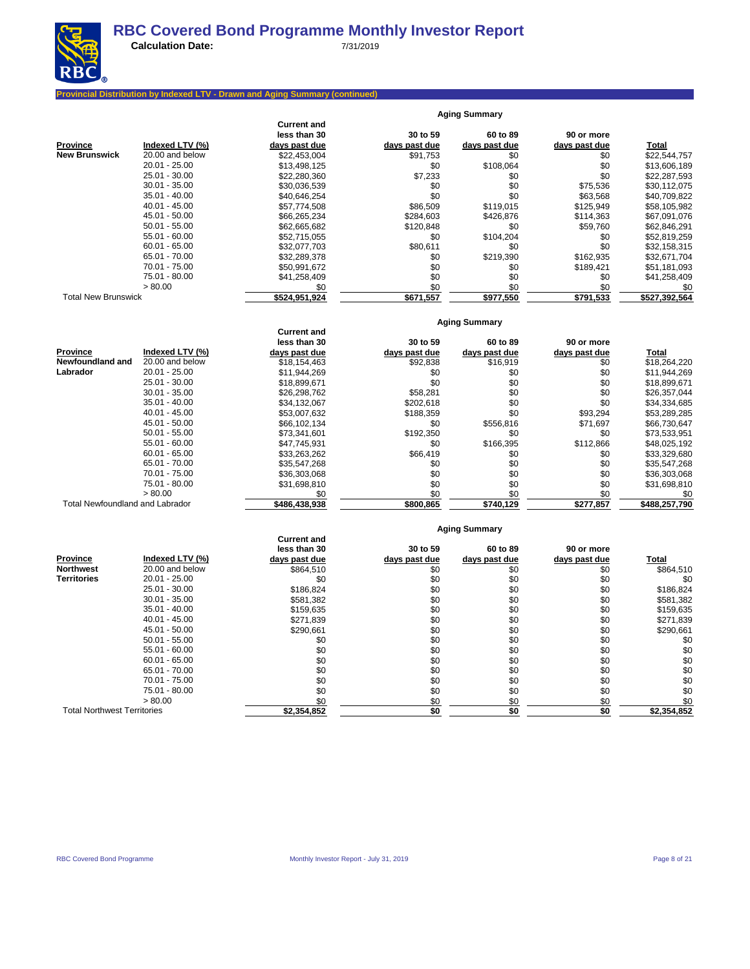

#### **Provincial Distribution by Indexed LTV - Drawn and Aging Summary (continued)**

|                            |                 |                                    |               | <b>Aging Summary</b> |               |               |
|----------------------------|-----------------|------------------------------------|---------------|----------------------|---------------|---------------|
|                            |                 | <b>Current and</b><br>less than 30 | 30 to 59      | 60 to 89             | 90 or more    |               |
| <b>Province</b>            | Indexed LTV (%) | days past due                      | days past due | days past due        | days past due | <b>Total</b>  |
| <b>New Brunswick</b>       | 20.00 and below | \$22,453,004                       | \$91,753      | \$0                  | \$0           | \$22,544,757  |
|                            | $20.01 - 25.00$ | \$13,498,125                       | \$0           | \$108,064            | \$0           | \$13,606,189  |
|                            | $25.01 - 30.00$ | \$22,280,360                       | \$7,233       | \$0                  | \$0           | \$22,287,593  |
|                            | $30.01 - 35.00$ | \$30,036,539                       | \$0           | \$0                  | \$75,536      | \$30,112,075  |
|                            | $35.01 - 40.00$ | \$40,646,254                       | \$0           | \$0                  | \$63,568      | \$40,709,822  |
|                            | $40.01 - 45.00$ | \$57,774,508                       | \$86,509      | \$119,015            | \$125,949     | \$58,105,982  |
|                            | $45.01 - 50.00$ | \$66,265,234                       | \$284,603     | \$426,876            | \$114,363     | \$67,091,076  |
|                            | $50.01 - 55.00$ | \$62,665,682                       | \$120,848     | \$0                  | \$59,760      | \$62,846,291  |
|                            | $55.01 - 60.00$ | \$52.715.055                       | \$0           | \$104,204            | \$0           | \$52,819,259  |
|                            | $60.01 - 65.00$ | \$32,077,703                       | \$80,611      | \$0                  | \$0           | \$32,158,315  |
|                            | 65.01 - 70.00   | \$32,289,378                       | \$0           | \$219,390            | \$162,935     | \$32,671,704  |
|                            | 70.01 - 75.00   | \$50,991,672                       | \$0           | \$0                  | \$189,421     | \$51,181,093  |
|                            | 75.01 - 80.00   | \$41,258,409                       | \$0           | \$0                  | \$0           | \$41,258,409  |
|                            | > 80.00         | \$0                                | \$0           | \$0                  | \$0           | \$0           |
| <b>Total New Brunswick</b> |                 | \$524,951,924                      | \$671,557     | \$977,550            | \$791,533     | \$527,392,564 |

### **Aging Summary**

**Aging Summary**

|                                        |                 | <b>Current and</b><br>less than 30 | 30 to 59      | 60 to 89      | 90 or more    |               |
|----------------------------------------|-----------------|------------------------------------|---------------|---------------|---------------|---------------|
| <b>Province</b>                        | Indexed LTV (%) | days past due                      | days past due | days past due | days past due | Total         |
| Newfoundland and                       | 20.00 and below | \$18,154,463                       | \$92,838      | \$16,919      | \$0           | \$18,264,220  |
| Labrador                               | $20.01 - 25.00$ | \$11,944,269                       | \$0           | \$0           | \$0           | \$11,944,269  |
|                                        | 25.01 - 30.00   | \$18,899,671                       | \$0           | \$0           | \$0           | \$18,899,671  |
|                                        | $30.01 - 35.00$ | \$26,298,762                       | \$58,281      | \$0           | \$0           | \$26,357,044  |
|                                        | $35.01 - 40.00$ | \$34,132,067                       | \$202,618     | \$0           | \$0           | \$34,334,685  |
|                                        | $40.01 - 45.00$ | \$53,007,632                       | \$188,359     | \$0           | \$93,294      | \$53,289,285  |
|                                        | 45.01 - 50.00   | \$66,102,134                       | \$0           | \$556,816     | \$71,697      | \$66,730,647  |
|                                        | $50.01 - 55.00$ | \$73.341.601                       | \$192,350     | \$0           | \$0           | \$73,533,951  |
|                                        | $55.01 - 60.00$ | \$47.745.931                       | \$0           | \$166,395     | \$112,866     | \$48,025,192  |
|                                        | $60.01 - 65.00$ | \$33,263,262                       | \$66,419      | \$0           | \$0           | \$33,329,680  |
|                                        | 65.01 - 70.00   | \$35,547,268                       | \$0           | \$0           | \$0           | \$35,547,268  |
|                                        | 70.01 - 75.00   | \$36,303,068                       | \$0           | \$0           | \$0           | \$36,303,068  |
|                                        | 75.01 - 80.00   | \$31,698,810                       | \$0           | \$0           | \$0           | \$31,698,810  |
|                                        | > 80.00         | \$0                                | \$0           | \$0           | \$0           | \$0           |
| <b>Total Newfoundland and Labrador</b> |                 | \$486,438,938                      | \$800.865     | \$740,129     | \$277,857     | \$488.257.790 |

|                                    |                 |                    |               | Aging Summary |               |             |
|------------------------------------|-----------------|--------------------|---------------|---------------|---------------|-------------|
|                                    |                 | <b>Current and</b> |               |               |               |             |
|                                    |                 | less than 30       | 30 to 59      | 60 to 89      | 90 or more    |             |
| <b>Province</b>                    | Indexed LTV (%) | days past due      | days past due | days past due | days past due | Total       |
| <b>Northwest</b>                   | 20.00 and below | \$864,510          | \$0           | \$0           | \$0           | \$864,510   |
| <b>Territories</b>                 | $20.01 - 25.00$ | \$0                | \$0           | \$0           | \$0           | \$0         |
|                                    | $25.01 - 30.00$ | \$186,824          | \$0           | \$0           | \$0           | \$186,824   |
|                                    | $30.01 - 35.00$ | \$581,382          | \$0           | \$0           | \$0           | \$581,382   |
|                                    | $35.01 - 40.00$ | \$159,635          | \$0           | \$0           | \$0           | \$159,635   |
|                                    | $40.01 - 45.00$ | \$271,839          | \$0           | \$0           | \$0           | \$271,839   |
|                                    | 45.01 - 50.00   | \$290,661          | \$0           | \$0           | \$0           | \$290,661   |
|                                    | $50.01 - 55.00$ | \$0                | \$0           | \$0           | \$0           | \$0         |
|                                    | $55.01 - 60.00$ | \$0                | \$0           | \$0           | \$0           | \$0         |
|                                    | $60.01 - 65.00$ | \$0                | \$0           | \$0           | \$0           | \$0         |
|                                    | 65.01 - 70.00   | \$0                | \$0           | \$0           | \$0           | \$0         |
|                                    | 70.01 - 75.00   | \$0                | \$0           | \$0           | \$0           | \$0         |
|                                    | 75.01 - 80.00   | \$0                | \$0           | \$0           | \$0           | \$0         |
|                                    | > 80.00         | \$0                | \$0           | \$0           | \$0           | \$0         |
| <b>Total Northwest Territories</b> |                 | \$2,354,852        | \$0           | \$0           | \$0           | \$2,354,852 |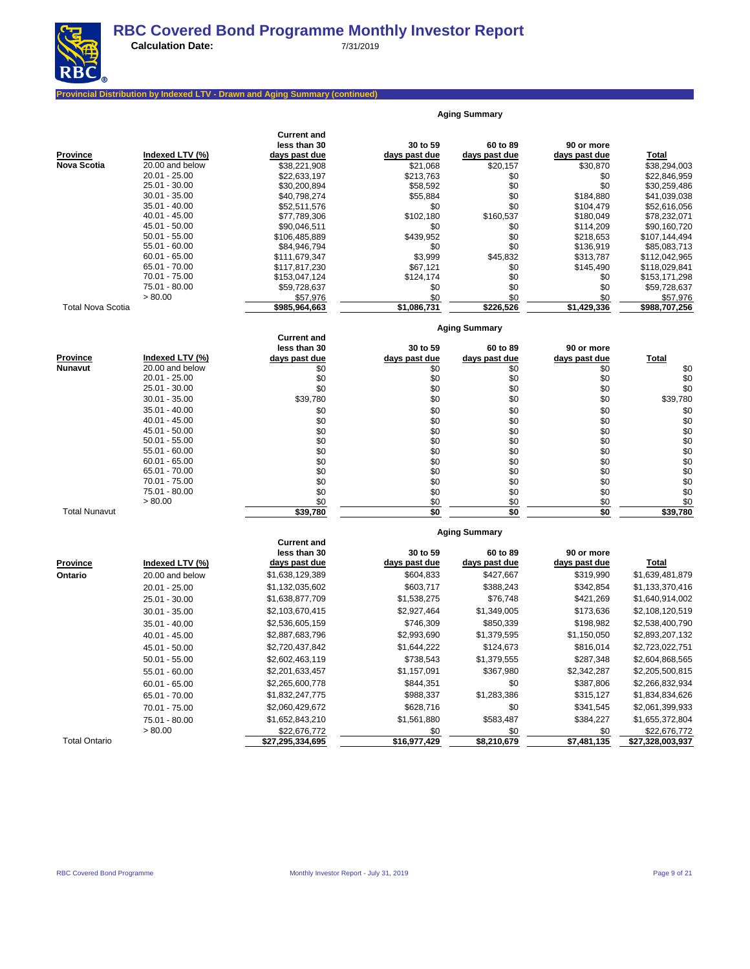

**Aging Summary**

#### **Provincial Distribution by Indexed LTV - Drawn and Aging Summary (continued)**

| less than 30<br>30 to 59<br>60 to 89<br>90 or more<br><b>Province</b><br>Indexed LTV (%)<br><b>Total</b><br>days past due<br>days past due<br>days past due<br>days past due<br><b>Nova Scotia</b><br>20.00 and below<br>\$38,221,908<br>\$21,068<br>\$20,157<br>\$30,870<br>\$38,294,003<br>$20.01 - 25.00$<br>\$0<br>\$22,846,959<br>\$22,633,197<br>\$213,763<br>\$0<br>25.01 - 30.00<br>\$30,200,894<br>\$58,592<br>\$0<br>\$0<br>\$30,259,486<br>$30.01 - 35.00$<br>\$0<br>\$40,798,274<br>\$55,884<br>\$184,880<br>\$41,039,038<br>$35.01 - 40.00$<br>\$0<br>\$52,511,576<br>\$0<br>\$104,479<br>\$52,616,056<br>40.01 - 45.00<br>\$102,180<br>\$160,537<br>\$77,789,306<br>\$180,049<br>\$78,232,071<br>45.01 - 50.00<br>\$0<br>\$0<br>\$90,046,511<br>\$114,209<br>\$90,160,720<br>$50.01 - 55.00$<br>\$0<br>\$439,952<br>\$106,485,889<br>\$218,653<br>\$107,144,494<br>$55.01 - 60.00$<br>\$0<br>\$84,946,794<br>\$0<br>\$136,919<br>\$85,083,713<br>$60.01 - 65.00$<br>\$45,832<br>\$3,999<br>\$313,787<br>\$111,679,347<br>\$112,042,965<br>65.01 - 70.00<br>\$0<br>\$67,121<br>\$145,490<br>\$118,029,841<br>\$117,817,230<br>70.01 - 75.00<br>\$0<br>\$153,047,124<br>\$124,174<br>\$0<br>\$153,171,298<br>75.01 - 80.00<br>\$0<br>\$0<br>\$0<br>\$59,728,637<br>\$59,728,637<br>> 80.00<br>\$57,976<br>\$0<br>\$0<br>\$0<br>\$57,976<br><b>Total Nova Scotia</b><br>\$985,964,663<br>\$1,086,731<br>\$226,526<br>\$1,429,336<br>\$988,707,256<br><b>Aging Summary</b><br><b>Current and</b><br>less than 30<br>30 to 59<br>60 to 89<br>90 or more<br><b>Province</b><br>Indexed LTV (%)<br>days past due<br>Total<br>days past due<br>days past due<br>days past due<br><b>Nunavut</b><br>20.00 and below<br>\$0<br>\$0<br>\$0<br>\$0<br>\$0<br>20.01 - 25.00<br>\$0<br>\$0<br>\$0<br>\$0<br>\$0<br>25.01 - 30.00<br>\$0<br>\$0<br>\$0<br>\$0<br>\$0<br>\$39,780<br>\$0<br>\$39,780<br>\$0<br>\$0<br>$30.01 - 35.00$<br>$35.01 - 40.00$<br>\$0<br>\$0<br>\$0<br>\$0<br>\$0<br>$40.01 - 45.00$<br>\$0<br>\$0<br>\$0<br>\$0<br>\$0<br>\$0<br>45.01 - 50.00<br>\$0<br>\$0<br>\$0<br>\$0<br>\$0<br>$50.01 - 55.00$<br>\$0<br>\$0<br>\$0<br>\$0<br>\$0<br>$55.01 - 60.00$<br>\$0<br>\$0<br>\$0<br>\$0<br>\$0<br>$60.01 - 65.00$<br>\$0<br>\$0<br>\$0<br>\$0<br>\$0<br>$65.01 - 70.00$<br>\$0<br>\$0<br>\$0<br>\$0<br>\$0<br>70.01 - 75.00<br>\$0<br>\$0<br>\$0<br>\$0<br>\$0<br>75.01 - 80.00<br>\$0<br>\$0<br>\$0<br>\$0<br>\$0<br>> 80.00<br>\$0<br>\$0<br>\$0<br>\$0<br>\$39,780<br>\$0<br><b>Total Nunavut</b><br>\$0<br>\$0<br>\$39,780<br><b>Aging Summary</b><br><b>Current and</b><br>less than 30<br>30 to 59<br>60 to 89<br>90 or more<br>days past due<br>days past due<br>days past due<br>days past due<br>Total<br><b>Province</b><br>Indexed LTV (%)<br>\$1,638,129,389<br>\$604,833<br>\$427,667<br>\$319,990<br>\$1,639,481,879<br>Ontario<br>20.00 and below<br>\$1,132,035,602<br>\$603,717<br>\$388,243<br>\$342,854<br>$20.01 - 25.00$<br>\$1,133,370,416<br>\$1,638,877,709<br>\$1,538,275<br>\$76,748<br>\$421,269<br>\$1,640,914,002<br>25.01 - 30.00<br>\$2,927,464<br>\$1,349,005<br>\$173,636<br>\$2,103,670,415<br>\$2,108,120,519<br>$30.01 - 35.00$<br>\$2,536,605,159<br>\$746,309<br>\$850,339<br>\$198,982<br>\$2,538,400,790<br>$35.01 - 40.00$<br>$40.01 - 45.00$<br>\$2,887,683,796<br>\$2,993,690<br>\$1,379,595<br>\$1,150,050<br>\$2,893,207,132<br>\$2,720,437,842<br>\$1,644,222<br>\$124,673<br>\$816,014<br>\$2,723,022,751<br>45.01 - 50.00<br>\$2,602,463,119<br>\$738,543<br>\$1,379,555<br>\$287,348<br>\$2,604,868,565<br>$50.01 - 55.00$<br>\$367,980<br>\$2,342,287<br>\$2,205,500,815<br>\$2,201,633,457<br>\$1,157,091<br>$55.01 - 60.00$<br>\$387,806<br>\$2,265,600,778<br>\$844,351<br>\$0<br>\$2,266,832,934<br>$60.01 - 65.00$<br>\$1,283,386<br>\$1,832,247,775<br>\$988,337<br>\$315,127<br>\$1,834,834,626<br>65.01 - 70.00<br>\$2,060,429,672<br>\$628,716<br>\$0<br>\$341,545<br>\$2,061,399,933<br>70.01 - 75.00<br>\$583,487<br>\$1,561,880<br>\$384,227<br>\$1,652,843,210<br>\$1,655,372,804<br>75.01 - 80.00<br>> 80.00<br>\$0<br>\$0<br>\$22,676,772<br>\$22,676,772<br>\$0<br><b>Total Ontario</b><br>\$27,295,334,695<br>\$8,210,679<br>\$7,481,135<br>\$16,977,429<br>\$27,328,003,937 |  | <b>Current and</b> |  |  |
|-------------------------------------------------------------------------------------------------------------------------------------------------------------------------------------------------------------------------------------------------------------------------------------------------------------------------------------------------------------------------------------------------------------------------------------------------------------------------------------------------------------------------------------------------------------------------------------------------------------------------------------------------------------------------------------------------------------------------------------------------------------------------------------------------------------------------------------------------------------------------------------------------------------------------------------------------------------------------------------------------------------------------------------------------------------------------------------------------------------------------------------------------------------------------------------------------------------------------------------------------------------------------------------------------------------------------------------------------------------------------------------------------------------------------------------------------------------------------------------------------------------------------------------------------------------------------------------------------------------------------------------------------------------------------------------------------------------------------------------------------------------------------------------------------------------------------------------------------------------------------------------------------------------------------------------------------------------------------------------------------------------------------------------------------------------------------------------------------------------------------------------------------------------------------------------------------------------------------------------------------------------------------------------------------------------------------------------------------------------------------------------------------------------------------------------------------------------------------------------------------------------------------------------------------------------------------------------------------------------------------------------------------------------------------------------------------------------------------------------------------------------------------------------------------------------------------------------------------------------------------------------------------------------------------------------------------------------------------------------------------------------------------------------------------------------------------------------------------------------------------------------------------------------------------------------------------------------------------------------------------------------------------------------------------------------------------------------------------------------------------------------------------------------------------------------------------------------------------------------------------------------------------------------------------------------------------------------------------------------------------------------------------------------------------------------------------------------------------------------------------------------------------------------------------------------------------------------------------------------------------------------------------------------------------------------------------------------------------------------------------------------------------------------------------------------------------------------------------------------------------------------------------------------------------------------------------------------------------------------------------------------------------|--|--------------------|--|--|
|                                                                                                                                                                                                                                                                                                                                                                                                                                                                                                                                                                                                                                                                                                                                                                                                                                                                                                                                                                                                                                                                                                                                                                                                                                                                                                                                                                                                                                                                                                                                                                                                                                                                                                                                                                                                                                                                                                                                                                                                                                                                                                                                                                                                                                                                                                                                                                                                                                                                                                                                                                                                                                                                                                                                                                                                                                                                                                                                                                                                                                                                                                                                                                                                                                                                                                                                                                                                                                                                                                                                                                                                                                                                                                                                                                                                                                                                                                                                                                                                                                                                                                                                                                                                                                                                         |  |                    |  |  |
|                                                                                                                                                                                                                                                                                                                                                                                                                                                                                                                                                                                                                                                                                                                                                                                                                                                                                                                                                                                                                                                                                                                                                                                                                                                                                                                                                                                                                                                                                                                                                                                                                                                                                                                                                                                                                                                                                                                                                                                                                                                                                                                                                                                                                                                                                                                                                                                                                                                                                                                                                                                                                                                                                                                                                                                                                                                                                                                                                                                                                                                                                                                                                                                                                                                                                                                                                                                                                                                                                                                                                                                                                                                                                                                                                                                                                                                                                                                                                                                                                                                                                                                                                                                                                                                                         |  |                    |  |  |
|                                                                                                                                                                                                                                                                                                                                                                                                                                                                                                                                                                                                                                                                                                                                                                                                                                                                                                                                                                                                                                                                                                                                                                                                                                                                                                                                                                                                                                                                                                                                                                                                                                                                                                                                                                                                                                                                                                                                                                                                                                                                                                                                                                                                                                                                                                                                                                                                                                                                                                                                                                                                                                                                                                                                                                                                                                                                                                                                                                                                                                                                                                                                                                                                                                                                                                                                                                                                                                                                                                                                                                                                                                                                                                                                                                                                                                                                                                                                                                                                                                                                                                                                                                                                                                                                         |  |                    |  |  |
|                                                                                                                                                                                                                                                                                                                                                                                                                                                                                                                                                                                                                                                                                                                                                                                                                                                                                                                                                                                                                                                                                                                                                                                                                                                                                                                                                                                                                                                                                                                                                                                                                                                                                                                                                                                                                                                                                                                                                                                                                                                                                                                                                                                                                                                                                                                                                                                                                                                                                                                                                                                                                                                                                                                                                                                                                                                                                                                                                                                                                                                                                                                                                                                                                                                                                                                                                                                                                                                                                                                                                                                                                                                                                                                                                                                                                                                                                                                                                                                                                                                                                                                                                                                                                                                                         |  |                    |  |  |
|                                                                                                                                                                                                                                                                                                                                                                                                                                                                                                                                                                                                                                                                                                                                                                                                                                                                                                                                                                                                                                                                                                                                                                                                                                                                                                                                                                                                                                                                                                                                                                                                                                                                                                                                                                                                                                                                                                                                                                                                                                                                                                                                                                                                                                                                                                                                                                                                                                                                                                                                                                                                                                                                                                                                                                                                                                                                                                                                                                                                                                                                                                                                                                                                                                                                                                                                                                                                                                                                                                                                                                                                                                                                                                                                                                                                                                                                                                                                                                                                                                                                                                                                                                                                                                                                         |  |                    |  |  |
|                                                                                                                                                                                                                                                                                                                                                                                                                                                                                                                                                                                                                                                                                                                                                                                                                                                                                                                                                                                                                                                                                                                                                                                                                                                                                                                                                                                                                                                                                                                                                                                                                                                                                                                                                                                                                                                                                                                                                                                                                                                                                                                                                                                                                                                                                                                                                                                                                                                                                                                                                                                                                                                                                                                                                                                                                                                                                                                                                                                                                                                                                                                                                                                                                                                                                                                                                                                                                                                                                                                                                                                                                                                                                                                                                                                                                                                                                                                                                                                                                                                                                                                                                                                                                                                                         |  |                    |  |  |
|                                                                                                                                                                                                                                                                                                                                                                                                                                                                                                                                                                                                                                                                                                                                                                                                                                                                                                                                                                                                                                                                                                                                                                                                                                                                                                                                                                                                                                                                                                                                                                                                                                                                                                                                                                                                                                                                                                                                                                                                                                                                                                                                                                                                                                                                                                                                                                                                                                                                                                                                                                                                                                                                                                                                                                                                                                                                                                                                                                                                                                                                                                                                                                                                                                                                                                                                                                                                                                                                                                                                                                                                                                                                                                                                                                                                                                                                                                                                                                                                                                                                                                                                                                                                                                                                         |  |                    |  |  |
|                                                                                                                                                                                                                                                                                                                                                                                                                                                                                                                                                                                                                                                                                                                                                                                                                                                                                                                                                                                                                                                                                                                                                                                                                                                                                                                                                                                                                                                                                                                                                                                                                                                                                                                                                                                                                                                                                                                                                                                                                                                                                                                                                                                                                                                                                                                                                                                                                                                                                                                                                                                                                                                                                                                                                                                                                                                                                                                                                                                                                                                                                                                                                                                                                                                                                                                                                                                                                                                                                                                                                                                                                                                                                                                                                                                                                                                                                                                                                                                                                                                                                                                                                                                                                                                                         |  |                    |  |  |
|                                                                                                                                                                                                                                                                                                                                                                                                                                                                                                                                                                                                                                                                                                                                                                                                                                                                                                                                                                                                                                                                                                                                                                                                                                                                                                                                                                                                                                                                                                                                                                                                                                                                                                                                                                                                                                                                                                                                                                                                                                                                                                                                                                                                                                                                                                                                                                                                                                                                                                                                                                                                                                                                                                                                                                                                                                                                                                                                                                                                                                                                                                                                                                                                                                                                                                                                                                                                                                                                                                                                                                                                                                                                                                                                                                                                                                                                                                                                                                                                                                                                                                                                                                                                                                                                         |  |                    |  |  |
|                                                                                                                                                                                                                                                                                                                                                                                                                                                                                                                                                                                                                                                                                                                                                                                                                                                                                                                                                                                                                                                                                                                                                                                                                                                                                                                                                                                                                                                                                                                                                                                                                                                                                                                                                                                                                                                                                                                                                                                                                                                                                                                                                                                                                                                                                                                                                                                                                                                                                                                                                                                                                                                                                                                                                                                                                                                                                                                                                                                                                                                                                                                                                                                                                                                                                                                                                                                                                                                                                                                                                                                                                                                                                                                                                                                                                                                                                                                                                                                                                                                                                                                                                                                                                                                                         |  |                    |  |  |
|                                                                                                                                                                                                                                                                                                                                                                                                                                                                                                                                                                                                                                                                                                                                                                                                                                                                                                                                                                                                                                                                                                                                                                                                                                                                                                                                                                                                                                                                                                                                                                                                                                                                                                                                                                                                                                                                                                                                                                                                                                                                                                                                                                                                                                                                                                                                                                                                                                                                                                                                                                                                                                                                                                                                                                                                                                                                                                                                                                                                                                                                                                                                                                                                                                                                                                                                                                                                                                                                                                                                                                                                                                                                                                                                                                                                                                                                                                                                                                                                                                                                                                                                                                                                                                                                         |  |                    |  |  |
|                                                                                                                                                                                                                                                                                                                                                                                                                                                                                                                                                                                                                                                                                                                                                                                                                                                                                                                                                                                                                                                                                                                                                                                                                                                                                                                                                                                                                                                                                                                                                                                                                                                                                                                                                                                                                                                                                                                                                                                                                                                                                                                                                                                                                                                                                                                                                                                                                                                                                                                                                                                                                                                                                                                                                                                                                                                                                                                                                                                                                                                                                                                                                                                                                                                                                                                                                                                                                                                                                                                                                                                                                                                                                                                                                                                                                                                                                                                                                                                                                                                                                                                                                                                                                                                                         |  |                    |  |  |
|                                                                                                                                                                                                                                                                                                                                                                                                                                                                                                                                                                                                                                                                                                                                                                                                                                                                                                                                                                                                                                                                                                                                                                                                                                                                                                                                                                                                                                                                                                                                                                                                                                                                                                                                                                                                                                                                                                                                                                                                                                                                                                                                                                                                                                                                                                                                                                                                                                                                                                                                                                                                                                                                                                                                                                                                                                                                                                                                                                                                                                                                                                                                                                                                                                                                                                                                                                                                                                                                                                                                                                                                                                                                                                                                                                                                                                                                                                                                                                                                                                                                                                                                                                                                                                                                         |  |                    |  |  |
|                                                                                                                                                                                                                                                                                                                                                                                                                                                                                                                                                                                                                                                                                                                                                                                                                                                                                                                                                                                                                                                                                                                                                                                                                                                                                                                                                                                                                                                                                                                                                                                                                                                                                                                                                                                                                                                                                                                                                                                                                                                                                                                                                                                                                                                                                                                                                                                                                                                                                                                                                                                                                                                                                                                                                                                                                                                                                                                                                                                                                                                                                                                                                                                                                                                                                                                                                                                                                                                                                                                                                                                                                                                                                                                                                                                                                                                                                                                                                                                                                                                                                                                                                                                                                                                                         |  |                    |  |  |
|                                                                                                                                                                                                                                                                                                                                                                                                                                                                                                                                                                                                                                                                                                                                                                                                                                                                                                                                                                                                                                                                                                                                                                                                                                                                                                                                                                                                                                                                                                                                                                                                                                                                                                                                                                                                                                                                                                                                                                                                                                                                                                                                                                                                                                                                                                                                                                                                                                                                                                                                                                                                                                                                                                                                                                                                                                                                                                                                                                                                                                                                                                                                                                                                                                                                                                                                                                                                                                                                                                                                                                                                                                                                                                                                                                                                                                                                                                                                                                                                                                                                                                                                                                                                                                                                         |  |                    |  |  |
|                                                                                                                                                                                                                                                                                                                                                                                                                                                                                                                                                                                                                                                                                                                                                                                                                                                                                                                                                                                                                                                                                                                                                                                                                                                                                                                                                                                                                                                                                                                                                                                                                                                                                                                                                                                                                                                                                                                                                                                                                                                                                                                                                                                                                                                                                                                                                                                                                                                                                                                                                                                                                                                                                                                                                                                                                                                                                                                                                                                                                                                                                                                                                                                                                                                                                                                                                                                                                                                                                                                                                                                                                                                                                                                                                                                                                                                                                                                                                                                                                                                                                                                                                                                                                                                                         |  |                    |  |  |
|                                                                                                                                                                                                                                                                                                                                                                                                                                                                                                                                                                                                                                                                                                                                                                                                                                                                                                                                                                                                                                                                                                                                                                                                                                                                                                                                                                                                                                                                                                                                                                                                                                                                                                                                                                                                                                                                                                                                                                                                                                                                                                                                                                                                                                                                                                                                                                                                                                                                                                                                                                                                                                                                                                                                                                                                                                                                                                                                                                                                                                                                                                                                                                                                                                                                                                                                                                                                                                                                                                                                                                                                                                                                                                                                                                                                                                                                                                                                                                                                                                                                                                                                                                                                                                                                         |  |                    |  |  |
|                                                                                                                                                                                                                                                                                                                                                                                                                                                                                                                                                                                                                                                                                                                                                                                                                                                                                                                                                                                                                                                                                                                                                                                                                                                                                                                                                                                                                                                                                                                                                                                                                                                                                                                                                                                                                                                                                                                                                                                                                                                                                                                                                                                                                                                                                                                                                                                                                                                                                                                                                                                                                                                                                                                                                                                                                                                                                                                                                                                                                                                                                                                                                                                                                                                                                                                                                                                                                                                                                                                                                                                                                                                                                                                                                                                                                                                                                                                                                                                                                                                                                                                                                                                                                                                                         |  |                    |  |  |
|                                                                                                                                                                                                                                                                                                                                                                                                                                                                                                                                                                                                                                                                                                                                                                                                                                                                                                                                                                                                                                                                                                                                                                                                                                                                                                                                                                                                                                                                                                                                                                                                                                                                                                                                                                                                                                                                                                                                                                                                                                                                                                                                                                                                                                                                                                                                                                                                                                                                                                                                                                                                                                                                                                                                                                                                                                                                                                                                                                                                                                                                                                                                                                                                                                                                                                                                                                                                                                                                                                                                                                                                                                                                                                                                                                                                                                                                                                                                                                                                                                                                                                                                                                                                                                                                         |  |                    |  |  |
|                                                                                                                                                                                                                                                                                                                                                                                                                                                                                                                                                                                                                                                                                                                                                                                                                                                                                                                                                                                                                                                                                                                                                                                                                                                                                                                                                                                                                                                                                                                                                                                                                                                                                                                                                                                                                                                                                                                                                                                                                                                                                                                                                                                                                                                                                                                                                                                                                                                                                                                                                                                                                                                                                                                                                                                                                                                                                                                                                                                                                                                                                                                                                                                                                                                                                                                                                                                                                                                                                                                                                                                                                                                                                                                                                                                                                                                                                                                                                                                                                                                                                                                                                                                                                                                                         |  |                    |  |  |
|                                                                                                                                                                                                                                                                                                                                                                                                                                                                                                                                                                                                                                                                                                                                                                                                                                                                                                                                                                                                                                                                                                                                                                                                                                                                                                                                                                                                                                                                                                                                                                                                                                                                                                                                                                                                                                                                                                                                                                                                                                                                                                                                                                                                                                                                                                                                                                                                                                                                                                                                                                                                                                                                                                                                                                                                                                                                                                                                                                                                                                                                                                                                                                                                                                                                                                                                                                                                                                                                                                                                                                                                                                                                                                                                                                                                                                                                                                                                                                                                                                                                                                                                                                                                                                                                         |  |                    |  |  |
|                                                                                                                                                                                                                                                                                                                                                                                                                                                                                                                                                                                                                                                                                                                                                                                                                                                                                                                                                                                                                                                                                                                                                                                                                                                                                                                                                                                                                                                                                                                                                                                                                                                                                                                                                                                                                                                                                                                                                                                                                                                                                                                                                                                                                                                                                                                                                                                                                                                                                                                                                                                                                                                                                                                                                                                                                                                                                                                                                                                                                                                                                                                                                                                                                                                                                                                                                                                                                                                                                                                                                                                                                                                                                                                                                                                                                                                                                                                                                                                                                                                                                                                                                                                                                                                                         |  |                    |  |  |
|                                                                                                                                                                                                                                                                                                                                                                                                                                                                                                                                                                                                                                                                                                                                                                                                                                                                                                                                                                                                                                                                                                                                                                                                                                                                                                                                                                                                                                                                                                                                                                                                                                                                                                                                                                                                                                                                                                                                                                                                                                                                                                                                                                                                                                                                                                                                                                                                                                                                                                                                                                                                                                                                                                                                                                                                                                                                                                                                                                                                                                                                                                                                                                                                                                                                                                                                                                                                                                                                                                                                                                                                                                                                                                                                                                                                                                                                                                                                                                                                                                                                                                                                                                                                                                                                         |  |                    |  |  |
|                                                                                                                                                                                                                                                                                                                                                                                                                                                                                                                                                                                                                                                                                                                                                                                                                                                                                                                                                                                                                                                                                                                                                                                                                                                                                                                                                                                                                                                                                                                                                                                                                                                                                                                                                                                                                                                                                                                                                                                                                                                                                                                                                                                                                                                                                                                                                                                                                                                                                                                                                                                                                                                                                                                                                                                                                                                                                                                                                                                                                                                                                                                                                                                                                                                                                                                                                                                                                                                                                                                                                                                                                                                                                                                                                                                                                                                                                                                                                                                                                                                                                                                                                                                                                                                                         |  |                    |  |  |
|                                                                                                                                                                                                                                                                                                                                                                                                                                                                                                                                                                                                                                                                                                                                                                                                                                                                                                                                                                                                                                                                                                                                                                                                                                                                                                                                                                                                                                                                                                                                                                                                                                                                                                                                                                                                                                                                                                                                                                                                                                                                                                                                                                                                                                                                                                                                                                                                                                                                                                                                                                                                                                                                                                                                                                                                                                                                                                                                                                                                                                                                                                                                                                                                                                                                                                                                                                                                                                                                                                                                                                                                                                                                                                                                                                                                                                                                                                                                                                                                                                                                                                                                                                                                                                                                         |  |                    |  |  |
|                                                                                                                                                                                                                                                                                                                                                                                                                                                                                                                                                                                                                                                                                                                                                                                                                                                                                                                                                                                                                                                                                                                                                                                                                                                                                                                                                                                                                                                                                                                                                                                                                                                                                                                                                                                                                                                                                                                                                                                                                                                                                                                                                                                                                                                                                                                                                                                                                                                                                                                                                                                                                                                                                                                                                                                                                                                                                                                                                                                                                                                                                                                                                                                                                                                                                                                                                                                                                                                                                                                                                                                                                                                                                                                                                                                                                                                                                                                                                                                                                                                                                                                                                                                                                                                                         |  |                    |  |  |
|                                                                                                                                                                                                                                                                                                                                                                                                                                                                                                                                                                                                                                                                                                                                                                                                                                                                                                                                                                                                                                                                                                                                                                                                                                                                                                                                                                                                                                                                                                                                                                                                                                                                                                                                                                                                                                                                                                                                                                                                                                                                                                                                                                                                                                                                                                                                                                                                                                                                                                                                                                                                                                                                                                                                                                                                                                                                                                                                                                                                                                                                                                                                                                                                                                                                                                                                                                                                                                                                                                                                                                                                                                                                                                                                                                                                                                                                                                                                                                                                                                                                                                                                                                                                                                                                         |  |                    |  |  |
|                                                                                                                                                                                                                                                                                                                                                                                                                                                                                                                                                                                                                                                                                                                                                                                                                                                                                                                                                                                                                                                                                                                                                                                                                                                                                                                                                                                                                                                                                                                                                                                                                                                                                                                                                                                                                                                                                                                                                                                                                                                                                                                                                                                                                                                                                                                                                                                                                                                                                                                                                                                                                                                                                                                                                                                                                                                                                                                                                                                                                                                                                                                                                                                                                                                                                                                                                                                                                                                                                                                                                                                                                                                                                                                                                                                                                                                                                                                                                                                                                                                                                                                                                                                                                                                                         |  |                    |  |  |
|                                                                                                                                                                                                                                                                                                                                                                                                                                                                                                                                                                                                                                                                                                                                                                                                                                                                                                                                                                                                                                                                                                                                                                                                                                                                                                                                                                                                                                                                                                                                                                                                                                                                                                                                                                                                                                                                                                                                                                                                                                                                                                                                                                                                                                                                                                                                                                                                                                                                                                                                                                                                                                                                                                                                                                                                                                                                                                                                                                                                                                                                                                                                                                                                                                                                                                                                                                                                                                                                                                                                                                                                                                                                                                                                                                                                                                                                                                                                                                                                                                                                                                                                                                                                                                                                         |  |                    |  |  |
|                                                                                                                                                                                                                                                                                                                                                                                                                                                                                                                                                                                                                                                                                                                                                                                                                                                                                                                                                                                                                                                                                                                                                                                                                                                                                                                                                                                                                                                                                                                                                                                                                                                                                                                                                                                                                                                                                                                                                                                                                                                                                                                                                                                                                                                                                                                                                                                                                                                                                                                                                                                                                                                                                                                                                                                                                                                                                                                                                                                                                                                                                                                                                                                                                                                                                                                                                                                                                                                                                                                                                                                                                                                                                                                                                                                                                                                                                                                                                                                                                                                                                                                                                                                                                                                                         |  |                    |  |  |
|                                                                                                                                                                                                                                                                                                                                                                                                                                                                                                                                                                                                                                                                                                                                                                                                                                                                                                                                                                                                                                                                                                                                                                                                                                                                                                                                                                                                                                                                                                                                                                                                                                                                                                                                                                                                                                                                                                                                                                                                                                                                                                                                                                                                                                                                                                                                                                                                                                                                                                                                                                                                                                                                                                                                                                                                                                                                                                                                                                                                                                                                                                                                                                                                                                                                                                                                                                                                                                                                                                                                                                                                                                                                                                                                                                                                                                                                                                                                                                                                                                                                                                                                                                                                                                                                         |  |                    |  |  |
|                                                                                                                                                                                                                                                                                                                                                                                                                                                                                                                                                                                                                                                                                                                                                                                                                                                                                                                                                                                                                                                                                                                                                                                                                                                                                                                                                                                                                                                                                                                                                                                                                                                                                                                                                                                                                                                                                                                                                                                                                                                                                                                                                                                                                                                                                                                                                                                                                                                                                                                                                                                                                                                                                                                                                                                                                                                                                                                                                                                                                                                                                                                                                                                                                                                                                                                                                                                                                                                                                                                                                                                                                                                                                                                                                                                                                                                                                                                                                                                                                                                                                                                                                                                                                                                                         |  |                    |  |  |
|                                                                                                                                                                                                                                                                                                                                                                                                                                                                                                                                                                                                                                                                                                                                                                                                                                                                                                                                                                                                                                                                                                                                                                                                                                                                                                                                                                                                                                                                                                                                                                                                                                                                                                                                                                                                                                                                                                                                                                                                                                                                                                                                                                                                                                                                                                                                                                                                                                                                                                                                                                                                                                                                                                                                                                                                                                                                                                                                                                                                                                                                                                                                                                                                                                                                                                                                                                                                                                                                                                                                                                                                                                                                                                                                                                                                                                                                                                                                                                                                                                                                                                                                                                                                                                                                         |  |                    |  |  |
|                                                                                                                                                                                                                                                                                                                                                                                                                                                                                                                                                                                                                                                                                                                                                                                                                                                                                                                                                                                                                                                                                                                                                                                                                                                                                                                                                                                                                                                                                                                                                                                                                                                                                                                                                                                                                                                                                                                                                                                                                                                                                                                                                                                                                                                                                                                                                                                                                                                                                                                                                                                                                                                                                                                                                                                                                                                                                                                                                                                                                                                                                                                                                                                                                                                                                                                                                                                                                                                                                                                                                                                                                                                                                                                                                                                                                                                                                                                                                                                                                                                                                                                                                                                                                                                                         |  |                    |  |  |
|                                                                                                                                                                                                                                                                                                                                                                                                                                                                                                                                                                                                                                                                                                                                                                                                                                                                                                                                                                                                                                                                                                                                                                                                                                                                                                                                                                                                                                                                                                                                                                                                                                                                                                                                                                                                                                                                                                                                                                                                                                                                                                                                                                                                                                                                                                                                                                                                                                                                                                                                                                                                                                                                                                                                                                                                                                                                                                                                                                                                                                                                                                                                                                                                                                                                                                                                                                                                                                                                                                                                                                                                                                                                                                                                                                                                                                                                                                                                                                                                                                                                                                                                                                                                                                                                         |  |                    |  |  |
|                                                                                                                                                                                                                                                                                                                                                                                                                                                                                                                                                                                                                                                                                                                                                                                                                                                                                                                                                                                                                                                                                                                                                                                                                                                                                                                                                                                                                                                                                                                                                                                                                                                                                                                                                                                                                                                                                                                                                                                                                                                                                                                                                                                                                                                                                                                                                                                                                                                                                                                                                                                                                                                                                                                                                                                                                                                                                                                                                                                                                                                                                                                                                                                                                                                                                                                                                                                                                                                                                                                                                                                                                                                                                                                                                                                                                                                                                                                                                                                                                                                                                                                                                                                                                                                                         |  |                    |  |  |
|                                                                                                                                                                                                                                                                                                                                                                                                                                                                                                                                                                                                                                                                                                                                                                                                                                                                                                                                                                                                                                                                                                                                                                                                                                                                                                                                                                                                                                                                                                                                                                                                                                                                                                                                                                                                                                                                                                                                                                                                                                                                                                                                                                                                                                                                                                                                                                                                                                                                                                                                                                                                                                                                                                                                                                                                                                                                                                                                                                                                                                                                                                                                                                                                                                                                                                                                                                                                                                                                                                                                                                                                                                                                                                                                                                                                                                                                                                                                                                                                                                                                                                                                                                                                                                                                         |  |                    |  |  |
|                                                                                                                                                                                                                                                                                                                                                                                                                                                                                                                                                                                                                                                                                                                                                                                                                                                                                                                                                                                                                                                                                                                                                                                                                                                                                                                                                                                                                                                                                                                                                                                                                                                                                                                                                                                                                                                                                                                                                                                                                                                                                                                                                                                                                                                                                                                                                                                                                                                                                                                                                                                                                                                                                                                                                                                                                                                                                                                                                                                                                                                                                                                                                                                                                                                                                                                                                                                                                                                                                                                                                                                                                                                                                                                                                                                                                                                                                                                                                                                                                                                                                                                                                                                                                                                                         |  |                    |  |  |
|                                                                                                                                                                                                                                                                                                                                                                                                                                                                                                                                                                                                                                                                                                                                                                                                                                                                                                                                                                                                                                                                                                                                                                                                                                                                                                                                                                                                                                                                                                                                                                                                                                                                                                                                                                                                                                                                                                                                                                                                                                                                                                                                                                                                                                                                                                                                                                                                                                                                                                                                                                                                                                                                                                                                                                                                                                                                                                                                                                                                                                                                                                                                                                                                                                                                                                                                                                                                                                                                                                                                                                                                                                                                                                                                                                                                                                                                                                                                                                                                                                                                                                                                                                                                                                                                         |  |                    |  |  |
|                                                                                                                                                                                                                                                                                                                                                                                                                                                                                                                                                                                                                                                                                                                                                                                                                                                                                                                                                                                                                                                                                                                                                                                                                                                                                                                                                                                                                                                                                                                                                                                                                                                                                                                                                                                                                                                                                                                                                                                                                                                                                                                                                                                                                                                                                                                                                                                                                                                                                                                                                                                                                                                                                                                                                                                                                                                                                                                                                                                                                                                                                                                                                                                                                                                                                                                                                                                                                                                                                                                                                                                                                                                                                                                                                                                                                                                                                                                                                                                                                                                                                                                                                                                                                                                                         |  |                    |  |  |
|                                                                                                                                                                                                                                                                                                                                                                                                                                                                                                                                                                                                                                                                                                                                                                                                                                                                                                                                                                                                                                                                                                                                                                                                                                                                                                                                                                                                                                                                                                                                                                                                                                                                                                                                                                                                                                                                                                                                                                                                                                                                                                                                                                                                                                                                                                                                                                                                                                                                                                                                                                                                                                                                                                                                                                                                                                                                                                                                                                                                                                                                                                                                                                                                                                                                                                                                                                                                                                                                                                                                                                                                                                                                                                                                                                                                                                                                                                                                                                                                                                                                                                                                                                                                                                                                         |  |                    |  |  |
|                                                                                                                                                                                                                                                                                                                                                                                                                                                                                                                                                                                                                                                                                                                                                                                                                                                                                                                                                                                                                                                                                                                                                                                                                                                                                                                                                                                                                                                                                                                                                                                                                                                                                                                                                                                                                                                                                                                                                                                                                                                                                                                                                                                                                                                                                                                                                                                                                                                                                                                                                                                                                                                                                                                                                                                                                                                                                                                                                                                                                                                                                                                                                                                                                                                                                                                                                                                                                                                                                                                                                                                                                                                                                                                                                                                                                                                                                                                                                                                                                                                                                                                                                                                                                                                                         |  |                    |  |  |
|                                                                                                                                                                                                                                                                                                                                                                                                                                                                                                                                                                                                                                                                                                                                                                                                                                                                                                                                                                                                                                                                                                                                                                                                                                                                                                                                                                                                                                                                                                                                                                                                                                                                                                                                                                                                                                                                                                                                                                                                                                                                                                                                                                                                                                                                                                                                                                                                                                                                                                                                                                                                                                                                                                                                                                                                                                                                                                                                                                                                                                                                                                                                                                                                                                                                                                                                                                                                                                                                                                                                                                                                                                                                                                                                                                                                                                                                                                                                                                                                                                                                                                                                                                                                                                                                         |  |                    |  |  |
|                                                                                                                                                                                                                                                                                                                                                                                                                                                                                                                                                                                                                                                                                                                                                                                                                                                                                                                                                                                                                                                                                                                                                                                                                                                                                                                                                                                                                                                                                                                                                                                                                                                                                                                                                                                                                                                                                                                                                                                                                                                                                                                                                                                                                                                                                                                                                                                                                                                                                                                                                                                                                                                                                                                                                                                                                                                                                                                                                                                                                                                                                                                                                                                                                                                                                                                                                                                                                                                                                                                                                                                                                                                                                                                                                                                                                                                                                                                                                                                                                                                                                                                                                                                                                                                                         |  |                    |  |  |
|                                                                                                                                                                                                                                                                                                                                                                                                                                                                                                                                                                                                                                                                                                                                                                                                                                                                                                                                                                                                                                                                                                                                                                                                                                                                                                                                                                                                                                                                                                                                                                                                                                                                                                                                                                                                                                                                                                                                                                                                                                                                                                                                                                                                                                                                                                                                                                                                                                                                                                                                                                                                                                                                                                                                                                                                                                                                                                                                                                                                                                                                                                                                                                                                                                                                                                                                                                                                                                                                                                                                                                                                                                                                                                                                                                                                                                                                                                                                                                                                                                                                                                                                                                                                                                                                         |  |                    |  |  |
|                                                                                                                                                                                                                                                                                                                                                                                                                                                                                                                                                                                                                                                                                                                                                                                                                                                                                                                                                                                                                                                                                                                                                                                                                                                                                                                                                                                                                                                                                                                                                                                                                                                                                                                                                                                                                                                                                                                                                                                                                                                                                                                                                                                                                                                                                                                                                                                                                                                                                                                                                                                                                                                                                                                                                                                                                                                                                                                                                                                                                                                                                                                                                                                                                                                                                                                                                                                                                                                                                                                                                                                                                                                                                                                                                                                                                                                                                                                                                                                                                                                                                                                                                                                                                                                                         |  |                    |  |  |
|                                                                                                                                                                                                                                                                                                                                                                                                                                                                                                                                                                                                                                                                                                                                                                                                                                                                                                                                                                                                                                                                                                                                                                                                                                                                                                                                                                                                                                                                                                                                                                                                                                                                                                                                                                                                                                                                                                                                                                                                                                                                                                                                                                                                                                                                                                                                                                                                                                                                                                                                                                                                                                                                                                                                                                                                                                                                                                                                                                                                                                                                                                                                                                                                                                                                                                                                                                                                                                                                                                                                                                                                                                                                                                                                                                                                                                                                                                                                                                                                                                                                                                                                                                                                                                                                         |  |                    |  |  |
|                                                                                                                                                                                                                                                                                                                                                                                                                                                                                                                                                                                                                                                                                                                                                                                                                                                                                                                                                                                                                                                                                                                                                                                                                                                                                                                                                                                                                                                                                                                                                                                                                                                                                                                                                                                                                                                                                                                                                                                                                                                                                                                                                                                                                                                                                                                                                                                                                                                                                                                                                                                                                                                                                                                                                                                                                                                                                                                                                                                                                                                                                                                                                                                                                                                                                                                                                                                                                                                                                                                                                                                                                                                                                                                                                                                                                                                                                                                                                                                                                                                                                                                                                                                                                                                                         |  |                    |  |  |
|                                                                                                                                                                                                                                                                                                                                                                                                                                                                                                                                                                                                                                                                                                                                                                                                                                                                                                                                                                                                                                                                                                                                                                                                                                                                                                                                                                                                                                                                                                                                                                                                                                                                                                                                                                                                                                                                                                                                                                                                                                                                                                                                                                                                                                                                                                                                                                                                                                                                                                                                                                                                                                                                                                                                                                                                                                                                                                                                                                                                                                                                                                                                                                                                                                                                                                                                                                                                                                                                                                                                                                                                                                                                                                                                                                                                                                                                                                                                                                                                                                                                                                                                                                                                                                                                         |  |                    |  |  |
|                                                                                                                                                                                                                                                                                                                                                                                                                                                                                                                                                                                                                                                                                                                                                                                                                                                                                                                                                                                                                                                                                                                                                                                                                                                                                                                                                                                                                                                                                                                                                                                                                                                                                                                                                                                                                                                                                                                                                                                                                                                                                                                                                                                                                                                                                                                                                                                                                                                                                                                                                                                                                                                                                                                                                                                                                                                                                                                                                                                                                                                                                                                                                                                                                                                                                                                                                                                                                                                                                                                                                                                                                                                                                                                                                                                                                                                                                                                                                                                                                                                                                                                                                                                                                                                                         |  |                    |  |  |
|                                                                                                                                                                                                                                                                                                                                                                                                                                                                                                                                                                                                                                                                                                                                                                                                                                                                                                                                                                                                                                                                                                                                                                                                                                                                                                                                                                                                                                                                                                                                                                                                                                                                                                                                                                                                                                                                                                                                                                                                                                                                                                                                                                                                                                                                                                                                                                                                                                                                                                                                                                                                                                                                                                                                                                                                                                                                                                                                                                                                                                                                                                                                                                                                                                                                                                                                                                                                                                                                                                                                                                                                                                                                                                                                                                                                                                                                                                                                                                                                                                                                                                                                                                                                                                                                         |  |                    |  |  |
|                                                                                                                                                                                                                                                                                                                                                                                                                                                                                                                                                                                                                                                                                                                                                                                                                                                                                                                                                                                                                                                                                                                                                                                                                                                                                                                                                                                                                                                                                                                                                                                                                                                                                                                                                                                                                                                                                                                                                                                                                                                                                                                                                                                                                                                                                                                                                                                                                                                                                                                                                                                                                                                                                                                                                                                                                                                                                                                                                                                                                                                                                                                                                                                                                                                                                                                                                                                                                                                                                                                                                                                                                                                                                                                                                                                                                                                                                                                                                                                                                                                                                                                                                                                                                                                                         |  |                    |  |  |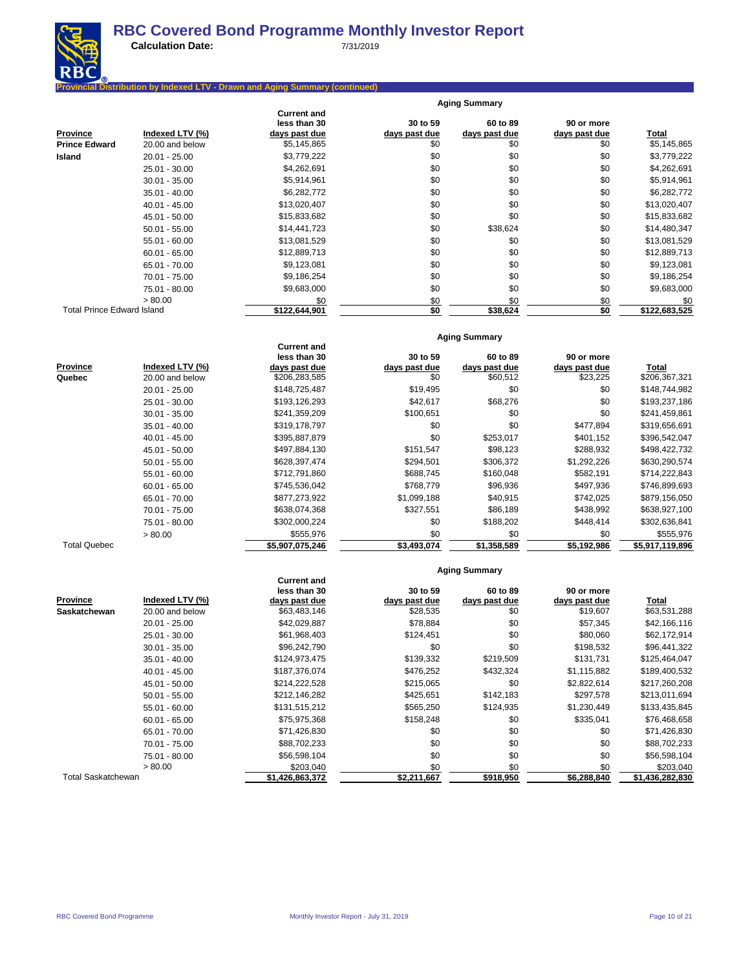

**Calculation Date:** 7/31/2019

### **Pribution by Indexed LTV - Drawn and Aging Summary (continued)**

|                                   |                 |                                    |               | <b>Aging Summary</b> |               |               |
|-----------------------------------|-----------------|------------------------------------|---------------|----------------------|---------------|---------------|
|                                   |                 | <b>Current and</b><br>less than 30 | 30 to 59      | 60 to 89             | 90 or more    |               |
| <b>Province</b>                   | Indexed LTV (%) | days past due                      | days past due | days past due        | days past due | <u>Total</u>  |
| <b>Prince Edward</b>              | 20.00 and below | \$5,145,865                        | \$0           | \$0                  | \$0           | \$5,145,865   |
| Island                            | $20.01 - 25.00$ | \$3,779,222                        | \$0           | \$0                  | \$0           | \$3,779,222   |
|                                   | $25.01 - 30.00$ | \$4,262,691                        | \$0           | \$0                  | \$0           | \$4,262,691   |
|                                   | $30.01 - 35.00$ | \$5,914,961                        | \$0           | \$0                  | \$0           | \$5,914,961   |
|                                   | $35.01 - 40.00$ | \$6,282,772                        | \$0           | \$0                  | \$0           | \$6,282,772   |
|                                   | $40.01 - 45.00$ | \$13,020,407                       | \$0           | \$0                  | \$0           | \$13,020,407  |
|                                   | 45.01 - 50.00   | \$15,833,682                       | \$0           | \$0                  | \$0           | \$15,833,682  |
|                                   | $50.01 - 55.00$ | \$14,441,723                       | \$0           | \$38,624             | \$0           | \$14,480,347  |
|                                   | $55.01 - 60.00$ | \$13,081,529                       | \$0           | \$0                  | \$0           | \$13,081,529  |
|                                   | $60.01 - 65.00$ | \$12,889,713                       | \$0           | \$0                  | \$0           | \$12,889,713  |
|                                   | 65.01 - 70.00   | \$9,123,081                        | \$0           | \$0                  | \$0           | \$9,123,081   |
|                                   | 70.01 - 75.00   | \$9,186,254                        | \$0           | \$0                  | \$0           | \$9,186,254   |
|                                   | 75.01 - 80.00   | \$9,683,000                        | \$0           | \$0                  | \$0           | \$9,683,000   |
|                                   | > 80.00         | \$0                                | \$0           | \$0                  | \$0           | \$0           |
| <b>Total Prince Edward Island</b> |                 | \$122,644,901                      | \$0           | \$38,624             | \$0           | \$122,683,525 |

#### **Current and less than 30 30 to 59 60 to 89 90 or more Province Indexed LTV (%) days past due days past due days past due days past due days past due Total**<br> **Quebec** 20.00 and below \$206,283,585 \$206,367,321 \$206,367,321 **20.00 and below** 20.01 - 25.00 \$148,725,487 \$19,495 \$0 \$0 \$148,744,982 25.01 - 30.00 \$193,126,293 \$42,617 \$68,276 \$0 \$193,237,186 30.01 - 35.00 \$241,359,209 \$100,651 \$0 \$0 \$241,459,861 35.01 - 40.00 \$319,178,797 \$0 \$0 \$0 \$477,894 \$319,656,691 \$ 40.01 - 45.00 \$395,887,879 \$0 \$253,017 \$401,152 \$396,542,047 45.01 - 50.00 \$497,884,130 \$151,547 \$98,123 \$288,932 \$498,422,732 50.01 - 55.00 \$628,397,474 \$294,501 \$306,372 \$1,292,226 \$630,290,574 55.01 - 60.00 \$712,791,860 \$688,745 \$160,048 \$582,191 \$714,222,843 60.01 - 65.00 \$745,536,042 \$768,779 \$96,936 \$497,936 \$746,899,693 65.01 - 70.00 \$877,273,922 \$1,099,188 \$40,915 \$742,025 \$879,156,050 70.01 - 75.00 \$638,074,368 \$327,551 \$86,189 \$438,992 \$638,927,100 75.01 - 80.00 \$302,636,841 \$302,000,224 \$0 \$188,202 \$448,414 \$302,636,841 > 80.00 \$555,976 \$0 \$0 \$0 \$555,976 Total Quebec **\$5,907,075,246 \$3,493,074 \$1,358,589 \$5,192,986 \$5,917,119,896**

# **Aging Summary**

**Aging Summary**

|                           |                 | less than 30    | 30 to 59      | 60 to 89      | 90 or more    |                 |
|---------------------------|-----------------|-----------------|---------------|---------------|---------------|-----------------|
| <b>Province</b>           | Indexed LTV (%) | days past due   | days past due | days past due | days past due | Total           |
| <b>Saskatchewan</b>       | 20.00 and below | \$63,483,146    | \$28,535      | \$0           | \$19,607      | \$63,531,288    |
|                           | $20.01 - 25.00$ | \$42,029,887    | \$78,884      | \$0           | \$57,345      | \$42,166,116    |
|                           | 25.01 - 30.00   | \$61,968,403    | \$124,451     | \$0           | \$80,060      | \$62,172,914    |
|                           | $30.01 - 35.00$ | \$96,242,790    | \$0           | \$0           | \$198,532     | \$96,441,322    |
|                           | $35.01 - 40.00$ | \$124,973,475   | \$139,332     | \$219,509     | \$131,731     | \$125,464,047   |
|                           | $40.01 - 45.00$ | \$187,376,074   | \$476,252     | \$432,324     | \$1,115,882   | \$189,400,532   |
|                           | $45.01 - 50.00$ | \$214,222,528   | \$215,065     | \$0           | \$2,822,614   | \$217,260,208   |
|                           | $50.01 - 55.00$ | \$212,146,282   | \$425,651     | \$142,183     | \$297,578     | \$213,011,694   |
|                           | $55.01 - 60.00$ | \$131,515,212   | \$565,250     | \$124,935     | \$1,230,449   | \$133,435,845   |
|                           | $60.01 - 65.00$ | \$75,975,368    | \$158,248     | \$0           | \$335,041     | \$76,468,658    |
|                           | 65.01 - 70.00   | \$71,426,830    | \$0           | \$0           | \$0           | \$71,426,830    |
|                           | 70.01 - 75.00   | \$88,702,233    | \$0           | \$0           | \$0           | \$88,702,233    |
|                           | 75.01 - 80.00   | \$56,598,104    | \$0           | \$0           | \$0           | \$56,598,104    |
|                           | > 80.00         | \$203,040       | \$0           | \$0           | \$0           | \$203,040       |
| <b>Total Saskatchewan</b> |                 | \$1,426,863,372 | \$2,211,667   | \$918,950     | \$6,288,840   | \$1,436,282,830 |

**Current and**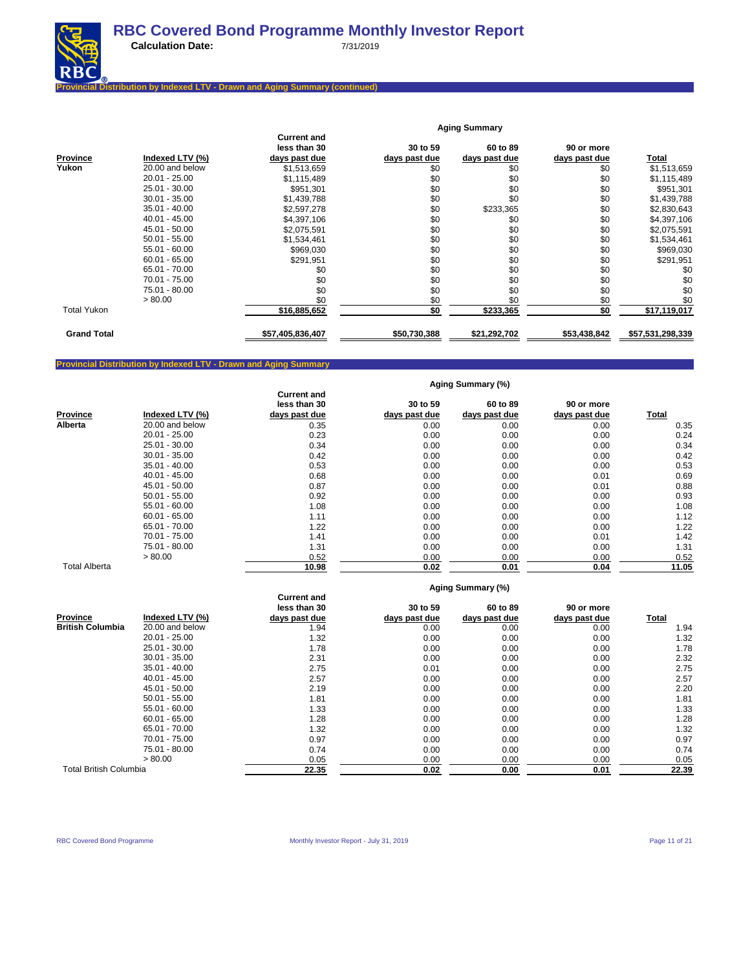

### **Provincial Distribution by Indexed LTV - Drawn and Aging Summary (continued)**

|                    |                 |                                    |               | <b>Aging Summary</b> |               |                  |
|--------------------|-----------------|------------------------------------|---------------|----------------------|---------------|------------------|
|                    |                 | <b>Current and</b><br>less than 30 | 30 to 59      | 60 to 89             | 90 or more    |                  |
| Province           | Indexed LTV (%) | days past due                      | days past due | days past due        | days past due | Total            |
| Yukon              | 20.00 and below | \$1,513,659                        | \$0           | \$0                  | \$0           | \$1,513,659      |
|                    | $20.01 - 25.00$ | \$1,115,489                        | \$0           | \$0                  | \$0           | \$1,115,489      |
|                    | 25.01 - 30.00   | \$951,301                          | \$0           | \$0                  | \$0           | \$951,301        |
|                    | $30.01 - 35.00$ | \$1,439,788                        | \$0           | \$0                  | \$0           | \$1,439,788      |
|                    | $35.01 - 40.00$ | \$2,597,278                        | \$0           | \$233,365            | \$0           | \$2,830,643      |
|                    | $40.01 - 45.00$ | \$4,397,106                        | \$0           | \$0                  | \$0           | \$4,397,106      |
|                    | 45.01 - 50.00   | \$2,075,591                        | \$0           | \$0                  | \$0           | \$2,075,591      |
|                    | $50.01 - 55.00$ | \$1,534,461                        | \$0           | \$0                  | \$0           | \$1,534,461      |
|                    | $55.01 - 60.00$ | \$969,030                          | \$0           | \$0                  | \$0           | \$969,030        |
|                    | $60.01 - 65.00$ | \$291,951                          | \$0           | \$0                  | \$0           | \$291,951        |
|                    | 65.01 - 70.00   | \$0                                | \$0           | \$0                  | \$0           | \$0              |
|                    | 70.01 - 75.00   | \$0                                | \$0           | \$0                  | \$0           | \$0              |
|                    | 75.01 - 80.00   | \$0                                | \$0           | \$0                  | \$0           | \$0              |
|                    | > 80.00         | \$0                                | \$0           | \$0                  | \$0           | \$0              |
| <b>Total Yukon</b> |                 | \$16,885,652                       | \$0           | \$233,365            | \$0           | \$17,119,017     |
| <b>Grand Total</b> |                 | \$57,405,836,407                   | \$50,730,388  | \$21,292,702         | \$53,438,842  | \$57,531,298,339 |

### **Provincial Distribution by Indexed LTV - Drawn and Aging Summary**

**Aging Summary (%)**

|                      |                 |                    |               | Agang Vanana y (70) |               |              |
|----------------------|-----------------|--------------------|---------------|---------------------|---------------|--------------|
|                      |                 | <b>Current and</b> |               |                     |               |              |
|                      |                 | less than 30       | 30 to 59      | 60 to 89            | 90 or more    |              |
| <b>Province</b>      | Indexed LTV (%) | days past due      | days past due | days past due       | days past due | <b>Total</b> |
| Alberta              | 20.00 and below | 0.35               | 0.00          | 0.00                | 0.00          | 0.35         |
|                      | $20.01 - 25.00$ | 0.23               | 0.00          | 0.00                | 0.00          | 0.24         |
|                      | 25.01 - 30.00   | 0.34               | 0.00          | 0.00                | 0.00          | 0.34         |
|                      | $30.01 - 35.00$ | 0.42               | 0.00          | 0.00                | 0.00          | 0.42         |
|                      | $35.01 - 40.00$ | 0.53               | 0.00          | 0.00                | 0.00          | 0.53         |
|                      | $40.01 - 45.00$ | 0.68               | 0.00          | 0.00                | 0.01          | 0.69         |
|                      | 45.01 - 50.00   | 0.87               | 0.00          | 0.00                | 0.01          | 0.88         |
|                      | $50.01 - 55.00$ | 0.92               | 0.00          | 0.00                | 0.00          | 0.93         |
|                      | $55.01 - 60.00$ | 1.08               | 0.00          | 0.00                | 0.00          | 1.08         |
|                      | $60.01 - 65.00$ | 1.11               | 0.00          | 0.00                | 0.00          | 1.12         |
|                      | 65.01 - 70.00   | 1.22               | 0.00          | 0.00                | 0.00          | 1.22         |
|                      | 70.01 - 75.00   | 1.41               | 0.00          | 0.00                | 0.01          | 1.42         |
|                      | 75.01 - 80.00   | 1.31               | 0.00          | 0.00                | 0.00          | 1.31         |
|                      | > 80.00         | 0.52               | 0.00          | 0.00                | 0.00          | 0.52         |
| <b>Total Alberta</b> |                 | 10.98              | 0.02          | 0.01                | 0.04          | 11.05        |

|  | Aging Summary (%) |  |
|--|-------------------|--|
|--|-------------------|--|

|                               |                 | <b>Current and</b> |               | .             |               |       |
|-------------------------------|-----------------|--------------------|---------------|---------------|---------------|-------|
|                               |                 | less than 30       | 30 to 59      | 60 to 89      | 90 or more    |       |
| <b>Province</b>               | Indexed LTV (%) | days past due      | days past due | days past due | days past due | Total |
| <b>British Columbia</b>       | 20.00 and below | 1.94               | 0.00          | 0.00          | 0.00          | 1.94  |
|                               | $20.01 - 25.00$ | 1.32               | 0.00          | 0.00          | 0.00          | 1.32  |
|                               | 25.01 - 30.00   | 1.78               | 0.00          | 0.00          | 0.00          | 1.78  |
|                               | $30.01 - 35.00$ | 2.31               | 0.00          | 0.00          | 0.00          | 2.32  |
|                               | $35.01 - 40.00$ | 2.75               | 0.01          | 0.00          | 0.00          | 2.75  |
|                               | $40.01 - 45.00$ | 2.57               | 0.00          | 0.00          | 0.00          | 2.57  |
|                               | $45.01 - 50.00$ | 2.19               | 0.00          | 0.00          | 0.00          | 2.20  |
|                               | $50.01 - 55.00$ | 1.81               | 0.00          | 0.00          | 0.00          | 1.81  |
|                               | $55.01 - 60.00$ | 1.33               | 0.00          | 0.00          | 0.00          | 1.33  |
|                               | $60.01 - 65.00$ | 1.28               | 0.00          | 0.00          | 0.00          | 1.28  |
|                               | 65.01 - 70.00   | 1.32               | 0.00          | 0.00          | 0.00          | 1.32  |
|                               | 70.01 - 75.00   | 0.97               | 0.00          | 0.00          | 0.00          | 0.97  |
|                               | 75.01 - 80.00   | 0.74               | 0.00          | 0.00          | 0.00          | 0.74  |
|                               | > 80.00         | 0.05               | 0.00          | 0.00          | 0.00          | 0.05  |
| <b>Total British Columbia</b> |                 | 22.35              | 0.02          | 0.00          | 0.01          | 22.39 |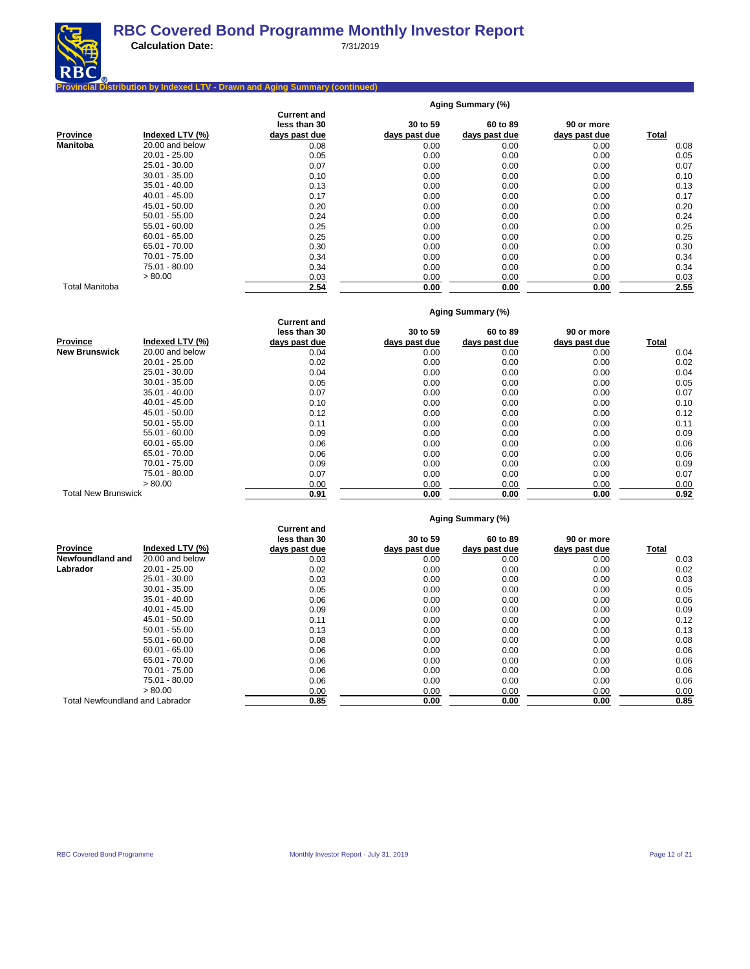

**Calculation Date:** 7/31/2019

### **Provincial Distribution by Indexed LTV - Drawn and Aging Summary (continued)**

|                       |                 | Aging Summary (%)                                   |                           |                           |                             |       |  |  |  |
|-----------------------|-----------------|-----------------------------------------------------|---------------------------|---------------------------|-----------------------------|-------|--|--|--|
| Province              | Indexed LTV (%) | <b>Current and</b><br>less than 30<br>days past due | 30 to 59<br>days past due | 60 to 89<br>days past due | 90 or more<br>days past due | Total |  |  |  |
| <b>Manitoba</b>       | 20.00 and below | 0.08                                                | 0.00                      | 0.00                      | 0.00                        | 0.08  |  |  |  |
|                       | $20.01 - 25.00$ | 0.05                                                | 0.00                      | 0.00                      | 0.00                        | 0.05  |  |  |  |
|                       | 25.01 - 30.00   | 0.07                                                | 0.00                      | 0.00                      | 0.00                        | 0.07  |  |  |  |
|                       | $30.01 - 35.00$ | 0.10                                                | 0.00                      | 0.00                      | 0.00                        | 0.10  |  |  |  |
|                       | $35.01 - 40.00$ | 0.13                                                | 0.00                      | 0.00                      | 0.00                        | 0.13  |  |  |  |
|                       | $40.01 - 45.00$ | 0.17                                                | 0.00                      | 0.00                      | 0.00                        | 0.17  |  |  |  |
|                       | 45.01 - 50.00   | 0.20                                                | 0.00                      | 0.00                      | 0.00                        | 0.20  |  |  |  |
|                       | $50.01 - 55.00$ | 0.24                                                | 0.00                      | 0.00                      | 0.00                        | 0.24  |  |  |  |
|                       | $55.01 - 60.00$ | 0.25                                                | 0.00                      | 0.00                      | 0.00                        | 0.25  |  |  |  |
|                       | $60.01 - 65.00$ | 0.25                                                | 0.00                      | 0.00                      | 0.00                        | 0.25  |  |  |  |
|                       | 65.01 - 70.00   | 0.30                                                | 0.00                      | 0.00                      | 0.00                        | 0.30  |  |  |  |
|                       | 70.01 - 75.00   | 0.34                                                | 0.00                      | 0.00                      | 0.00                        | 0.34  |  |  |  |
|                       | 75.01 - 80.00   | 0.34                                                | 0.00                      | 0.00                      | 0.00                        | 0.34  |  |  |  |
|                       | > 80.00         | 0.03                                                | 0.00                      | 0.00                      | 0.00                        | 0.03  |  |  |  |
| <b>Total Manitoba</b> |                 | 2.54                                                | 0.00                      | 0.00                      | 0.00                        | 2.55  |  |  |  |

|                            |                 | Aging Summary (%)  |               |               |               |       |  |  |  |
|----------------------------|-----------------|--------------------|---------------|---------------|---------------|-------|--|--|--|
|                            |                 | <b>Current and</b> |               |               |               |       |  |  |  |
|                            |                 | less than 30       | 30 to 59      | 60 to 89      | 90 or more    |       |  |  |  |
| <b>Province</b>            | Indexed LTV (%) | days past due      | days past due | days past due | days past due | Total |  |  |  |
| <b>New Brunswick</b>       | 20.00 and below | 0.04               | 0.00          | 0.00          | 0.00          | 0.04  |  |  |  |
|                            | $20.01 - 25.00$ | 0.02               | 0.00          | 0.00          | 0.00          | 0.02  |  |  |  |
|                            | 25.01 - 30.00   | 0.04               | 0.00          | 0.00          | 0.00          | 0.04  |  |  |  |
|                            | $30.01 - 35.00$ | 0.05               | 0.00          | 0.00          | 0.00          | 0.05  |  |  |  |
|                            | 35.01 - 40.00   | 0.07               | 0.00          | 0.00          | 0.00          | 0.07  |  |  |  |
|                            | $40.01 - 45.00$ | 0.10               | 0.00          | 0.00          | 0.00          | 0.10  |  |  |  |
|                            | 45.01 - 50.00   | 0.12               | 0.00          | 0.00          | 0.00          | 0.12  |  |  |  |
|                            | $50.01 - 55.00$ | 0.11               | 0.00          | 0.00          | 0.00          | 0.11  |  |  |  |
|                            | $55.01 - 60.00$ | 0.09               | 0.00          | 0.00          | 0.00          | 0.09  |  |  |  |
|                            | $60.01 - 65.00$ | 0.06               | 0.00          | 0.00          | 0.00          | 0.06  |  |  |  |
|                            | 65.01 - 70.00   | 0.06               | 0.00          | 0.00          | 0.00          | 0.06  |  |  |  |
|                            | 70.01 - 75.00   | 0.09               | 0.00          | 0.00          | 0.00          | 0.09  |  |  |  |
|                            | 75.01 - 80.00   | 0.07               | 0.00          | 0.00          | 0.00          | 0.07  |  |  |  |
|                            | > 80.00         | 0.00               | 0.00          | 0.00          | 0.00          | 0.00  |  |  |  |
| <b>Total New Brunswick</b> |                 | 0.91               | 0.00          | 0.00          | 0.00          | 0.92  |  |  |  |

#### **Aging Summary (%)**

|                                 | <b>Current and</b> |                               |                           |                           |                                                        |
|---------------------------------|--------------------|-------------------------------|---------------------------|---------------------------|--------------------------------------------------------|
| Indexed LTV (%)                 |                    |                               |                           |                           | <b>Total</b>                                           |
| 20.00 and below                 | 0.03               | 0.00                          | 0.00                      | 0.00                      | 0.03                                                   |
| $20.01 - 25.00$                 | 0.02               | 0.00                          | 0.00                      | 0.00                      | 0.02                                                   |
| 25.01 - 30.00                   | 0.03               | 0.00                          | 0.00                      | 0.00                      | 0.03                                                   |
| $30.01 - 35.00$                 | 0.05               | 0.00                          | 0.00                      | 0.00                      | 0.05                                                   |
| $35.01 - 40.00$                 | 0.06               | 0.00                          | 0.00                      | 0.00                      | 0.06                                                   |
| $40.01 - 45.00$                 | 0.09               | 0.00                          | 0.00                      | 0.00                      | 0.09                                                   |
| 45.01 - 50.00                   | 0.11               | 0.00                          | 0.00                      | 0.00                      | 0.12                                                   |
| $50.01 - 55.00$                 | 0.13               | 0.00                          | 0.00                      | 0.00                      | 0.13                                                   |
| $55.01 - 60.00$                 | 0.08               | 0.00                          | 0.00                      | 0.00                      | 0.08                                                   |
| $60.01 - 65.00$                 | 0.06               | 0.00                          | 0.00                      | 0.00                      | 0.06                                                   |
| 65.01 - 70.00                   | 0.06               | 0.00                          | 0.00                      | 0.00                      | 0.06                                                   |
| 70.01 - 75.00                   | 0.06               | 0.00                          | 0.00                      | 0.00                      | 0.06                                                   |
| 75.01 - 80.00                   | 0.06               | 0.00                          | 0.00                      | 0.00                      | 0.06                                                   |
| > 80.00                         | 0.00               | 0.00                          | 0.00                      | 0.00                      | 0.00                                                   |
| Total Newfoundland and Labrador | 0.85               | 0.00                          | 0.00                      | 0.00                      | 0.85                                                   |
|                                 |                    | less than 30<br>days past due | 30 to 59<br>days past due | 60 to 89<br>days past due | $1.9119$ canning $1.70$<br>90 or more<br>days past due |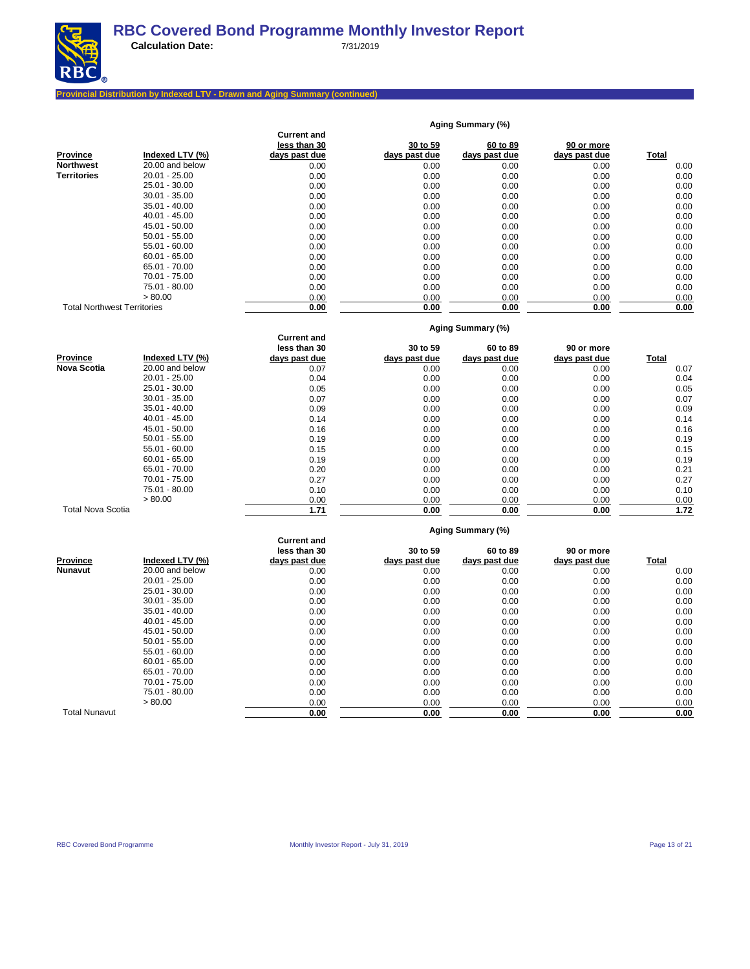

**Aging Summary (%)**

# **Provincial Distribution by Indexed LTV - Drawn and Aging Summary (continued)**

|                                    |                 | <b>Current and</b>                 |               |                   |               |              |
|------------------------------------|-----------------|------------------------------------|---------------|-------------------|---------------|--------------|
|                                    |                 | less than 30                       | 30 to 59      | 60 to 89          | 90 or more    |              |
| Province                           | Indexed LTV (%) | days past due                      | days past due | days past due     | days past due | Total        |
| Northwest                          | 20.00 and below | 0.00                               | 0.00          | 0.00              | 0.00          | 0.00         |
| <b>Territories</b>                 | $20.01 - 25.00$ | 0.00                               | 0.00          | 0.00              | 0.00          | 0.00         |
|                                    | 25.01 - 30.00   | 0.00                               | 0.00          | 0.00              | 0.00          | 0.00         |
|                                    | $30.01 - 35.00$ | 0.00                               | 0.00          | 0.00              | 0.00          | 0.00         |
|                                    | $35.01 - 40.00$ | 0.00                               | 0.00          | 0.00              | 0.00          | 0.00         |
|                                    | $40.01 - 45.00$ | 0.00                               | 0.00          | 0.00              | 0.00          | 0.00         |
|                                    | 45.01 - 50.00   | 0.00                               | 0.00          | 0.00              | 0.00          | 0.00         |
|                                    | $50.01 - 55.00$ | 0.00                               | 0.00          | 0.00              | 0.00          | 0.00         |
|                                    | $55.01 - 60.00$ | 0.00                               | 0.00          | 0.00              | 0.00          | 0.00         |
|                                    | $60.01 - 65.00$ | 0.00                               | 0.00          | 0.00              | 0.00          | 0.00         |
|                                    | 65.01 - 70.00   | 0.00                               | 0.00          | 0.00              | 0.00          | 0.00         |
|                                    | 70.01 - 75.00   | 0.00                               | 0.00          | 0.00              | 0.00          | 0.00         |
|                                    | 75.01 - 80.00   | 0.00                               | 0.00          | 0.00              | 0.00          | 0.00         |
|                                    | > 80.00         | 0.00                               | 0.00          | 0.00              | 0.00          | 0.00         |
| <b>Total Northwest Territories</b> |                 | 0.00                               | 0.00          | 0.00              | 0.00          | 0.00         |
|                                    |                 |                                    |               | Aging Summary (%) |               |              |
|                                    |                 | <b>Current and</b><br>less than 30 | 30 to 59      | 60 to 89          | 90 or more    |              |
| Province                           | Indexed LTV (%) | <u>days past due</u>               | days past due | days past due     | days past due | Total        |
| Nova Scotia                        | 20.00 and below | 0.07                               | 0.00          | 0.00              | 0.00          | 0.07         |
|                                    | 20.01 - 25.00   | 0.04                               | 0.00          | 0.00              | 0.00          | 0.04         |
|                                    | 25.01 - 30.00   | 0.05                               | 0.00          | 0.00              | 0.00          | 0.05         |
|                                    | $30.01 - 35.00$ | 0.07                               | 0.00          | 0.00              | 0.00          | 0.07         |
|                                    | $35.01 - 40.00$ | 0.09                               | 0.00          | 0.00              | 0.00          | 0.09         |
|                                    | $40.01 - 45.00$ | 0.14                               | 0.00          | 0.00              | 0.00          | 0.14         |
|                                    | $45.01 - 50.00$ | 0.16                               | 0.00          | 0.00              | 0.00          | 0.16         |
|                                    | $50.01 - 55.00$ | 0.19                               | 0.00          | 0.00              | 0.00          | 0.19         |
|                                    | $55.01 - 60.00$ | 0.15                               | 0.00          | 0.00              | 0.00          | 0.15         |
|                                    | $60.01 - 65.00$ | 0.19                               | 0.00          | 0.00              | 0.00          | 0.19         |
|                                    | 65.01 - 70.00   | 0.20                               | 0.00          | 0.00              | 0.00          | 0.21         |
|                                    | 70.01 - 75.00   | 0.27                               | 0.00          | 0.00              | 0.00          | 0.27         |
|                                    | 75.01 - 80.00   | 0.10                               | 0.00          | 0.00              | 0.00          | 0.10         |
|                                    | > 80.00         | 0.00                               | 0.00          | 0.00              | 0.00          | 0.00         |
| <b>Total Nova Scotia</b>           |                 | 1.71                               | 0.00          | 0.00              | 0.00          | 1.72         |
|                                    |                 |                                    |               | Aging Summary (%) |               |              |
|                                    |                 | <b>Current and</b>                 |               |                   |               |              |
|                                    | Indexed LTV (%) | less than 30                       | 30 to 59      | 60 to 89          | 90 or more    |              |
| Province<br>Nunavut                | 20.00 and below | days past due                      | days past due | days past due     | days past due | <b>Total</b> |
|                                    | $20.01 - 25.00$ | 0.00<br>0.00                       | 0.00<br>0.00  | 0.00<br>0.00      | 0.00<br>0.00  | 0.00<br>0.00 |
|                                    | 25.01 - 30.00   | 0.00                               |               |                   | 0.00          |              |
|                                    | $30.01 - 35.00$ | 0.00                               | 0.00<br>0.00  | 0.00<br>0.00      | 0.00          | 0.00<br>0.00 |
|                                    | $35.01 - 40.00$ | 0.00                               | 0.00          | 0.00              | 0.00          | 0.00         |
|                                    | $40.01 - 45.00$ | 0.00                               | 0.00          | 0.00              | 0.00          | 0.00         |
|                                    | 45.01 - 50.00   |                                    |               |                   |               |              |
|                                    | $50.01 - 55.00$ | 0.00<br>0.00                       | 0.00<br>0.00  | 0.00<br>0.00      | 0.00<br>0.00  | 0.00<br>0.00 |
|                                    | $55.01 - 60.00$ | 0.00                               | 0.00          | 0.00              | 0.00          | 0.00         |
|                                    | $60.01 - 65.00$ | 0.00                               | 0.00          | 0.00              | 0.00          | 0.00         |
|                                    | 65.01 - 70.00   | 0.00                               | 0.00          | 0.00              | 0.00          | 0.00         |
|                                    | 70.01 - 75.00   | 0.00                               | 0.00          | 0.00              | 0.00          | 0.00         |
|                                    | 75.01 - 80.00   | 0.00                               | 0.00          | 0.00              | 0.00          | 0.00         |
|                                    | > 80.00         | 0.00                               | 0.00          | 0.00              | 0.00          | 0.00         |
| <b>Total Nunavut</b>               |                 | 0.00                               | 0.00          | 0.00              | 0.00          | 0.00         |
|                                    |                 |                                    |               |                   |               |              |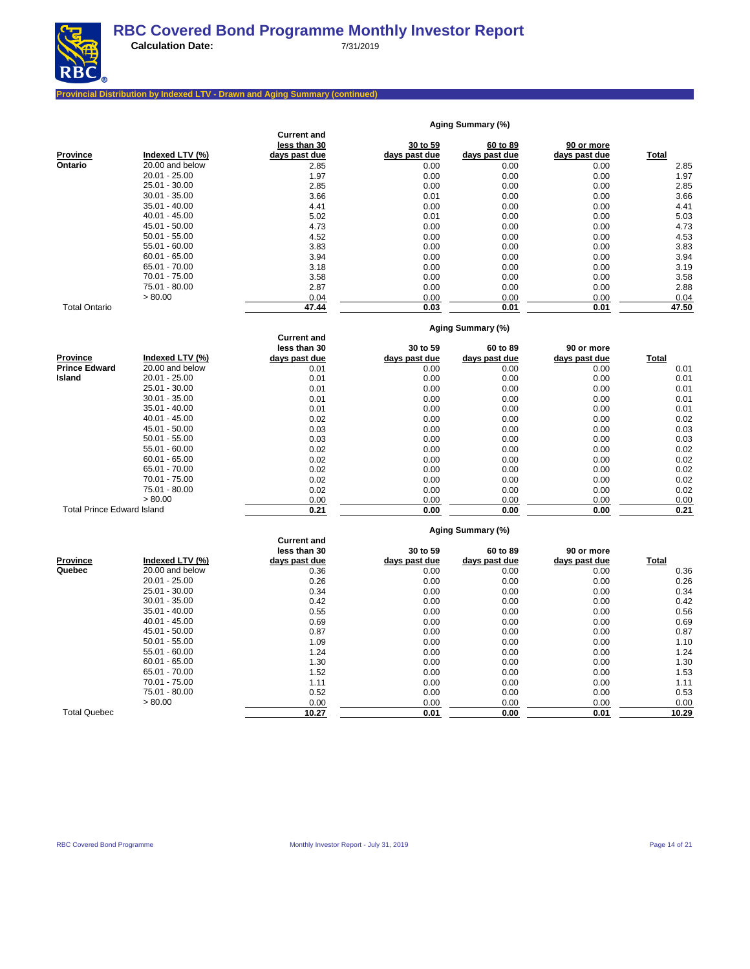

**Aging Summary (%)**

# **Provincial Distribution by Indexed LTV - Drawn and Aging Summary (continued)**

|                                   |                 | Current and                        |               |                   |               |              |
|-----------------------------------|-----------------|------------------------------------|---------------|-------------------|---------------|--------------|
|                                   |                 | less than 30                       | 30 to 59      | 60 to 89          | 90 or more    |              |
| <b>Province</b>                   | Indexed LTV (%) | days past due                      | days past due | days past due     | days past due | <b>Total</b> |
| Ontario                           | 20.00 and below | 2.85                               | 0.00          | 0.00              | 0.00          | 2.85         |
|                                   | $20.01 - 25.00$ | 1.97                               | 0.00          | 0.00              | 0.00          | 1.97         |
|                                   | $25.01 - 30.00$ | 2.85                               | 0.00          | 0.00              | 0.00          | 2.85         |
|                                   | 30.01 - 35.00   | 3.66                               | 0.01          | 0.00              | 0.00          | 3.66         |
|                                   | 35.01 - 40.00   | 4.41                               | 0.00          | 0.00              | 0.00          | 4.41         |
|                                   | $40.01 - 45.00$ | 5.02                               | 0.01          | 0.00              | 0.00          | 5.03         |
|                                   | 45.01 - 50.00   | 4.73                               | 0.00          | 0.00              | 0.00          | 4.73         |
|                                   | $50.01 - 55.00$ | 4.52                               | 0.00          | 0.00              | 0.00          | 4.53         |
|                                   | 55.01 - 60.00   | 3.83                               | 0.00          | 0.00              | 0.00          | 3.83         |
|                                   | $60.01 - 65.00$ | 3.94                               | 0.00          | 0.00              | 0.00          | 3.94         |
|                                   | 65.01 - 70.00   | 3.18                               | 0.00          | 0.00              | 0.00          | 3.19         |
|                                   | 70.01 - 75.00   | 3.58                               | 0.00          | 0.00              | 0.00          | 3.58         |
|                                   | 75.01 - 80.00   | 2.87                               | 0.00          | 0.00              | 0.00          | 2.88         |
|                                   | > 80.00         | 0.04                               | 0.00          | 0.00              | 0.00          | 0.04         |
| <b>Total Ontario</b>              |                 | 47.44                              | 0.03          | 0.01              | 0.01          | 47.50        |
|                                   |                 |                                    |               |                   |               |              |
|                                   |                 |                                    |               | Aging Summary (%) |               |              |
|                                   |                 | <b>Current and</b><br>less than 30 | 30 to 59      | 60 to 89          | 90 or more    |              |
| <b>Province</b>                   | Indexed LTV (%) | days past due                      | days past due | days past due     | days past due | <b>Total</b> |
| <b>Prince Edward</b>              | 20.00 and below | 0.01                               | 0.00          | 0.00              | 0.00          | 0.01         |
| Island                            | 20.01 - 25.00   | 0.01                               | 0.00          | 0.00              | 0.00          | 0.01         |
|                                   | 25.01 - 30.00   | 0.01                               | 0.00          | 0.00              | 0.00          | 0.01         |
|                                   | 30.01 - 35.00   | 0.01                               | 0.00          | 0.00              | 0.00          | 0.01         |
|                                   | 35.01 - 40.00   | 0.01                               | 0.00          | 0.00              | 0.00          | 0.01         |
|                                   | 40.01 - 45.00   | 0.02                               | 0.00          |                   | 0.00          | 0.02         |
|                                   | 45.01 - 50.00   |                                    |               | 0.00              |               |              |
|                                   |                 | 0.03                               | 0.00          | 0.00              | 0.00          | 0.03         |
|                                   | $50.01 - 55.00$ | 0.03                               | 0.00          | 0.00              | 0.00          | 0.03         |
|                                   | $55.01 - 60.00$ | 0.02                               | 0.00          | 0.00              | 0.00          | 0.02         |
|                                   | $60.01 - 65.00$ | 0.02                               | 0.00          | 0.00              | 0.00          | 0.02         |
|                                   | 65.01 - 70.00   | 0.02                               | 0.00          | 0.00              | 0.00          | 0.02         |
|                                   | 70.01 - 75.00   | 0.02                               | 0.00          | 0.00              | 0.00          | 0.02         |
|                                   | 75.01 - 80.00   | 0.02                               | 0.00          | 0.00              | 0.00          | 0.02         |
|                                   | > 80.00         | 0.00                               | 0.00          | 0.00              | 0.00          | 0.00         |
| <b>Total Prince Edward Island</b> |                 | 0.21                               | 0.00          | 0.00              | 0.00          | 0.21         |
|                                   |                 |                                    |               | Aging Summary (%) |               |              |
|                                   |                 | <b>Current and</b>                 |               |                   |               |              |
|                                   |                 | less than 30                       | 30 to 59      | 60 to 89          | 90 or more    |              |
| <b>Province</b>                   | Indexed LTV (%) | days past due                      | days past due | days past due     | days past due | Total        |
| Quebec                            | 20.00 and below | 0.36                               | 0.00          | 0.00              | 0.00          | 0.36         |
|                                   | $20.01 - 25.00$ | 0.26                               | 0.00          | 0.00              | 0.00          | 0.26         |
|                                   | 25.01 - 30.00   | 0.34                               | 0.00          | 0.00              | 0.00          | 0.34         |
|                                   | $30.01 - 35.00$ | 0.42                               | 0.00          | 0.00              | 0.00          | 0.42         |
|                                   | 35.01 - 40.00   | 0.55                               | 0.00          | 0.00              | 0.00          | 0.56         |
|                                   | 40.01 - 45.00   | 0.69                               | 0.00          | 0.00              | 0.00          | 0.69         |
|                                   | 45.01 - 50.00   | 0.87                               | 0.00          | 0.00              | 0.00          | 0.87         |
|                                   | $50.01 - 55.00$ | 1.09                               | 0.00          | 0.00              | 0.00          | 1.10         |
|                                   | $55.01 - 60.00$ | 1.24                               | 0.00          | 0.00              | 0.00          | 1.24         |
|                                   | $60.01 - 65.00$ | 1.30                               | 0.00          | 0.00              | 0.00          | 1.30         |
|                                   | 65.01 - 70.00   | 1.52                               | 0.00          | 0.00              | 0.00          | 1.53         |
|                                   | 70.01 - 75.00   | 1.11                               | 0.00          | 0.00              | 0.00          | 1.11         |
|                                   | 75.01 - 80.00   | 0.52                               | 0.00          | 0.00              | 0.00          | 0.53         |
|                                   | > 80.00         | 0.00                               | 0.00          | 0.00              | 0.00          | 0.00         |
| <b>Total Quebec</b>               |                 | 10.27                              | 0.01          | 0.00              | 0.01          | 10.29        |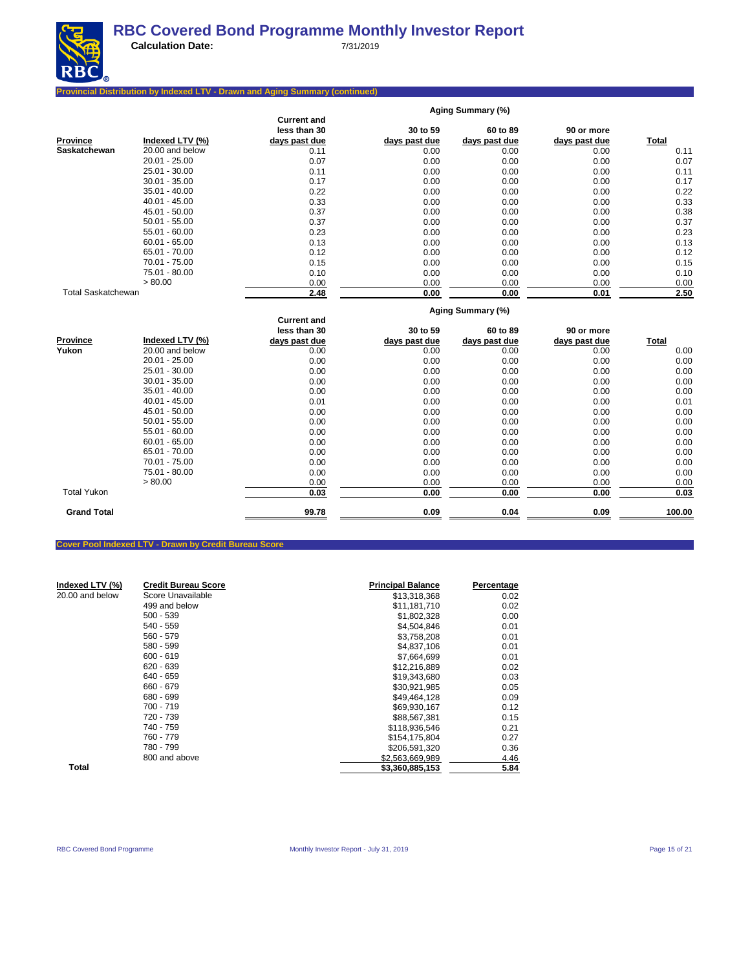

**Calculation Date:** 7/31/2019

## **Provincial Distribution by Indexed LTV - Drawn and Aging Summary (continued)**

|                           |                 |                    |               | Aging Summary (%) |               |              |
|---------------------------|-----------------|--------------------|---------------|-------------------|---------------|--------------|
|                           |                 | <b>Current and</b> |               |                   |               |              |
|                           |                 | less than 30       | 30 to 59      | 60 to 89          | 90 or more    |              |
| <b>Province</b>           | Indexed LTV (%) | days past due      | days past due | days past due     | days past due | <b>Total</b> |
| Saskatchewan              | 20.00 and below | 0.11               | 0.00          | 0.00              | 0.00          | 0.11         |
|                           | $20.01 - 25.00$ | 0.07               | 0.00          | 0.00              | 0.00          | 0.07         |
|                           | 25.01 - 30.00   | 0.11               | 0.00          | 0.00              | 0.00          | 0.11         |
|                           | $30.01 - 35.00$ | 0.17               | 0.00          | 0.00              | 0.00          | 0.17         |
|                           | $35.01 - 40.00$ | 0.22               | 0.00          | 0.00              | 0.00          | 0.22         |
|                           | 40.01 - 45.00   | 0.33               | 0.00          | 0.00              | 0.00          | 0.33         |
|                           | 45.01 - 50.00   | 0.37               | 0.00          | 0.00              | 0.00          | 0.38         |
|                           | $50.01 - 55.00$ | 0.37               | 0.00          | 0.00              | 0.00          | 0.37         |
|                           | $55.01 - 60.00$ | 0.23               | 0.00          | 0.00              | 0.00          | 0.23         |
|                           | $60.01 - 65.00$ | 0.13               | 0.00          | 0.00              | 0.00          | 0.13         |
|                           | 65.01 - 70.00   | 0.12               | 0.00          | 0.00              | 0.00          | 0.12         |
|                           | 70.01 - 75.00   | 0.15               | 0.00          | 0.00              | 0.00          | 0.15         |
|                           | 75.01 - 80.00   | 0.10               | 0.00          | 0.00              | 0.00          | 0.10         |
|                           | > 80.00         | 0.00               | 0.00          | 0.00              | 0.00          | 0.00         |
| <b>Total Saskatchewan</b> |                 | 2.48               | 0.00          | 0.00              | 0.01          | 2.50         |
|                           |                 |                    |               | Aging Summary (%) |               |              |
|                           |                 | <b>Current and</b> |               |                   |               |              |
|                           |                 | less than 30       | 30 to 59      | 60 to 89          | 90 or more    |              |
| <b>Province</b>           | Indexed LTV (%) | days past due      | days past due | days past due     | days past due | <b>Total</b> |
| Yukon                     | 20.00 and below | 0.00               | 0.00          | 0.00              | 0.00          | 0.00         |
|                           | $20.01 - 25.00$ | 0.00               | 0.00          | 0.00              | 0.00          | 0.00         |
|                           | 25.01 - 30.00   | 0.00               | 0.00          | 0.00              | 0.00          | 0.00         |
|                           | $30.01 - 35.00$ | 0.00               | 0.00          | 0.00              | 0.00          | 0.00         |
|                           | $35.01 - 40.00$ | 0.00               | 0.00          | 0.00              | 0.00          | 0.00         |
|                           | $40.01 - 45.00$ | 0.01               | 0.00          | 0.00              | 0.00          | 0.01         |
|                           | $45.01 - 50.00$ | 0.00               | 0.00          | 0.00              | 0.00          | 0.00         |
|                           | $50.01 - 55.00$ | 0.00               | 0.00          | 0.00              | 0.00          | 0.00         |
|                           | $55.01 - 60.00$ | 0.00               | 0.00          | 0.00              | 0.00          | 0.00         |
|                           | $60.01 - 65.00$ | 0.00               | 0.00          | 0.00              | 0.00          | 0.00         |
|                           | 65.01 - 70.00   | 0.00               | 0.00          | 0.00              | 0.00          | 0.00         |
|                           | 70.01 - 75.00   | 0.00               | 0.00          | 0.00              | 0.00          | 0.00         |
|                           | 75.01 - 80.00   | 0.00               | 0.00          | 0.00              | 0.00          | 0.00         |
|                           | > 80.00         | 0.00               | 0.00          | 0.00              | 0.00          | 0.00         |
| <b>Total Yukon</b>        |                 | 0.03               | 0.00          | 0.00              | 0.00          | 0.03         |
| <b>Grand Total</b>        |                 | 99.78              | 0.09          | 0.04              | 0.09          | 100.00       |
|                           |                 |                    |               |                   |               |              |

## **Cover Pool Indexed LTV - Drawn by Credit Bureau Score**

| Indexed LTV (%) | <b>Credit Bureau Score</b> | <b>Principal Balance</b> | Percentage |
|-----------------|----------------------------|--------------------------|------------|
| 20.00 and below | Score Unavailable          | \$13,318,368             | 0.02       |
|                 | 499 and below              | \$11,181,710             | 0.02       |
|                 | $500 - 539$                | \$1,802,328              | 0.00       |
|                 | 540 - 559                  | \$4.504.846              | 0.01       |
|                 | $560 - 579$                | \$3,758,208              | 0.01       |
|                 | $580 - 599$                | \$4,837,106              | 0.01       |
|                 | $600 - 619$                | \$7,664,699              | 0.01       |
|                 | 620 - 639                  | \$12,216,889             | 0.02       |
|                 | 640 - 659                  | \$19,343,680             | 0.03       |
|                 | 660 - 679                  | \$30,921,985             | 0.05       |
|                 | 680 - 699                  | \$49,464,128             | 0.09       |
|                 | 700 - 719                  | \$69,930,167             | 0.12       |
|                 | 720 - 739                  | \$88.567.381             | 0.15       |
|                 | 740 - 759                  | \$118,936,546            | 0.21       |
|                 | 760 - 779                  | \$154,175,804            | 0.27       |
|                 | 780 - 799                  | \$206.591.320            | 0.36       |
|                 | 800 and above              | \$2,563,669,989          | 4.46       |
| Total           |                            | \$3,360,885,153          | 5.84       |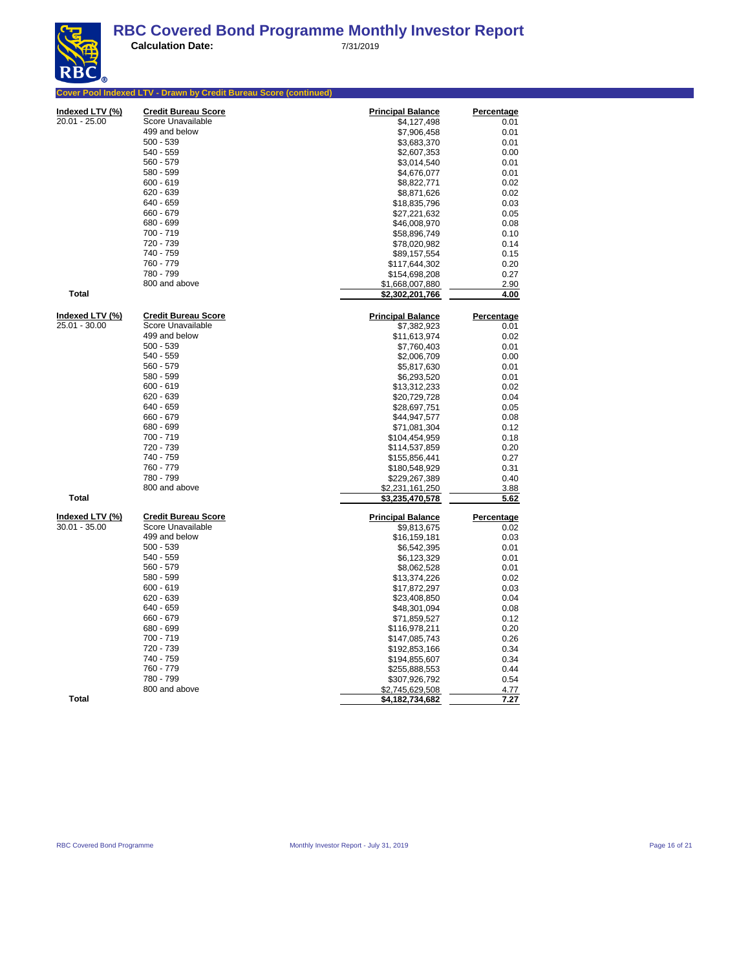| <b>Cover Pool Indexed LTV - Drawn by Credit Bureau Score (continued)</b><br>Indexed LTV (%)<br><b>Credit Bureau Score</b><br><b>Principal Balance</b><br>20.01 - 25.00<br>Score Unavailable<br>\$4,127,498<br>499 and below<br>\$7,906,458<br>500 - 539<br>\$3,683,370<br>540 - 559<br>\$2,607,353<br>560 - 579<br>\$3,014,540<br>580 - 599<br>\$4,676,077<br>600 - 619<br>\$8,822,771<br>620 - 639<br>\$8,871,626<br>640 - 659<br>\$18,835,796<br>660 - 679<br>\$27,221,632<br>680 - 699<br>\$46,008,970<br>700 - 719<br>\$58,896,749<br>720 - 739<br>\$78,020,982<br>740 - 759<br>\$89,157,554<br>760 - 779<br>\$117,644,302<br>780 - 799<br>\$154,698,208<br>800 and above<br>\$1,668,007,880<br><b>Total</b><br>\$2,3 <u>02,201,766</u><br>Indexed LTV (%)<br><b>Credit Bureau Score</b><br><b>Principal Balance</b><br>25.01 - 30.00<br>Score Unavailable<br>\$7,382,923<br>499 and below<br>\$11,613,974<br>$500 - 539$<br>\$7,760,403<br>540 - 559<br>\$2,006,709<br>560 - 579<br>\$5,817,630<br>580 - 599<br>\$6,293,520<br>$600 - 619$<br>\$13,312,233<br>620 - 639<br>\$20,729,728<br>640 - 659<br>\$28,697,751<br>660 - 679<br>\$44,947,577<br>680 - 699<br>\$71,081,304<br>700 - 719<br>\$104,454,959<br>720 - 739<br>\$114,537,859<br>740 - 759<br>\$155,856,441<br>760 - 779<br>\$180,548,929<br>780 - 799<br>\$229,267,389<br>800 and above<br>\$2,231,161,250<br><b>Total</b><br>\$3,235,470,578<br>Indexed LTV (%)<br><b>Credit Bureau Score</b><br>Percentage<br><b>Principal Balance</b><br>Score Unavailable<br>30.01 - 35.00<br>\$9,813,675<br>499 and below<br>\$16,159,181<br>$500 - 539$<br>\$6,542,395<br>540 - 559<br>\$6,123,329<br>560 - 579<br>\$8,062,528<br>580 - 599<br>\$13,374,226<br>$600 - 619$<br>\$17,872,297<br>620 - 639<br>\$23,408,850<br>640 - 659<br>\$48,301,094<br>660 - 679<br>\$71,859,527<br>680 - 699<br>\$116,978,211<br>700 - 719<br>\$147,085,743<br>720 - 739<br>\$192,853,166<br>740 - 759<br>\$194,855,607<br>760 - 779<br>\$255,888,553<br>780 - 799<br>\$307,926,792 | INLY <sub>®</sub> |  |                   |
|--------------------------------------------------------------------------------------------------------------------------------------------------------------------------------------------------------------------------------------------------------------------------------------------------------------------------------------------------------------------------------------------------------------------------------------------------------------------------------------------------------------------------------------------------------------------------------------------------------------------------------------------------------------------------------------------------------------------------------------------------------------------------------------------------------------------------------------------------------------------------------------------------------------------------------------------------------------------------------------------------------------------------------------------------------------------------------------------------------------------------------------------------------------------------------------------------------------------------------------------------------------------------------------------------------------------------------------------------------------------------------------------------------------------------------------------------------------------------------------------------------------------------------------------------------------------------------------------------------------------------------------------------------------------------------------------------------------------------------------------------------------------------------------------------------------------------------------------------------------------------------------------------------------------------------------------------------------------------------------------------------------------------------|-------------------|--|-------------------|
|                                                                                                                                                                                                                                                                                                                                                                                                                                                                                                                                                                                                                                                                                                                                                                                                                                                                                                                                                                                                                                                                                                                                                                                                                                                                                                                                                                                                                                                                                                                                                                                                                                                                                                                                                                                                                                                                                                                                                                                                                                |                   |  |                   |
|                                                                                                                                                                                                                                                                                                                                                                                                                                                                                                                                                                                                                                                                                                                                                                                                                                                                                                                                                                                                                                                                                                                                                                                                                                                                                                                                                                                                                                                                                                                                                                                                                                                                                                                                                                                                                                                                                                                                                                                                                                |                   |  | <b>Percentage</b> |
|                                                                                                                                                                                                                                                                                                                                                                                                                                                                                                                                                                                                                                                                                                                                                                                                                                                                                                                                                                                                                                                                                                                                                                                                                                                                                                                                                                                                                                                                                                                                                                                                                                                                                                                                                                                                                                                                                                                                                                                                                                |                   |  | 0.01              |
|                                                                                                                                                                                                                                                                                                                                                                                                                                                                                                                                                                                                                                                                                                                                                                                                                                                                                                                                                                                                                                                                                                                                                                                                                                                                                                                                                                                                                                                                                                                                                                                                                                                                                                                                                                                                                                                                                                                                                                                                                                |                   |  | 0.01              |
|                                                                                                                                                                                                                                                                                                                                                                                                                                                                                                                                                                                                                                                                                                                                                                                                                                                                                                                                                                                                                                                                                                                                                                                                                                                                                                                                                                                                                                                                                                                                                                                                                                                                                                                                                                                                                                                                                                                                                                                                                                |                   |  | 0.01              |
|                                                                                                                                                                                                                                                                                                                                                                                                                                                                                                                                                                                                                                                                                                                                                                                                                                                                                                                                                                                                                                                                                                                                                                                                                                                                                                                                                                                                                                                                                                                                                                                                                                                                                                                                                                                                                                                                                                                                                                                                                                |                   |  | 0.00              |
|                                                                                                                                                                                                                                                                                                                                                                                                                                                                                                                                                                                                                                                                                                                                                                                                                                                                                                                                                                                                                                                                                                                                                                                                                                                                                                                                                                                                                                                                                                                                                                                                                                                                                                                                                                                                                                                                                                                                                                                                                                |                   |  | 0.01              |
|                                                                                                                                                                                                                                                                                                                                                                                                                                                                                                                                                                                                                                                                                                                                                                                                                                                                                                                                                                                                                                                                                                                                                                                                                                                                                                                                                                                                                                                                                                                                                                                                                                                                                                                                                                                                                                                                                                                                                                                                                                |                   |  | 0.01              |
|                                                                                                                                                                                                                                                                                                                                                                                                                                                                                                                                                                                                                                                                                                                                                                                                                                                                                                                                                                                                                                                                                                                                                                                                                                                                                                                                                                                                                                                                                                                                                                                                                                                                                                                                                                                                                                                                                                                                                                                                                                |                   |  | 0.02              |
|                                                                                                                                                                                                                                                                                                                                                                                                                                                                                                                                                                                                                                                                                                                                                                                                                                                                                                                                                                                                                                                                                                                                                                                                                                                                                                                                                                                                                                                                                                                                                                                                                                                                                                                                                                                                                                                                                                                                                                                                                                |                   |  | 0.02              |
|                                                                                                                                                                                                                                                                                                                                                                                                                                                                                                                                                                                                                                                                                                                                                                                                                                                                                                                                                                                                                                                                                                                                                                                                                                                                                                                                                                                                                                                                                                                                                                                                                                                                                                                                                                                                                                                                                                                                                                                                                                |                   |  | 0.03              |
|                                                                                                                                                                                                                                                                                                                                                                                                                                                                                                                                                                                                                                                                                                                                                                                                                                                                                                                                                                                                                                                                                                                                                                                                                                                                                                                                                                                                                                                                                                                                                                                                                                                                                                                                                                                                                                                                                                                                                                                                                                |                   |  | 0.05              |
|                                                                                                                                                                                                                                                                                                                                                                                                                                                                                                                                                                                                                                                                                                                                                                                                                                                                                                                                                                                                                                                                                                                                                                                                                                                                                                                                                                                                                                                                                                                                                                                                                                                                                                                                                                                                                                                                                                                                                                                                                                |                   |  | 0.08              |
|                                                                                                                                                                                                                                                                                                                                                                                                                                                                                                                                                                                                                                                                                                                                                                                                                                                                                                                                                                                                                                                                                                                                                                                                                                                                                                                                                                                                                                                                                                                                                                                                                                                                                                                                                                                                                                                                                                                                                                                                                                |                   |  | 0.10              |
|                                                                                                                                                                                                                                                                                                                                                                                                                                                                                                                                                                                                                                                                                                                                                                                                                                                                                                                                                                                                                                                                                                                                                                                                                                                                                                                                                                                                                                                                                                                                                                                                                                                                                                                                                                                                                                                                                                                                                                                                                                |                   |  | 0.14              |
|                                                                                                                                                                                                                                                                                                                                                                                                                                                                                                                                                                                                                                                                                                                                                                                                                                                                                                                                                                                                                                                                                                                                                                                                                                                                                                                                                                                                                                                                                                                                                                                                                                                                                                                                                                                                                                                                                                                                                                                                                                |                   |  | 0.15              |
|                                                                                                                                                                                                                                                                                                                                                                                                                                                                                                                                                                                                                                                                                                                                                                                                                                                                                                                                                                                                                                                                                                                                                                                                                                                                                                                                                                                                                                                                                                                                                                                                                                                                                                                                                                                                                                                                                                                                                                                                                                |                   |  | 0.20              |
|                                                                                                                                                                                                                                                                                                                                                                                                                                                                                                                                                                                                                                                                                                                                                                                                                                                                                                                                                                                                                                                                                                                                                                                                                                                                                                                                                                                                                                                                                                                                                                                                                                                                                                                                                                                                                                                                                                                                                                                                                                |                   |  | 0.27              |
|                                                                                                                                                                                                                                                                                                                                                                                                                                                                                                                                                                                                                                                                                                                                                                                                                                                                                                                                                                                                                                                                                                                                                                                                                                                                                                                                                                                                                                                                                                                                                                                                                                                                                                                                                                                                                                                                                                                                                                                                                                |                   |  | 2.90              |
|                                                                                                                                                                                                                                                                                                                                                                                                                                                                                                                                                                                                                                                                                                                                                                                                                                                                                                                                                                                                                                                                                                                                                                                                                                                                                                                                                                                                                                                                                                                                                                                                                                                                                                                                                                                                                                                                                                                                                                                                                                |                   |  | 4.00              |
|                                                                                                                                                                                                                                                                                                                                                                                                                                                                                                                                                                                                                                                                                                                                                                                                                                                                                                                                                                                                                                                                                                                                                                                                                                                                                                                                                                                                                                                                                                                                                                                                                                                                                                                                                                                                                                                                                                                                                                                                                                |                   |  | Percentage        |
|                                                                                                                                                                                                                                                                                                                                                                                                                                                                                                                                                                                                                                                                                                                                                                                                                                                                                                                                                                                                                                                                                                                                                                                                                                                                                                                                                                                                                                                                                                                                                                                                                                                                                                                                                                                                                                                                                                                                                                                                                                |                   |  | 0.01              |
|                                                                                                                                                                                                                                                                                                                                                                                                                                                                                                                                                                                                                                                                                                                                                                                                                                                                                                                                                                                                                                                                                                                                                                                                                                                                                                                                                                                                                                                                                                                                                                                                                                                                                                                                                                                                                                                                                                                                                                                                                                |                   |  | 0.02              |
|                                                                                                                                                                                                                                                                                                                                                                                                                                                                                                                                                                                                                                                                                                                                                                                                                                                                                                                                                                                                                                                                                                                                                                                                                                                                                                                                                                                                                                                                                                                                                                                                                                                                                                                                                                                                                                                                                                                                                                                                                                |                   |  | 0.01              |
|                                                                                                                                                                                                                                                                                                                                                                                                                                                                                                                                                                                                                                                                                                                                                                                                                                                                                                                                                                                                                                                                                                                                                                                                                                                                                                                                                                                                                                                                                                                                                                                                                                                                                                                                                                                                                                                                                                                                                                                                                                |                   |  | 0.00              |
|                                                                                                                                                                                                                                                                                                                                                                                                                                                                                                                                                                                                                                                                                                                                                                                                                                                                                                                                                                                                                                                                                                                                                                                                                                                                                                                                                                                                                                                                                                                                                                                                                                                                                                                                                                                                                                                                                                                                                                                                                                |                   |  | 0.01              |
|                                                                                                                                                                                                                                                                                                                                                                                                                                                                                                                                                                                                                                                                                                                                                                                                                                                                                                                                                                                                                                                                                                                                                                                                                                                                                                                                                                                                                                                                                                                                                                                                                                                                                                                                                                                                                                                                                                                                                                                                                                |                   |  | 0.01              |
|                                                                                                                                                                                                                                                                                                                                                                                                                                                                                                                                                                                                                                                                                                                                                                                                                                                                                                                                                                                                                                                                                                                                                                                                                                                                                                                                                                                                                                                                                                                                                                                                                                                                                                                                                                                                                                                                                                                                                                                                                                |                   |  | 0.02              |
|                                                                                                                                                                                                                                                                                                                                                                                                                                                                                                                                                                                                                                                                                                                                                                                                                                                                                                                                                                                                                                                                                                                                                                                                                                                                                                                                                                                                                                                                                                                                                                                                                                                                                                                                                                                                                                                                                                                                                                                                                                |                   |  | 0.04              |
|                                                                                                                                                                                                                                                                                                                                                                                                                                                                                                                                                                                                                                                                                                                                                                                                                                                                                                                                                                                                                                                                                                                                                                                                                                                                                                                                                                                                                                                                                                                                                                                                                                                                                                                                                                                                                                                                                                                                                                                                                                |                   |  | 0.05              |
|                                                                                                                                                                                                                                                                                                                                                                                                                                                                                                                                                                                                                                                                                                                                                                                                                                                                                                                                                                                                                                                                                                                                                                                                                                                                                                                                                                                                                                                                                                                                                                                                                                                                                                                                                                                                                                                                                                                                                                                                                                |                   |  | 0.08              |
|                                                                                                                                                                                                                                                                                                                                                                                                                                                                                                                                                                                                                                                                                                                                                                                                                                                                                                                                                                                                                                                                                                                                                                                                                                                                                                                                                                                                                                                                                                                                                                                                                                                                                                                                                                                                                                                                                                                                                                                                                                |                   |  | 0.12              |
|                                                                                                                                                                                                                                                                                                                                                                                                                                                                                                                                                                                                                                                                                                                                                                                                                                                                                                                                                                                                                                                                                                                                                                                                                                                                                                                                                                                                                                                                                                                                                                                                                                                                                                                                                                                                                                                                                                                                                                                                                                |                   |  | 0.18              |
|                                                                                                                                                                                                                                                                                                                                                                                                                                                                                                                                                                                                                                                                                                                                                                                                                                                                                                                                                                                                                                                                                                                                                                                                                                                                                                                                                                                                                                                                                                                                                                                                                                                                                                                                                                                                                                                                                                                                                                                                                                |                   |  | 0.20              |
|                                                                                                                                                                                                                                                                                                                                                                                                                                                                                                                                                                                                                                                                                                                                                                                                                                                                                                                                                                                                                                                                                                                                                                                                                                                                                                                                                                                                                                                                                                                                                                                                                                                                                                                                                                                                                                                                                                                                                                                                                                |                   |  | 0.27              |
|                                                                                                                                                                                                                                                                                                                                                                                                                                                                                                                                                                                                                                                                                                                                                                                                                                                                                                                                                                                                                                                                                                                                                                                                                                                                                                                                                                                                                                                                                                                                                                                                                                                                                                                                                                                                                                                                                                                                                                                                                                |                   |  | 0.31              |
|                                                                                                                                                                                                                                                                                                                                                                                                                                                                                                                                                                                                                                                                                                                                                                                                                                                                                                                                                                                                                                                                                                                                                                                                                                                                                                                                                                                                                                                                                                                                                                                                                                                                                                                                                                                                                                                                                                                                                                                                                                |                   |  | 0.40              |
|                                                                                                                                                                                                                                                                                                                                                                                                                                                                                                                                                                                                                                                                                                                                                                                                                                                                                                                                                                                                                                                                                                                                                                                                                                                                                                                                                                                                                                                                                                                                                                                                                                                                                                                                                                                                                                                                                                                                                                                                                                |                   |  | 3.88              |
|                                                                                                                                                                                                                                                                                                                                                                                                                                                                                                                                                                                                                                                                                                                                                                                                                                                                                                                                                                                                                                                                                                                                                                                                                                                                                                                                                                                                                                                                                                                                                                                                                                                                                                                                                                                                                                                                                                                                                                                                                                |                   |  | 5.62              |
|                                                                                                                                                                                                                                                                                                                                                                                                                                                                                                                                                                                                                                                                                                                                                                                                                                                                                                                                                                                                                                                                                                                                                                                                                                                                                                                                                                                                                                                                                                                                                                                                                                                                                                                                                                                                                                                                                                                                                                                                                                |                   |  |                   |
|                                                                                                                                                                                                                                                                                                                                                                                                                                                                                                                                                                                                                                                                                                                                                                                                                                                                                                                                                                                                                                                                                                                                                                                                                                                                                                                                                                                                                                                                                                                                                                                                                                                                                                                                                                                                                                                                                                                                                                                                                                |                   |  | 0.02              |
|                                                                                                                                                                                                                                                                                                                                                                                                                                                                                                                                                                                                                                                                                                                                                                                                                                                                                                                                                                                                                                                                                                                                                                                                                                                                                                                                                                                                                                                                                                                                                                                                                                                                                                                                                                                                                                                                                                                                                                                                                                |                   |  | 0.03              |
|                                                                                                                                                                                                                                                                                                                                                                                                                                                                                                                                                                                                                                                                                                                                                                                                                                                                                                                                                                                                                                                                                                                                                                                                                                                                                                                                                                                                                                                                                                                                                                                                                                                                                                                                                                                                                                                                                                                                                                                                                                |                   |  | 0.01              |
|                                                                                                                                                                                                                                                                                                                                                                                                                                                                                                                                                                                                                                                                                                                                                                                                                                                                                                                                                                                                                                                                                                                                                                                                                                                                                                                                                                                                                                                                                                                                                                                                                                                                                                                                                                                                                                                                                                                                                                                                                                |                   |  | 0.01              |
|                                                                                                                                                                                                                                                                                                                                                                                                                                                                                                                                                                                                                                                                                                                                                                                                                                                                                                                                                                                                                                                                                                                                                                                                                                                                                                                                                                                                                                                                                                                                                                                                                                                                                                                                                                                                                                                                                                                                                                                                                                |                   |  | 0.01              |
|                                                                                                                                                                                                                                                                                                                                                                                                                                                                                                                                                                                                                                                                                                                                                                                                                                                                                                                                                                                                                                                                                                                                                                                                                                                                                                                                                                                                                                                                                                                                                                                                                                                                                                                                                                                                                                                                                                                                                                                                                                |                   |  | 0.02              |
|                                                                                                                                                                                                                                                                                                                                                                                                                                                                                                                                                                                                                                                                                                                                                                                                                                                                                                                                                                                                                                                                                                                                                                                                                                                                                                                                                                                                                                                                                                                                                                                                                                                                                                                                                                                                                                                                                                                                                                                                                                |                   |  | 0.03              |
|                                                                                                                                                                                                                                                                                                                                                                                                                                                                                                                                                                                                                                                                                                                                                                                                                                                                                                                                                                                                                                                                                                                                                                                                                                                                                                                                                                                                                                                                                                                                                                                                                                                                                                                                                                                                                                                                                                                                                                                                                                |                   |  | 0.04              |
|                                                                                                                                                                                                                                                                                                                                                                                                                                                                                                                                                                                                                                                                                                                                                                                                                                                                                                                                                                                                                                                                                                                                                                                                                                                                                                                                                                                                                                                                                                                                                                                                                                                                                                                                                                                                                                                                                                                                                                                                                                |                   |  | 0.08              |
|                                                                                                                                                                                                                                                                                                                                                                                                                                                                                                                                                                                                                                                                                                                                                                                                                                                                                                                                                                                                                                                                                                                                                                                                                                                                                                                                                                                                                                                                                                                                                                                                                                                                                                                                                                                                                                                                                                                                                                                                                                |                   |  | 0.12              |
|                                                                                                                                                                                                                                                                                                                                                                                                                                                                                                                                                                                                                                                                                                                                                                                                                                                                                                                                                                                                                                                                                                                                                                                                                                                                                                                                                                                                                                                                                                                                                                                                                                                                                                                                                                                                                                                                                                                                                                                                                                |                   |  | 0.20              |
|                                                                                                                                                                                                                                                                                                                                                                                                                                                                                                                                                                                                                                                                                                                                                                                                                                                                                                                                                                                                                                                                                                                                                                                                                                                                                                                                                                                                                                                                                                                                                                                                                                                                                                                                                                                                                                                                                                                                                                                                                                |                   |  | 0.26              |
|                                                                                                                                                                                                                                                                                                                                                                                                                                                                                                                                                                                                                                                                                                                                                                                                                                                                                                                                                                                                                                                                                                                                                                                                                                                                                                                                                                                                                                                                                                                                                                                                                                                                                                                                                                                                                                                                                                                                                                                                                                |                   |  | 0.34              |
|                                                                                                                                                                                                                                                                                                                                                                                                                                                                                                                                                                                                                                                                                                                                                                                                                                                                                                                                                                                                                                                                                                                                                                                                                                                                                                                                                                                                                                                                                                                                                                                                                                                                                                                                                                                                                                                                                                                                                                                                                                |                   |  | 0.34              |
|                                                                                                                                                                                                                                                                                                                                                                                                                                                                                                                                                                                                                                                                                                                                                                                                                                                                                                                                                                                                                                                                                                                                                                                                                                                                                                                                                                                                                                                                                                                                                                                                                                                                                                                                                                                                                                                                                                                                                                                                                                |                   |  | 0.44              |
|                                                                                                                                                                                                                                                                                                                                                                                                                                                                                                                                                                                                                                                                                                                                                                                                                                                                                                                                                                                                                                                                                                                                                                                                                                                                                                                                                                                                                                                                                                                                                                                                                                                                                                                                                                                                                                                                                                                                                                                                                                |                   |  | 0.54              |
| 800 and above<br>\$2,745,629,508                                                                                                                                                                                                                                                                                                                                                                                                                                                                                                                                                                                                                                                                                                                                                                                                                                                                                                                                                                                                                                                                                                                                                                                                                                                                                                                                                                                                                                                                                                                                                                                                                                                                                                                                                                                                                                                                                                                                                                                               |                   |  | 4.77              |
| <b>Total</b><br>\$4,182,734,682                                                                                                                                                                                                                                                                                                                                                                                                                                                                                                                                                                                                                                                                                                                                                                                                                                                                                                                                                                                                                                                                                                                                                                                                                                                                                                                                                                                                                                                                                                                                                                                                                                                                                                                                                                                                                                                                                                                                                                                                |                   |  | 7.27              |
|                                                                                                                                                                                                                                                                                                                                                                                                                                                                                                                                                                                                                                                                                                                                                                                                                                                                                                                                                                                                                                                                                                                                                                                                                                                                                                                                                                                                                                                                                                                                                                                                                                                                                                                                                                                                                                                                                                                                                                                                                                |                   |  |                   |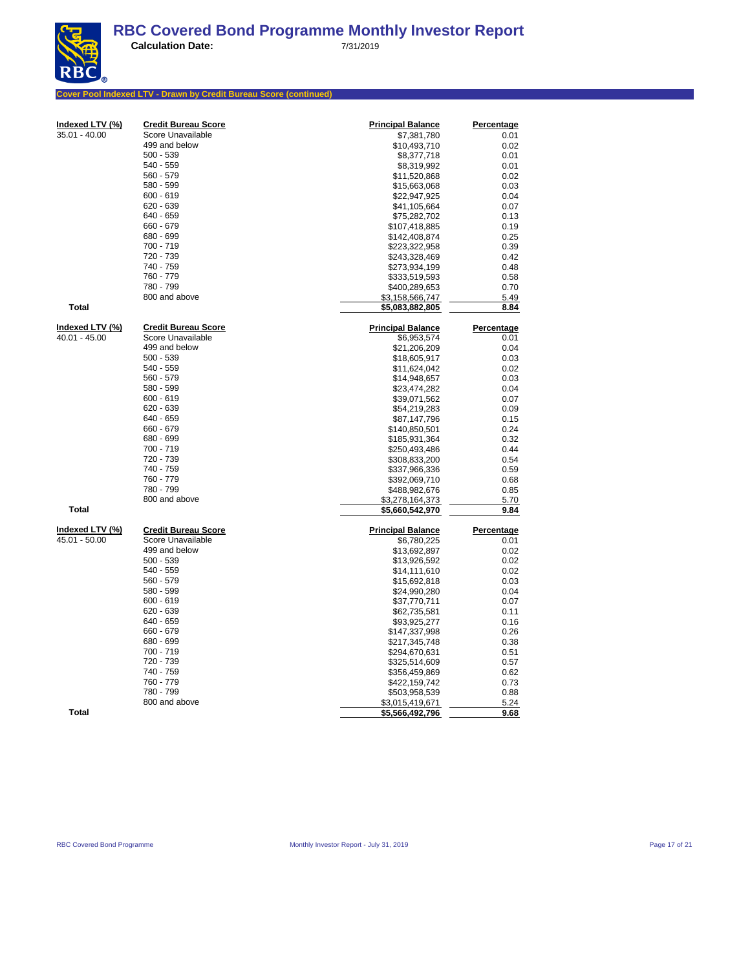**Calculation Date:** 7/31/2019

# **Cover Pool Indexed LTV - Drawn by Credit Bureau Score (continued)**

| മ |
|---|
|   |

| $35.01 - 40.00$<br>Score Unavailable<br>\$7,381,780<br>0.01<br>499 and below<br>\$10,493,710<br>0.02<br>$500 - 539$<br>0.01<br>\$8,377,718<br>540 - 559<br>\$8,319,992<br>0.01<br>560 - 579<br>\$11,520,868<br>0.02<br>580 - 599<br>\$15,663,068<br>0.03<br>$600 - 619$<br>\$22,947,925<br>0.04<br>620 - 639<br>\$41,105,664<br>0.07<br>640 - 659<br>\$75,282,702<br>0.13<br>660 - 679<br>\$107,418,885<br>0.19<br>680 - 699<br>\$142,408,874<br>0.25<br>700 - 719<br>0.39<br>\$223,322,958<br>720 - 739<br>0.42<br>\$243,328,469<br>740 - 759<br>0.48<br>\$273,934,199<br>760 - 779<br>0.58<br>\$333,519,593<br>780 - 799<br>0.70<br>\$400,289,653<br>800 and above<br>5.49<br>\$3,158,566,747<br>Total<br>8.84<br>\$5,083,882,805<br>Indexed LTV (%)<br><b>Credit Bureau Score</b><br><b>Principal Balance</b><br>Percentage<br>40.01 - 45.00<br>Score Unavailable<br>\$6,953,574<br>0.01<br>499 and below<br>0.04<br>\$21,206,209<br>$500 - 539$<br>0.03<br>\$18,605,917<br>540 - 559<br>\$11,624,042<br>0.02<br>560 - 579<br>0.03<br>\$14,948,657<br>580 - 599<br>\$23,474,282<br>0.04<br>$600 - 619$<br>\$39,071,562<br>0.07<br>620 - 639<br>\$54,219,283<br>0.09<br>640 - 659<br>\$87,147,796<br>0.15<br>660 - 679<br>\$140,850,501<br>0.24<br>680 - 699<br>\$185,931,364<br>0.32<br>700 - 719<br>0.44<br>\$250,493,486<br>720 - 739<br>\$308,833,200<br>0.54<br>740 - 759<br>0.59<br>\$337,966,336<br>760 - 779<br>0.68<br>\$392,069,710<br>780 - 799<br>0.85<br>\$488,982,676<br>800 and above<br>5.70<br>\$3,278,164,373<br><b>Total</b><br>9.84<br>\$5,660,542,970<br>Indexed LTV (%)<br><b>Credit Bureau Score</b><br><b>Principal Balance</b><br><b>Percentage</b><br>Score Unavailable<br>45.01 - 50.00<br>\$6,780,225<br>0.01<br>499 and below<br>0.02<br>\$13,692,897<br>$500 - 539$<br>0.02<br>\$13,926,592<br>540 - 559<br>\$14,111,610<br>0.02<br>560 - 579<br>\$15,692,818<br>0.03<br>580 - 599<br>\$24,990,280<br>0.04<br>$600 - 619$<br>\$37,770,711<br>0.07<br>$620 - 639$<br>\$62,735,581<br>0.11<br>640 - 659<br>\$93,925,277<br>0.16<br>660 - 679<br>\$147,337,998<br>0.26<br>680 - 699<br>\$217,345,748<br>0.38<br>700 - 719<br>0.51<br>\$294,670,631<br>720 - 739<br>0.57<br>\$325,514,609<br>740 - 759<br>0.62<br>\$356,459,869<br>760 - 779<br>0.73<br>\$422,159,742<br>780 - 799<br>0.88<br>\$503,958,539<br>800 and above<br>\$3,015,419,671<br>5.24<br>Total<br>9.68<br>\$5,566,492,796 | Indexed LTV (%) | <b>Credit Bureau Score</b> | <b>Principal Balance</b> | Percentage |
|-------------------------------------------------------------------------------------------------------------------------------------------------------------------------------------------------------------------------------------------------------------------------------------------------------------------------------------------------------------------------------------------------------------------------------------------------------------------------------------------------------------------------------------------------------------------------------------------------------------------------------------------------------------------------------------------------------------------------------------------------------------------------------------------------------------------------------------------------------------------------------------------------------------------------------------------------------------------------------------------------------------------------------------------------------------------------------------------------------------------------------------------------------------------------------------------------------------------------------------------------------------------------------------------------------------------------------------------------------------------------------------------------------------------------------------------------------------------------------------------------------------------------------------------------------------------------------------------------------------------------------------------------------------------------------------------------------------------------------------------------------------------------------------------------------------------------------------------------------------------------------------------------------------------------------------------------------------------------------------------------------------------------------------------------------------------------------------------------------------------------------------------------------------------------------------------------------------------------------------------------------------------------------------------------------------------------------------------------------------------------------------------------------------------------|-----------------|----------------------------|--------------------------|------------|
|                                                                                                                                                                                                                                                                                                                                                                                                                                                                                                                                                                                                                                                                                                                                                                                                                                                                                                                                                                                                                                                                                                                                                                                                                                                                                                                                                                                                                                                                                                                                                                                                                                                                                                                                                                                                                                                                                                                                                                                                                                                                                                                                                                                                                                                                                                                                                                                                                         |                 |                            |                          |            |
|                                                                                                                                                                                                                                                                                                                                                                                                                                                                                                                                                                                                                                                                                                                                                                                                                                                                                                                                                                                                                                                                                                                                                                                                                                                                                                                                                                                                                                                                                                                                                                                                                                                                                                                                                                                                                                                                                                                                                                                                                                                                                                                                                                                                                                                                                                                                                                                                                         |                 |                            |                          |            |
|                                                                                                                                                                                                                                                                                                                                                                                                                                                                                                                                                                                                                                                                                                                                                                                                                                                                                                                                                                                                                                                                                                                                                                                                                                                                                                                                                                                                                                                                                                                                                                                                                                                                                                                                                                                                                                                                                                                                                                                                                                                                                                                                                                                                                                                                                                                                                                                                                         |                 |                            |                          |            |
|                                                                                                                                                                                                                                                                                                                                                                                                                                                                                                                                                                                                                                                                                                                                                                                                                                                                                                                                                                                                                                                                                                                                                                                                                                                                                                                                                                                                                                                                                                                                                                                                                                                                                                                                                                                                                                                                                                                                                                                                                                                                                                                                                                                                                                                                                                                                                                                                                         |                 |                            |                          |            |
|                                                                                                                                                                                                                                                                                                                                                                                                                                                                                                                                                                                                                                                                                                                                                                                                                                                                                                                                                                                                                                                                                                                                                                                                                                                                                                                                                                                                                                                                                                                                                                                                                                                                                                                                                                                                                                                                                                                                                                                                                                                                                                                                                                                                                                                                                                                                                                                                                         |                 |                            |                          |            |
|                                                                                                                                                                                                                                                                                                                                                                                                                                                                                                                                                                                                                                                                                                                                                                                                                                                                                                                                                                                                                                                                                                                                                                                                                                                                                                                                                                                                                                                                                                                                                                                                                                                                                                                                                                                                                                                                                                                                                                                                                                                                                                                                                                                                                                                                                                                                                                                                                         |                 |                            |                          |            |
|                                                                                                                                                                                                                                                                                                                                                                                                                                                                                                                                                                                                                                                                                                                                                                                                                                                                                                                                                                                                                                                                                                                                                                                                                                                                                                                                                                                                                                                                                                                                                                                                                                                                                                                                                                                                                                                                                                                                                                                                                                                                                                                                                                                                                                                                                                                                                                                                                         |                 |                            |                          |            |
|                                                                                                                                                                                                                                                                                                                                                                                                                                                                                                                                                                                                                                                                                                                                                                                                                                                                                                                                                                                                                                                                                                                                                                                                                                                                                                                                                                                                                                                                                                                                                                                                                                                                                                                                                                                                                                                                                                                                                                                                                                                                                                                                                                                                                                                                                                                                                                                                                         |                 |                            |                          |            |
|                                                                                                                                                                                                                                                                                                                                                                                                                                                                                                                                                                                                                                                                                                                                                                                                                                                                                                                                                                                                                                                                                                                                                                                                                                                                                                                                                                                                                                                                                                                                                                                                                                                                                                                                                                                                                                                                                                                                                                                                                                                                                                                                                                                                                                                                                                                                                                                                                         |                 |                            |                          |            |
|                                                                                                                                                                                                                                                                                                                                                                                                                                                                                                                                                                                                                                                                                                                                                                                                                                                                                                                                                                                                                                                                                                                                                                                                                                                                                                                                                                                                                                                                                                                                                                                                                                                                                                                                                                                                                                                                                                                                                                                                                                                                                                                                                                                                                                                                                                                                                                                                                         |                 |                            |                          |            |
|                                                                                                                                                                                                                                                                                                                                                                                                                                                                                                                                                                                                                                                                                                                                                                                                                                                                                                                                                                                                                                                                                                                                                                                                                                                                                                                                                                                                                                                                                                                                                                                                                                                                                                                                                                                                                                                                                                                                                                                                                                                                                                                                                                                                                                                                                                                                                                                                                         |                 |                            |                          |            |
|                                                                                                                                                                                                                                                                                                                                                                                                                                                                                                                                                                                                                                                                                                                                                                                                                                                                                                                                                                                                                                                                                                                                                                                                                                                                                                                                                                                                                                                                                                                                                                                                                                                                                                                                                                                                                                                                                                                                                                                                                                                                                                                                                                                                                                                                                                                                                                                                                         |                 |                            |                          |            |
|                                                                                                                                                                                                                                                                                                                                                                                                                                                                                                                                                                                                                                                                                                                                                                                                                                                                                                                                                                                                                                                                                                                                                                                                                                                                                                                                                                                                                                                                                                                                                                                                                                                                                                                                                                                                                                                                                                                                                                                                                                                                                                                                                                                                                                                                                                                                                                                                                         |                 |                            |                          |            |
|                                                                                                                                                                                                                                                                                                                                                                                                                                                                                                                                                                                                                                                                                                                                                                                                                                                                                                                                                                                                                                                                                                                                                                                                                                                                                                                                                                                                                                                                                                                                                                                                                                                                                                                                                                                                                                                                                                                                                                                                                                                                                                                                                                                                                                                                                                                                                                                                                         |                 |                            |                          |            |
|                                                                                                                                                                                                                                                                                                                                                                                                                                                                                                                                                                                                                                                                                                                                                                                                                                                                                                                                                                                                                                                                                                                                                                                                                                                                                                                                                                                                                                                                                                                                                                                                                                                                                                                                                                                                                                                                                                                                                                                                                                                                                                                                                                                                                                                                                                                                                                                                                         |                 |                            |                          |            |
|                                                                                                                                                                                                                                                                                                                                                                                                                                                                                                                                                                                                                                                                                                                                                                                                                                                                                                                                                                                                                                                                                                                                                                                                                                                                                                                                                                                                                                                                                                                                                                                                                                                                                                                                                                                                                                                                                                                                                                                                                                                                                                                                                                                                                                                                                                                                                                                                                         |                 |                            |                          |            |
|                                                                                                                                                                                                                                                                                                                                                                                                                                                                                                                                                                                                                                                                                                                                                                                                                                                                                                                                                                                                                                                                                                                                                                                                                                                                                                                                                                                                                                                                                                                                                                                                                                                                                                                                                                                                                                                                                                                                                                                                                                                                                                                                                                                                                                                                                                                                                                                                                         |                 |                            |                          |            |
|                                                                                                                                                                                                                                                                                                                                                                                                                                                                                                                                                                                                                                                                                                                                                                                                                                                                                                                                                                                                                                                                                                                                                                                                                                                                                                                                                                                                                                                                                                                                                                                                                                                                                                                                                                                                                                                                                                                                                                                                                                                                                                                                                                                                                                                                                                                                                                                                                         |                 |                            |                          |            |
|                                                                                                                                                                                                                                                                                                                                                                                                                                                                                                                                                                                                                                                                                                                                                                                                                                                                                                                                                                                                                                                                                                                                                                                                                                                                                                                                                                                                                                                                                                                                                                                                                                                                                                                                                                                                                                                                                                                                                                                                                                                                                                                                                                                                                                                                                                                                                                                                                         |                 |                            |                          |            |
|                                                                                                                                                                                                                                                                                                                                                                                                                                                                                                                                                                                                                                                                                                                                                                                                                                                                                                                                                                                                                                                                                                                                                                                                                                                                                                                                                                                                                                                                                                                                                                                                                                                                                                                                                                                                                                                                                                                                                                                                                                                                                                                                                                                                                                                                                                                                                                                                                         |                 |                            |                          |            |
|                                                                                                                                                                                                                                                                                                                                                                                                                                                                                                                                                                                                                                                                                                                                                                                                                                                                                                                                                                                                                                                                                                                                                                                                                                                                                                                                                                                                                                                                                                                                                                                                                                                                                                                                                                                                                                                                                                                                                                                                                                                                                                                                                                                                                                                                                                                                                                                                                         |                 |                            |                          |            |
|                                                                                                                                                                                                                                                                                                                                                                                                                                                                                                                                                                                                                                                                                                                                                                                                                                                                                                                                                                                                                                                                                                                                                                                                                                                                                                                                                                                                                                                                                                                                                                                                                                                                                                                                                                                                                                                                                                                                                                                                                                                                                                                                                                                                                                                                                                                                                                                                                         |                 |                            |                          |            |
|                                                                                                                                                                                                                                                                                                                                                                                                                                                                                                                                                                                                                                                                                                                                                                                                                                                                                                                                                                                                                                                                                                                                                                                                                                                                                                                                                                                                                                                                                                                                                                                                                                                                                                                                                                                                                                                                                                                                                                                                                                                                                                                                                                                                                                                                                                                                                                                                                         |                 |                            |                          |            |
|                                                                                                                                                                                                                                                                                                                                                                                                                                                                                                                                                                                                                                                                                                                                                                                                                                                                                                                                                                                                                                                                                                                                                                                                                                                                                                                                                                                                                                                                                                                                                                                                                                                                                                                                                                                                                                                                                                                                                                                                                                                                                                                                                                                                                                                                                                                                                                                                                         |                 |                            |                          |            |
|                                                                                                                                                                                                                                                                                                                                                                                                                                                                                                                                                                                                                                                                                                                                                                                                                                                                                                                                                                                                                                                                                                                                                                                                                                                                                                                                                                                                                                                                                                                                                                                                                                                                                                                                                                                                                                                                                                                                                                                                                                                                                                                                                                                                                                                                                                                                                                                                                         |                 |                            |                          |            |
|                                                                                                                                                                                                                                                                                                                                                                                                                                                                                                                                                                                                                                                                                                                                                                                                                                                                                                                                                                                                                                                                                                                                                                                                                                                                                                                                                                                                                                                                                                                                                                                                                                                                                                                                                                                                                                                                                                                                                                                                                                                                                                                                                                                                                                                                                                                                                                                                                         |                 |                            |                          |            |
|                                                                                                                                                                                                                                                                                                                                                                                                                                                                                                                                                                                                                                                                                                                                                                                                                                                                                                                                                                                                                                                                                                                                                                                                                                                                                                                                                                                                                                                                                                                                                                                                                                                                                                                                                                                                                                                                                                                                                                                                                                                                                                                                                                                                                                                                                                                                                                                                                         |                 |                            |                          |            |
|                                                                                                                                                                                                                                                                                                                                                                                                                                                                                                                                                                                                                                                                                                                                                                                                                                                                                                                                                                                                                                                                                                                                                                                                                                                                                                                                                                                                                                                                                                                                                                                                                                                                                                                                                                                                                                                                                                                                                                                                                                                                                                                                                                                                                                                                                                                                                                                                                         |                 |                            |                          |            |
|                                                                                                                                                                                                                                                                                                                                                                                                                                                                                                                                                                                                                                                                                                                                                                                                                                                                                                                                                                                                                                                                                                                                                                                                                                                                                                                                                                                                                                                                                                                                                                                                                                                                                                                                                                                                                                                                                                                                                                                                                                                                                                                                                                                                                                                                                                                                                                                                                         |                 |                            |                          |            |
|                                                                                                                                                                                                                                                                                                                                                                                                                                                                                                                                                                                                                                                                                                                                                                                                                                                                                                                                                                                                                                                                                                                                                                                                                                                                                                                                                                                                                                                                                                                                                                                                                                                                                                                                                                                                                                                                                                                                                                                                                                                                                                                                                                                                                                                                                                                                                                                                                         |                 |                            |                          |            |
|                                                                                                                                                                                                                                                                                                                                                                                                                                                                                                                                                                                                                                                                                                                                                                                                                                                                                                                                                                                                                                                                                                                                                                                                                                                                                                                                                                                                                                                                                                                                                                                                                                                                                                                                                                                                                                                                                                                                                                                                                                                                                                                                                                                                                                                                                                                                                                                                                         |                 |                            |                          |            |
|                                                                                                                                                                                                                                                                                                                                                                                                                                                                                                                                                                                                                                                                                                                                                                                                                                                                                                                                                                                                                                                                                                                                                                                                                                                                                                                                                                                                                                                                                                                                                                                                                                                                                                                                                                                                                                                                                                                                                                                                                                                                                                                                                                                                                                                                                                                                                                                                                         |                 |                            |                          |            |
|                                                                                                                                                                                                                                                                                                                                                                                                                                                                                                                                                                                                                                                                                                                                                                                                                                                                                                                                                                                                                                                                                                                                                                                                                                                                                                                                                                                                                                                                                                                                                                                                                                                                                                                                                                                                                                                                                                                                                                                                                                                                                                                                                                                                                                                                                                                                                                                                                         |                 |                            |                          |            |
|                                                                                                                                                                                                                                                                                                                                                                                                                                                                                                                                                                                                                                                                                                                                                                                                                                                                                                                                                                                                                                                                                                                                                                                                                                                                                                                                                                                                                                                                                                                                                                                                                                                                                                                                                                                                                                                                                                                                                                                                                                                                                                                                                                                                                                                                                                                                                                                                                         |                 |                            |                          |            |
|                                                                                                                                                                                                                                                                                                                                                                                                                                                                                                                                                                                                                                                                                                                                                                                                                                                                                                                                                                                                                                                                                                                                                                                                                                                                                                                                                                                                                                                                                                                                                                                                                                                                                                                                                                                                                                                                                                                                                                                                                                                                                                                                                                                                                                                                                                                                                                                                                         |                 |                            |                          |            |
|                                                                                                                                                                                                                                                                                                                                                                                                                                                                                                                                                                                                                                                                                                                                                                                                                                                                                                                                                                                                                                                                                                                                                                                                                                                                                                                                                                                                                                                                                                                                                                                                                                                                                                                                                                                                                                                                                                                                                                                                                                                                                                                                                                                                                                                                                                                                                                                                                         |                 |                            |                          |            |
|                                                                                                                                                                                                                                                                                                                                                                                                                                                                                                                                                                                                                                                                                                                                                                                                                                                                                                                                                                                                                                                                                                                                                                                                                                                                                                                                                                                                                                                                                                                                                                                                                                                                                                                                                                                                                                                                                                                                                                                                                                                                                                                                                                                                                                                                                                                                                                                                                         |                 |                            |                          |            |
|                                                                                                                                                                                                                                                                                                                                                                                                                                                                                                                                                                                                                                                                                                                                                                                                                                                                                                                                                                                                                                                                                                                                                                                                                                                                                                                                                                                                                                                                                                                                                                                                                                                                                                                                                                                                                                                                                                                                                                                                                                                                                                                                                                                                                                                                                                                                                                                                                         |                 |                            |                          |            |
|                                                                                                                                                                                                                                                                                                                                                                                                                                                                                                                                                                                                                                                                                                                                                                                                                                                                                                                                                                                                                                                                                                                                                                                                                                                                                                                                                                                                                                                                                                                                                                                                                                                                                                                                                                                                                                                                                                                                                                                                                                                                                                                                                                                                                                                                                                                                                                                                                         |                 |                            |                          |            |
|                                                                                                                                                                                                                                                                                                                                                                                                                                                                                                                                                                                                                                                                                                                                                                                                                                                                                                                                                                                                                                                                                                                                                                                                                                                                                                                                                                                                                                                                                                                                                                                                                                                                                                                                                                                                                                                                                                                                                                                                                                                                                                                                                                                                                                                                                                                                                                                                                         |                 |                            |                          |            |
|                                                                                                                                                                                                                                                                                                                                                                                                                                                                                                                                                                                                                                                                                                                                                                                                                                                                                                                                                                                                                                                                                                                                                                                                                                                                                                                                                                                                                                                                                                                                                                                                                                                                                                                                                                                                                                                                                                                                                                                                                                                                                                                                                                                                                                                                                                                                                                                                                         |                 |                            |                          |            |
|                                                                                                                                                                                                                                                                                                                                                                                                                                                                                                                                                                                                                                                                                                                                                                                                                                                                                                                                                                                                                                                                                                                                                                                                                                                                                                                                                                                                                                                                                                                                                                                                                                                                                                                                                                                                                                                                                                                                                                                                                                                                                                                                                                                                                                                                                                                                                                                                                         |                 |                            |                          |            |
|                                                                                                                                                                                                                                                                                                                                                                                                                                                                                                                                                                                                                                                                                                                                                                                                                                                                                                                                                                                                                                                                                                                                                                                                                                                                                                                                                                                                                                                                                                                                                                                                                                                                                                                                                                                                                                                                                                                                                                                                                                                                                                                                                                                                                                                                                                                                                                                                                         |                 |                            |                          |            |
|                                                                                                                                                                                                                                                                                                                                                                                                                                                                                                                                                                                                                                                                                                                                                                                                                                                                                                                                                                                                                                                                                                                                                                                                                                                                                                                                                                                                                                                                                                                                                                                                                                                                                                                                                                                                                                                                                                                                                                                                                                                                                                                                                                                                                                                                                                                                                                                                                         |                 |                            |                          |            |
|                                                                                                                                                                                                                                                                                                                                                                                                                                                                                                                                                                                                                                                                                                                                                                                                                                                                                                                                                                                                                                                                                                                                                                                                                                                                                                                                                                                                                                                                                                                                                                                                                                                                                                                                                                                                                                                                                                                                                                                                                                                                                                                                                                                                                                                                                                                                                                                                                         |                 |                            |                          |            |
|                                                                                                                                                                                                                                                                                                                                                                                                                                                                                                                                                                                                                                                                                                                                                                                                                                                                                                                                                                                                                                                                                                                                                                                                                                                                                                                                                                                                                                                                                                                                                                                                                                                                                                                                                                                                                                                                                                                                                                                                                                                                                                                                                                                                                                                                                                                                                                                                                         |                 |                            |                          |            |
|                                                                                                                                                                                                                                                                                                                                                                                                                                                                                                                                                                                                                                                                                                                                                                                                                                                                                                                                                                                                                                                                                                                                                                                                                                                                                                                                                                                                                                                                                                                                                                                                                                                                                                                                                                                                                                                                                                                                                                                                                                                                                                                                                                                                                                                                                                                                                                                                                         |                 |                            |                          |            |
|                                                                                                                                                                                                                                                                                                                                                                                                                                                                                                                                                                                                                                                                                                                                                                                                                                                                                                                                                                                                                                                                                                                                                                                                                                                                                                                                                                                                                                                                                                                                                                                                                                                                                                                                                                                                                                                                                                                                                                                                                                                                                                                                                                                                                                                                                                                                                                                                                         |                 |                            |                          |            |
|                                                                                                                                                                                                                                                                                                                                                                                                                                                                                                                                                                                                                                                                                                                                                                                                                                                                                                                                                                                                                                                                                                                                                                                                                                                                                                                                                                                                                                                                                                                                                                                                                                                                                                                                                                                                                                                                                                                                                                                                                                                                                                                                                                                                                                                                                                                                                                                                                         |                 |                            |                          |            |
|                                                                                                                                                                                                                                                                                                                                                                                                                                                                                                                                                                                                                                                                                                                                                                                                                                                                                                                                                                                                                                                                                                                                                                                                                                                                                                                                                                                                                                                                                                                                                                                                                                                                                                                                                                                                                                                                                                                                                                                                                                                                                                                                                                                                                                                                                                                                                                                                                         |                 |                            |                          |            |
|                                                                                                                                                                                                                                                                                                                                                                                                                                                                                                                                                                                                                                                                                                                                                                                                                                                                                                                                                                                                                                                                                                                                                                                                                                                                                                                                                                                                                                                                                                                                                                                                                                                                                                                                                                                                                                                                                                                                                                                                                                                                                                                                                                                                                                                                                                                                                                                                                         |                 |                            |                          |            |
|                                                                                                                                                                                                                                                                                                                                                                                                                                                                                                                                                                                                                                                                                                                                                                                                                                                                                                                                                                                                                                                                                                                                                                                                                                                                                                                                                                                                                                                                                                                                                                                                                                                                                                                                                                                                                                                                                                                                                                                                                                                                                                                                                                                                                                                                                                                                                                                                                         |                 |                            |                          |            |
|                                                                                                                                                                                                                                                                                                                                                                                                                                                                                                                                                                                                                                                                                                                                                                                                                                                                                                                                                                                                                                                                                                                                                                                                                                                                                                                                                                                                                                                                                                                                                                                                                                                                                                                                                                                                                                                                                                                                                                                                                                                                                                                                                                                                                                                                                                                                                                                                                         |                 |                            |                          |            |
|                                                                                                                                                                                                                                                                                                                                                                                                                                                                                                                                                                                                                                                                                                                                                                                                                                                                                                                                                                                                                                                                                                                                                                                                                                                                                                                                                                                                                                                                                                                                                                                                                                                                                                                                                                                                                                                                                                                                                                                                                                                                                                                                                                                                                                                                                                                                                                                                                         |                 |                            |                          |            |
|                                                                                                                                                                                                                                                                                                                                                                                                                                                                                                                                                                                                                                                                                                                                                                                                                                                                                                                                                                                                                                                                                                                                                                                                                                                                                                                                                                                                                                                                                                                                                                                                                                                                                                                                                                                                                                                                                                                                                                                                                                                                                                                                                                                                                                                                                                                                                                                                                         |                 |                            |                          |            |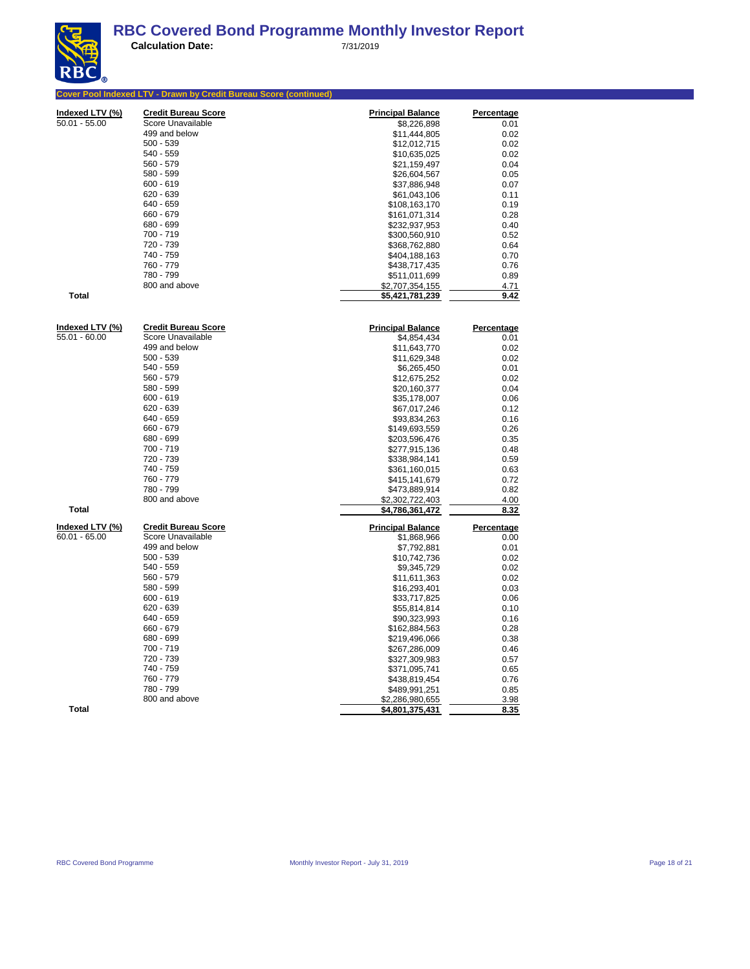|                 | Cover Pool Indexed LTV - Drawn by Credit Bureau Score (continued) |                          |                   |
|-----------------|-------------------------------------------------------------------|--------------------------|-------------------|
| Indexed LTV (%) | <b>Credit Bureau Score</b>                                        | <b>Principal Balance</b> | <b>Percentage</b> |
| $50.01 - 55.00$ | Score Unavailable                                                 | \$8,226,898              | 0.01              |
|                 | 499 and below                                                     | \$11,444,805             | 0.02              |
|                 | $500 - 539$                                                       | \$12,012,715             | 0.02              |
|                 | $540 - 559$                                                       | \$10,635,025             | 0.02              |
|                 | 560 - 579                                                         | \$21,159,497             | 0.04              |
|                 | 580 - 599                                                         | \$26,604,567             | 0.05              |
|                 | $600 - 619$                                                       | \$37,886,948             | 0.07              |
|                 | 620 - 639                                                         | \$61,043,106             | 0.11              |
|                 | 640 - 659                                                         | \$108,163,170            | 0.19              |
|                 | 660 - 679                                                         | \$161,071,314            | 0.28              |
|                 | 680 - 699                                                         | \$232,937,953            | 0.40              |
|                 | 700 - 719                                                         | \$300,560,910            | 0.52              |
|                 | 720 - 739                                                         | \$368,762,880            | 0.64              |
|                 | 740 - 759                                                         | \$404,188,163            | 0.70              |
|                 | 760 - 779                                                         | \$438,717,435            | 0.76              |
|                 | 780 - 799                                                         | \$511,011,699            | 0.89              |
|                 | 800 and above                                                     | \$2,707,354,155          | 4.71              |
| <b>Total</b>    |                                                                   | \$5,421,781,239          | 9.42              |
|                 |                                                                   |                          |                   |
| Indexed LTV (%) | <b>Credit Bureau Score</b>                                        | <b>Principal Balance</b> | Percentage        |
| 55.01 - 60.00   | Score Unavailable                                                 | \$4,854,434              | 0.01              |
|                 | 499 and below                                                     | \$11,643,770             | 0.02              |
|                 | $500 - 539$                                                       | \$11,629,348             | 0.02              |
|                 | 540 - 559                                                         | \$6,265,450              | 0.01              |
|                 | $560 - 579$                                                       | \$12,675,252             | 0.02              |
|                 | 580 - 599                                                         | \$20,160,377             | 0.04              |
|                 | $600 - 619$                                                       | \$35,178,007             | 0.06              |
|                 | 620 - 639                                                         | \$67,017,246             | 0.12              |
|                 | 640 - 659                                                         | \$93,834,263             | 0.16              |
|                 | 660 - 679                                                         | \$149,693,559            | 0.26              |
|                 | 680 - 699                                                         | \$203,596,476            | 0.35              |
|                 | 700 - 719                                                         | \$277,915,136            | 0.48              |
|                 | 720 - 739                                                         | \$338,984,141            | 0.59              |
|                 | 740 - 759                                                         | \$361,160,015            | 0.63              |
|                 | 760 - 779                                                         | \$415,141,679            | 0.72              |
|                 | 780 - 799                                                         | \$473,889,914            | 0.82              |
|                 | 800 and above                                                     | \$2,302,722,403          | 4.00              |
| <b>Total</b>    |                                                                   | \$4,786,361,472          | 8.32              |
| Indexed LTV (%) | <b>Credit Bureau Score</b>                                        | <b>Principal Balance</b> | Percentage        |
| $60.01 - 65.00$ | Score Unavailable                                                 | \$1,868,966              | 0.00              |
|                 | 499 and below                                                     | \$7,792,881              | 0.01              |
|                 | $500 - 539$                                                       | \$10,742,736             | 0.02              |
|                 | 540 - 559                                                         | \$9,345,729              | 0.02              |
|                 | 560 - 579                                                         | \$11,611,363             | 0.02              |
|                 | 580 - 599                                                         | \$16,293,401             | 0.03              |
|                 | $600 - 619$                                                       | \$33,717,825             | 0.06              |
|                 | 620 - 639                                                         | \$55.814.814             | 0.10              |
|                 | 640 - 659                                                         | \$90,323,993             | 0.16              |
|                 | 660 - 679                                                         | \$162,884,563            | 0.28              |
|                 | 680 - 699                                                         | \$219,496,066            | 0.38              |
|                 | 700 - 719                                                         | \$267,286,009            | 0.46              |
|                 | 720 - 739                                                         | \$327,309,983            | 0.57              |
|                 | 740 - 759                                                         | \$371,095,741            | 0.65              |
|                 | 760 - 779                                                         | \$438,819,454            | 0.76              |
|                 | 780 - 799                                                         | \$489,991,251            | 0.85              |
|                 | 800 and above                                                     | \$2,286,980,655          | 3.98              |
| <b>Total</b>    |                                                                   | \$4,801,375,431          | 8.35              |
|                 |                                                                   |                          |                   |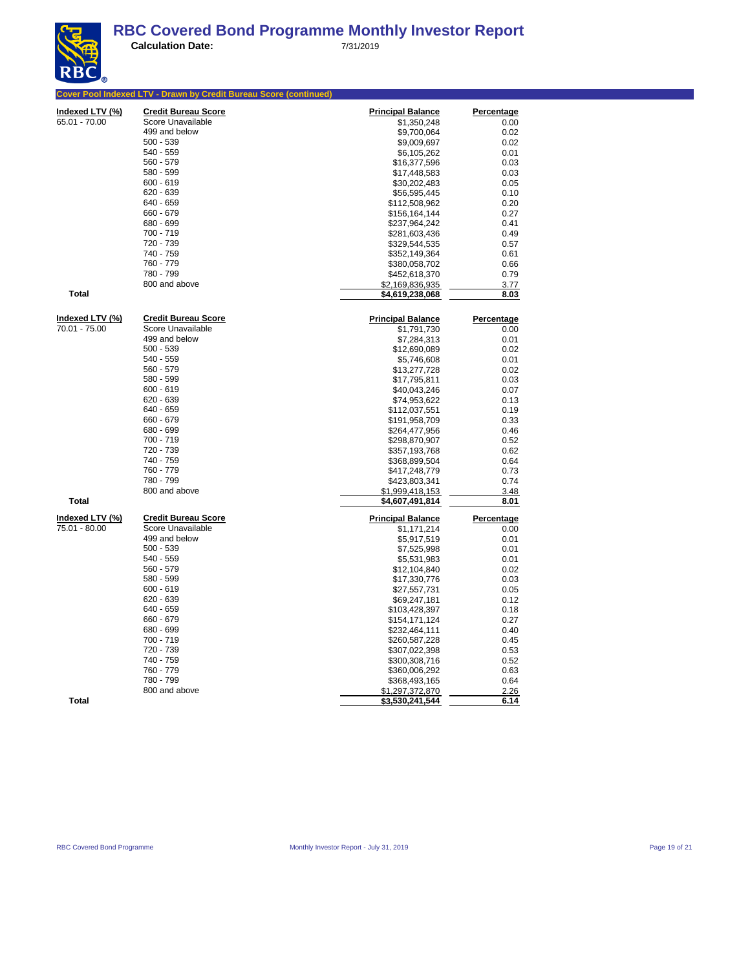| Indexed LTV (%) | <b>Credit Bureau Score</b> | <b>Principal Balance</b>                | <b>Percentage</b>         |
|-----------------|----------------------------|-----------------------------------------|---------------------------|
| 65.01 - 70.00   | Score Unavailable          | \$1,350,248                             | 0.00                      |
|                 | 499 and below              | \$9,700,064                             | 0.02                      |
|                 | $500 - 539$                | \$9,009,697                             | 0.02                      |
|                 | 540 - 559                  | \$6,105,262                             | 0.01                      |
|                 | $560 - 579$                | \$16,377,596                            | 0.03                      |
|                 | 580 - 599                  | \$17,448,583                            | 0.03                      |
|                 | $600 - 619$                | \$30,202,483                            | 0.05                      |
|                 | $620 - 639$                | \$56,595,445                            | 0.10                      |
|                 | 640 - 659                  | \$112,508,962                           | 0.20                      |
|                 | 660 - 679                  | \$156,164,144                           | 0.27                      |
|                 | 680 - 699                  | \$237,964,242                           | 0.41                      |
|                 | 700 - 719                  | \$281,603,436                           | 0.49                      |
|                 | 720 - 739                  | \$329,544,535                           | 0.57                      |
|                 | 740 - 759                  | \$352,149,364                           | 0.61                      |
|                 | 760 - 779                  | \$380,058,702                           | 0.66                      |
|                 | 780 - 799                  | \$452,618,370                           | 0.79                      |
|                 | 800 and above              | \$2,169,836,935                         | 3.77                      |
| Total           |                            | \$4,619,238,068                         | 8.03                      |
| Indexed LTV (%) | <b>Credit Bureau Score</b> |                                         |                           |
| 70.01 - 75.00   | Score Unavailable          | <b>Principal Balance</b><br>\$1,791,730 | <b>Percentage</b><br>0.00 |
|                 | 499 and below              | \$7,284,313                             | 0.01                      |
|                 | $500 - 539$                | \$12,690,089                            | 0.02                      |
|                 | 540 - 559                  | \$5,746,608                             | 0.01                      |
|                 | $560 - 579$                | \$13,277,728                            | 0.02                      |
|                 | 580 - 599                  | \$17,795,811                            | 0.03                      |
|                 | $600 - 619$                | \$40,043,246                            | 0.07                      |
|                 | $620 - 639$                | \$74,953,622                            | 0.13                      |
|                 | 640 - 659                  | \$112,037,551                           | 0.19                      |
|                 | 660 - 679                  | \$191,958,709                           | 0.33                      |
|                 | 680 - 699                  | \$264,477,956                           | 0.46                      |
|                 | 700 - 719                  | \$298,870,907                           | 0.52                      |
|                 | 720 - 739                  | \$357,193,768                           | 0.62                      |
|                 | 740 - 759                  | \$368,899,504                           | 0.64                      |
|                 | 760 - 779                  | \$417,248,779                           | 0.73                      |
|                 | 780 - 799                  | \$423,803,341                           | 0.74                      |
|                 | 800 and above              | \$1,999,418,153                         | 3.48                      |
| <b>Total</b>    |                            | \$4,607,491,814                         | 8.01                      |
| Indexed LTV (%) | <b>Credit Bureau Score</b> | <b>Principal Balance</b>                | Percentage                |
| 75.01 - 80.00   | Score Unavailable          | \$1,171,214                             | 0.00                      |
|                 | 499 and below              | \$5,917,519                             | 0.01                      |
|                 | $500 - 539$                | \$7,525,998                             | 0.01                      |
|                 | 540 - 559                  | \$5,531,983                             | 0.01                      |
|                 | $560 - 579$                | \$12,104,840                            | 0.02                      |
|                 | 580 - 599                  | \$17,330,776                            | 0.03                      |
|                 | $600 - 619$                | \$27,557,731                            | 0.05                      |
|                 | $620 - 639$                | \$69,247,181                            | 0.12                      |
|                 | 640 - 659                  | \$103,428,397                           | 0.18                      |
|                 | 660 - 679                  | \$154,171,124                           | 0.27                      |
|                 | 680 - 699                  | \$232,464,111                           | 0.40                      |
|                 | 700 - 719                  | \$260,587,228                           | 0.45                      |
|                 | 720 - 739                  | \$307,022,398                           | 0.53                      |
|                 | 740 - 759                  | \$300,308,716                           | 0.52                      |
|                 | 760 - 779                  | \$360,006,292                           | 0.63                      |
|                 | 780 - 799                  | \$368,493,165                           | 0.64                      |
|                 | 800 and above              | \$1,297,372,870                         | 2.26                      |
| <b>Total</b>    |                            | <u>\$3,530,241,544</u>                  | <u>6.14</u>               |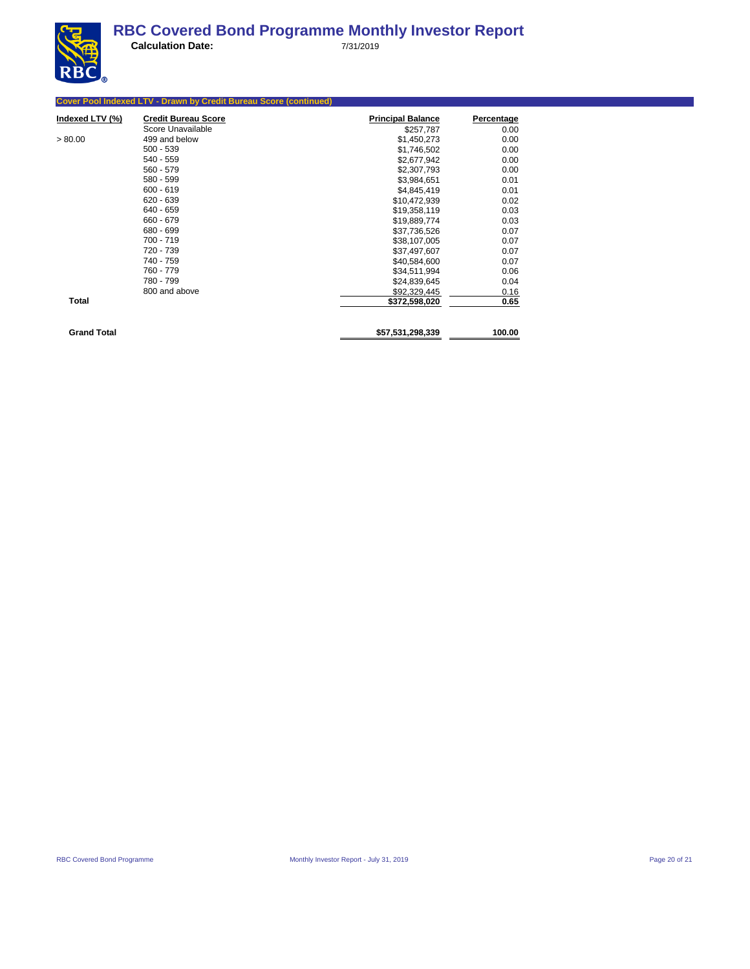

|                    | <b>Cover Pool Indexed LTV - Drawn by Credit Bureau Score (continued)</b> |                          |                   |
|--------------------|--------------------------------------------------------------------------|--------------------------|-------------------|
| Indexed LTV (%)    | <b>Credit Bureau Score</b>                                               | <b>Principal Balance</b> | <b>Percentage</b> |
|                    | Score Unavailable                                                        | \$257,787                | 0.00              |
| > 80.00            | 499 and below                                                            | \$1,450,273              | 0.00              |
|                    | $500 - 539$                                                              | \$1,746,502              | 0.00              |
|                    | 540 - 559                                                                | \$2,677,942              | 0.00              |
|                    | 560 - 579                                                                | \$2,307,793              | 0.00              |
|                    | 580 - 599                                                                | \$3,984,651              | 0.01              |
|                    | $600 - 619$                                                              | \$4,845,419              | 0.01              |
|                    | $620 - 639$                                                              | \$10,472,939             | 0.02              |
|                    | 640 - 659                                                                | \$19,358,119             | 0.03              |
|                    | 660 - 679                                                                | \$19,889,774             | 0.03              |
|                    | 680 - 699                                                                | \$37,736,526             | 0.07              |
|                    | $700 - 719$                                                              | \$38,107,005             | 0.07              |
|                    | 720 - 739                                                                | \$37,497,607             | 0.07              |
|                    | 740 - 759                                                                | \$40,584,600             | 0.07              |
|                    | 760 - 779                                                                | \$34,511,994             | 0.06              |
|                    | 780 - 799                                                                | \$24,839,645             | 0.04              |
|                    | 800 and above                                                            | \$92,329,445             | 0.16              |
| <b>Total</b>       |                                                                          | \$372,598,020            | 0.65              |
| <b>Grand Total</b> |                                                                          | \$57,531,298,339         | 100.00            |